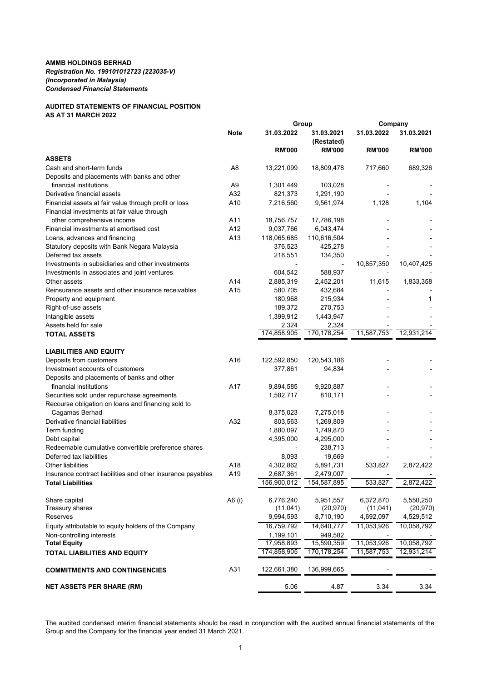## **AUDITED STATEMENTS OF FINANCIAL POSITION AS AT 31 MARCH 2022**

|                                                             |                | Group         |                          | Company       |               |  |
|-------------------------------------------------------------|----------------|---------------|--------------------------|---------------|---------------|--|
|                                                             | <b>Note</b>    | 31.03.2022    | 31.03.2021<br>(Restated) | 31.03.2022    | 31.03.2021    |  |
|                                                             |                | <b>RM'000</b> | <b>RM'000</b>            | <b>RM'000</b> | <b>RM'000</b> |  |
| <b>ASSETS</b>                                               |                |               |                          |               |               |  |
| Cash and short-term funds                                   | A8             | 13,221,099    | 18,809,478               | 717,660       | 689,326       |  |
| Deposits and placements with banks and other                |                |               |                          |               |               |  |
| financial institutions                                      | A <sub>9</sub> | 1,301,449     | 103,028                  |               |               |  |
| Derivative financial assets                                 | A32            | 821,373       | 1,291,190                |               |               |  |
| Financial assets at fair value through profit or loss       | A10            | 7,216,560     | 9,561,974                | 1,128         | 1,104         |  |
| Financial investments at fair value through                 |                |               |                          |               |               |  |
| other comprehensive income                                  | A11            | 18,756,757    | 17,786,198               |               |               |  |
| Financial investments at amortised cost                     | A12            | 9,037,766     | 6,043,474                |               |               |  |
| Loans, advances and financing                               | A13            | 118,065,685   | 110,616,504              |               |               |  |
| Statutory deposits with Bank Negara Malaysia                |                | 376,523       | 425,278                  |               |               |  |
| Deferred tax assets                                         |                | 218,551       | 134,350                  |               |               |  |
| Investments in subsidiaries and other investments           |                |               | $\overline{\phantom{a}}$ | 10,857,350    | 10,407,425    |  |
| Investments in associates and joint ventures                |                | 604,542       | 588,937                  |               |               |  |
| Other assets                                                | A14            | 2,885,319     | 2,452,201                | 11,615        | 1,833,358     |  |
| Reinsurance assets and other insurance receivables          | A15            | 580,705       | 432,684                  |               |               |  |
| Property and equipment                                      |                | 180,968       | 215,934                  |               | 1             |  |
| Right-of-use assets                                         |                | 189,372       | 270,753                  |               |               |  |
| Intangible assets                                           |                | 1,399,912     | 1,443,947                |               |               |  |
| Assets held for sale                                        |                | 2,324         | 2,324                    |               |               |  |
| <b>TOTAL ASSETS</b>                                         |                | 174,858,905   | 170,178,254              | 11,587,753    | 12,931,214    |  |
| <b>LIABILITIES AND EQUITY</b>                               |                |               |                          |               |               |  |
| Deposits from customers                                     | A16            | 122,592,850   | 120,543,186              |               |               |  |
| Investment accounts of customers                            |                | 377,861       | 94,834                   |               |               |  |
| Deposits and placements of banks and other                  |                |               |                          |               |               |  |
| financial institutions                                      | A17            | 9,894,585     | 9,920,887                |               |               |  |
| Securities sold under repurchase agreements                 |                | 1,582,717     | 810,171                  |               |               |  |
| Recourse obligation on loans and financing sold to          |                |               |                          |               |               |  |
| Cagamas Berhad                                              |                | 8,375,023     | 7,275,018                |               |               |  |
| Derivative financial liabilities                            | A32            | 803,563       | 1,269,809                |               |               |  |
| Term funding                                                |                | 1,880,097     | 1,749,870                |               |               |  |
| Debt capital                                                |                | 4,395,000     | 4,295,000                |               |               |  |
| Redeemable cumulative convertible preference shares         |                |               | 238,713                  |               |               |  |
| Deferred tax liabilities                                    |                | 8,093         | 19,669                   |               |               |  |
| <b>Other liabilities</b>                                    | A18            | 4,302,862     | 5,891,731                | 533,827       | 2,872,422     |  |
| Insurance contract liabilities and other insurance payables | A19            | 2,687,361     | 2,479,007                |               |               |  |
| <b>Total Liabilities</b>                                    |                | 156,900,012   | 154,587,895              | 533,827       | 2,872,422     |  |
| Share capital                                               | A6 (i)         | 6,776,240     | 5,951,557                | 6,372,870     | 5,550,250     |  |
| Treasury shares                                             |                | (11, 041)     | (20, 970)                | (11, 041)     | (20, 970)     |  |
| Reserves                                                    |                | 9,994,593     | 8,710,190                | 4,692,097     | 4,529,512     |  |
| Equity attributable to equity holders of the Company        |                | 16,759,792    | 14,640,777               | 11,053,926    | 10,058,792    |  |
| Non-controlling interests                                   |                | 1,199,101     | 949,582                  |               |               |  |
| <b>Total Equity</b>                                         |                | 17,958,893    | 15,590,359               | 11,053,926    | 10,058,792    |  |
| <b>TOTAL LIABILITIES AND EQUITY</b>                         |                | 174,858,905   | 170, 178, 254            | 11,587,753    | 12,931,214    |  |
| <b>COMMITMENTS AND CONTINGENCIES</b>                        | A31            | 122,661,380   | 136,999,665              |               |               |  |
| <b>NET ASSETS PER SHARE (RM)</b>                            |                | 5.06          | 4.87                     | 3.34          | 3.34          |  |
|                                                             |                |               |                          |               |               |  |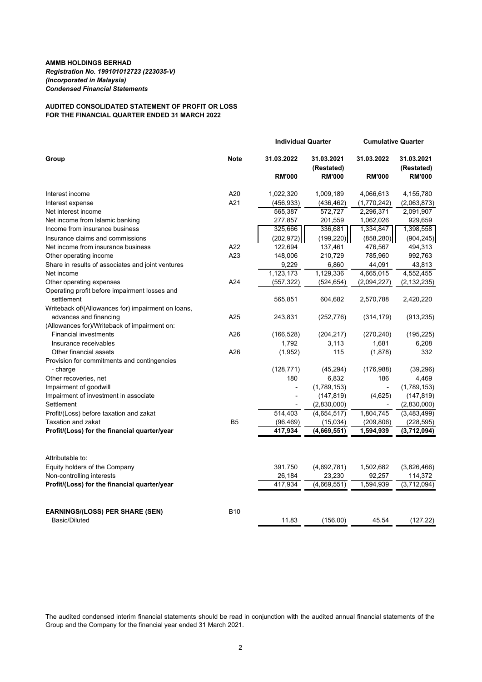# **AUDITED CONSOLIDATED STATEMENT OF PROFIT OR LOSS FOR THE FINANCIAL QUARTER ENDED 31 MARCH 2022**

|                                                    |                | <b>Individual Quarter</b> |                          |                     | <b>Cumulative Quarter</b> |  |
|----------------------------------------------------|----------------|---------------------------|--------------------------|---------------------|---------------------------|--|
| Group                                              | <b>Note</b>    | 31.03.2022                | 31.03.2021<br>(Restated) | 31.03.2022          | 31.03.2021<br>(Restated)  |  |
|                                                    |                | <b>RM'000</b>             | <b>RM'000</b>            | <b>RM'000</b>       | <b>RM'000</b>             |  |
| Interest income                                    | A20            | 1,022,320                 | 1,009,189                | 4,066,613           | 4,155,780                 |  |
| Interest expense                                   | A21            | (456, 933)                | (436, 462)               | (1,770,242)         | (2,063,873)               |  |
| Net interest income                                |                | 565,387                   | 572,727                  | 2,296,371           | 2,091,907                 |  |
| Net income from Islamic banking                    |                | 277,857                   | 201,559                  | 1,062,026           | 929,659                   |  |
| Income from insurance business                     |                | 325,666                   | 336,681                  | 1,334,847           | 1,398,558                 |  |
| Insurance claims and commissions                   |                | (202, 972)                | (199, 220)               | (858, 280)          | (904, 245)                |  |
| Net income from insurance business                 | A22            | 122,694                   | 137,461                  | 476,567             | 494,313                   |  |
| Other operating income                             | A23            | 148,006                   | 210,729                  | 785,960             | 992,763                   |  |
| Share in results of associates and joint ventures  |                | 9,229                     | 6,860                    | 44,091              | 43,813                    |  |
| Net income                                         |                | 1,123,173                 | 1,129,336                | 4,665,015           | 4,552,455                 |  |
| Other operating expenses                           | A24            | (557, 322)                | (524,654)                | (2,094,227)         | (2, 132, 235)             |  |
| Operating profit before impairment losses and      |                |                           |                          |                     |                           |  |
| settlement                                         |                | 565,851                   | 604,682                  | 2,570,788           | 2,420,220                 |  |
| Writeback of/(Allowances for) impairment on loans, |                |                           |                          |                     |                           |  |
| advances and financing                             | A25            | 243,831                   | (252,776)                | (314, 179)          | (913, 235)                |  |
| (Allowances for)/Writeback of impairment on:       |                |                           |                          |                     |                           |  |
| <b>Financial investments</b>                       | A26            | (166, 528)                | (204, 217)               | (270, 240)          | (195, 225)                |  |
| Insurance receivables                              |                | 1,792                     | 3,113                    | 1,681               | 6,208                     |  |
| Other financial assets                             | A26            | (1,952)                   | 115                      | (1,878)             | 332                       |  |
| Provision for commitments and contingencies        |                |                           |                          |                     |                           |  |
| - charge                                           |                | (128, 771)                | (45, 294)                | (176, 988)          | (39, 296)                 |  |
| Other recoveries, net                              |                | 180                       | 6,832                    | 186                 | 4,469                     |  |
| Impairment of goodwill                             |                |                           | (1,789,153)              |                     | (1,789,153)               |  |
| Impairment of investment in associate              |                |                           | (147, 819)               | (4,625)             | (147, 819)                |  |
| Settlement                                         |                |                           | (2,830,000)              |                     | (2,830,000)               |  |
| Profit/(Loss) before taxation and zakat            |                | 514,403                   | (4,654,517)              | 1,804,745           | (3,483,499)               |  |
| <b>Taxation and zakat</b>                          | B <sub>5</sub> | (96, 469)                 | (15,034)                 | (209, 806)          | (228, 595)                |  |
| Profit/(Loss) for the financial quarter/year       |                | 417,934                   | (4,669,551)              | 1,594,939           | (3,712,094)               |  |
|                                                    |                |                           |                          |                     |                           |  |
| Attributable to:                                   |                | 391,750                   |                          |                     |                           |  |
| Equity holders of the Company                      |                |                           | (4,692,781)<br>23,230    | 1,502,682           | (3,826,466)               |  |
| Non-controlling interests                          |                | 26,184<br>417,934         | (4,669,551)              | 92,257<br>1,594,939 | 114,372<br>(3,712,094)    |  |
| Profit/(Loss) for the financial quarter/year       |                |                           |                          |                     |                           |  |
| <b>EARNINGS/(LOSS) PER SHARE (SEN)</b>             | <b>B10</b>     |                           |                          |                     |                           |  |
| Basic/Diluted                                      |                | 11.83                     | (156.00)                 | 45.54               | (127.22)                  |  |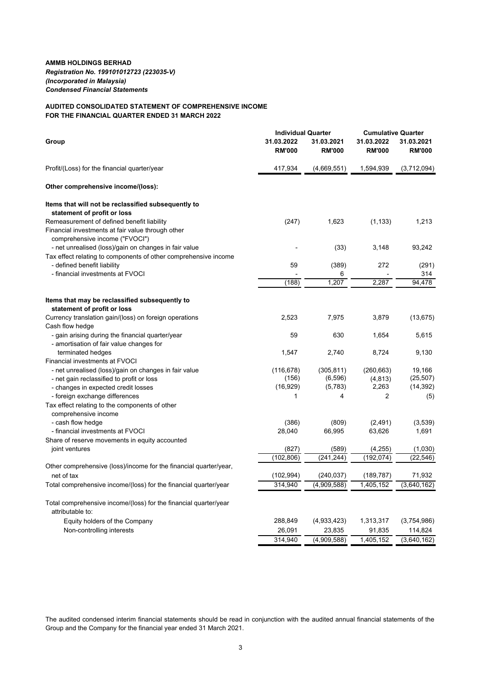## **AUDITED CONSOLIDATED STATEMENT OF COMPREHENSIVE INCOME FOR THE FINANCIAL QUARTER ENDED 31 MARCH 2022**

|                                                                                         | <b>Individual Quarter</b>   |                             | <b>Cumulative Quarter</b>   |                             |  |
|-----------------------------------------------------------------------------------------|-----------------------------|-----------------------------|-----------------------------|-----------------------------|--|
| Group                                                                                   | 31.03.2022<br><b>RM'000</b> | 31.03.2021<br><b>RM'000</b> | 31.03.2022<br><b>RM'000</b> | 31.03.2021<br><b>RM'000</b> |  |
| Profit/(Loss) for the financial quarter/year                                            | 417,934                     | (4,669,551)                 | 1,594,939                   | (3,712,094)                 |  |
| Other comprehensive income/(loss):                                                      |                             |                             |                             |                             |  |
| Items that will not be reclassified subsequently to                                     |                             |                             |                             |                             |  |
| statement of profit or loss                                                             |                             |                             |                             |                             |  |
| Remeasurement of defined benefit liability                                              | (247)                       | 1,623                       | (1, 133)                    | 1,213                       |  |
| Financial investments at fair value through other                                       |                             |                             |                             |                             |  |
| comprehensive income ("FVOCI")<br>- net unrealised (loss)/gain on changes in fair value |                             | (33)                        | 3,148                       | 93,242                      |  |
| Tax effect relating to components of other comprehensive income                         |                             |                             |                             |                             |  |
| - defined benefit liability                                                             | 59                          | (389)                       | 272                         | (291)                       |  |
| - financial investments at FVOCI                                                        |                             | 6                           |                             | 314                         |  |
|                                                                                         | (188)                       | 1,207                       | 2,287                       | 94,478                      |  |
|                                                                                         |                             |                             |                             |                             |  |
| Items that may be reclassified subsequently to                                          |                             |                             |                             |                             |  |
| statement of profit or loss                                                             |                             |                             |                             |                             |  |
| Currency translation gain/(loss) on foreign operations                                  | 2,523                       | 7,975                       | 3,879                       | (13, 675)                   |  |
| Cash flow hedge                                                                         |                             |                             |                             |                             |  |
| - gain arising during the financial quarter/year                                        | 59                          | 630                         | 1,654                       | 5,615                       |  |
| - amortisation of fair value changes for                                                |                             |                             |                             |                             |  |
| terminated hedges                                                                       | 1,547                       | 2,740                       | 8,724                       | 9,130                       |  |
| Financial investments at FVOCI                                                          |                             |                             |                             |                             |  |
| - net unrealised (loss)/gain on changes in fair value                                   | (116, 678)<br>(156)         | (305, 811)<br>(6, 596)      | (260, 663)                  | 19,166<br>(25, 507)         |  |
| - net gain reclassified to profit or loss                                               |                             |                             | (4, 813)                    | (14, 392)                   |  |
| - changes in expected credit losses                                                     | (16, 929)<br>1              | (5, 783)<br>4               | 2,263<br>2                  |                             |  |
| - foreign exchange differences                                                          |                             |                             |                             | (5)                         |  |
| Tax effect relating to the components of other                                          |                             |                             |                             |                             |  |
| comprehensive income<br>- cash flow hedge                                               | (386)                       | (809)                       | (2, 491)                    | (3,539)                     |  |
| - financial investments at FVOCI                                                        | 28,040                      | 66,995                      | 63,626                      | 1,691                       |  |
| Share of reserve movements in equity accounted                                          |                             |                             |                             |                             |  |
| joint ventures                                                                          | (827)                       | (589)                       | (4,255)                     | (1,030)                     |  |
|                                                                                         | (102, 806)                  | (241, 244)                  | (192, 074)                  | (22, 546)                   |  |
| Other comprehensive (loss)/income for the financial quarter/year,                       |                             |                             |                             |                             |  |
| net of tax                                                                              | (102, 994)                  | (240, 037)                  | (189, 787)                  | 71,932                      |  |
| Total comprehensive income/(loss) for the financial quarter/year                        | 314,940                     | (4,909,588)                 | 1,405,152                   | (3,640,162)                 |  |
|                                                                                         |                             |                             |                             |                             |  |
| Total comprehensive income/(loss) for the financial quarter/year<br>attributable to:    |                             |                             |                             |                             |  |
| Equity holders of the Company                                                           | 288,849                     | (4,933,423)                 | 1,313,317                   | (3,754,986)                 |  |
| Non-controlling interests                                                               | 26,091                      | 23,835                      | 91,835                      | 114,824                     |  |
|                                                                                         | 314,940                     | (4,909,588)                 | 1,405,152                   | (3,640,162)                 |  |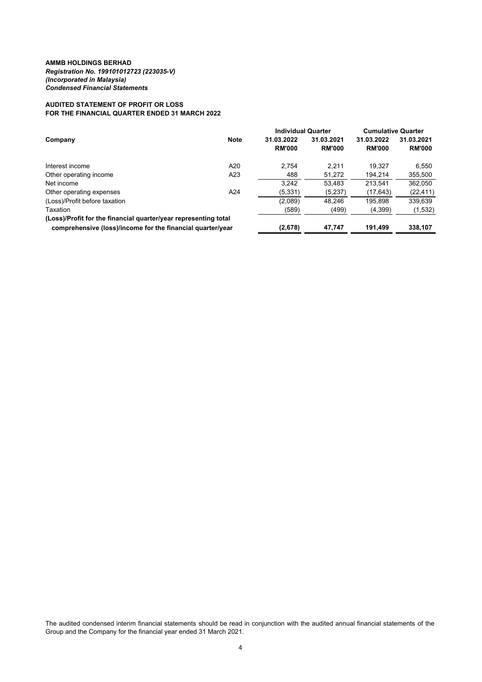## **AUDITED STATEMENT OF PROFIT OR LOSS FOR THE FINANCIAL QUARTER ENDED 31 MARCH 2022**

|                                                                 |             | <b>Individual Quarter</b> |               | <b>Cumulative Quarter</b> |               |
|-----------------------------------------------------------------|-------------|---------------------------|---------------|---------------------------|---------------|
| Company                                                         | <b>Note</b> | 31.03.2022                | 31.03.2021    | 31.03.2022                | 31.03.2021    |
|                                                                 |             | <b>RM'000</b>             | <b>RM'000</b> | <b>RM'000</b>             | <b>RM'000</b> |
| Interest income                                                 | A20         | 2.754                     | 2.211         | 19.327                    | 6,550         |
| Other operating income                                          | A23         | 488                       | 51,272        | 194.214                   | 355,500       |
| Net income                                                      |             | 3.242                     | 53.483        | 213.541                   | 362,050       |
| Other operating expenses                                        | A24         | (5, 331)                  | (5,237)       | (17, 643)                 | (22, 411)     |
| (Loss)/Profit before taxation                                   |             | (2,089)                   | 48.246        | 195.898                   | 339,639       |
| Taxation                                                        |             | (589)                     | (499)         | (4,399)                   | (1,532)       |
| (Loss)/Profit for the financial quarter/year representing total |             |                           |               |                           |               |
| comprehensive (loss)/income for the financial quarter/year      |             | (2,678)                   | 47,747        | 191,499                   | 338,107       |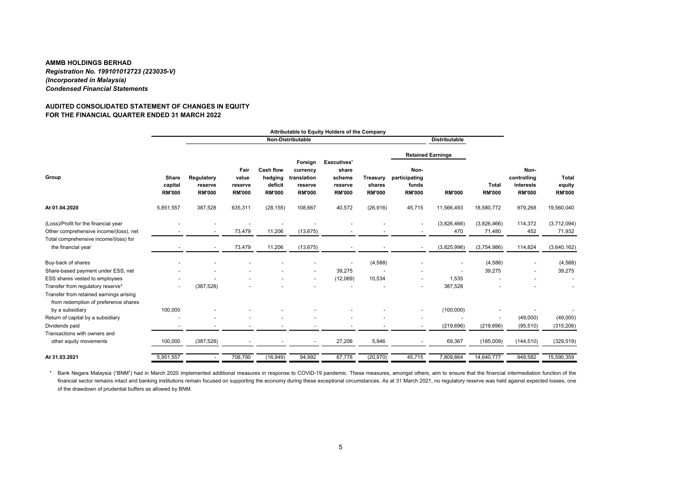## **AUDITED CONSOLIDATED STATEMENT OF CHANGES IN EQUITYFOR THE FINANCIAL QUARTER ENDED 31 MARCH 2022**

|                                                                                                                      | Attributable to Equity Holders of the Company |            |                                        |                                           |                                                         |                                                     |                                             |                                     |                                                 |                       |                               |                                                   |                                         |
|----------------------------------------------------------------------------------------------------------------------|-----------------------------------------------|------------|----------------------------------------|-------------------------------------------|---------------------------------------------------------|-----------------------------------------------------|---------------------------------------------|-------------------------------------|-------------------------------------------------|-----------------------|-------------------------------|---------------------------------------------------|-----------------------------------------|
|                                                                                                                      |                                               |            |                                        |                                           | Non-Distributable                                       |                                                     |                                             |                                     | <b>Distributable</b>                            |                       |                               |                                                   |                                         |
|                                                                                                                      |                                               |            |                                        |                                           | Foreign                                                 | <b>Executives'</b>                                  |                                             | <b>Retained Earnings</b>            |                                                 |                       |                               |                                                   |                                         |
| Group                                                                                                                | Share<br>capital<br><b>RM'000</b>             |            | Regulatory<br>reserve<br><b>RM'000</b> | Fair<br>value<br>reserve<br><b>RM'000</b> | <b>Cash flow</b><br>hedging<br>deficit<br><b>RM'000</b> | currency<br>translation<br>reserve<br><b>RM'000</b> | share<br>scheme<br>reserve<br><b>RM'000</b> | Treasury<br>shares<br><b>RM'000</b> | Non-<br>participating<br>funds<br><b>RM'000</b> | <b>RM'000</b>         | <b>Total</b><br><b>RM'000</b> | Non-<br>controlling<br>interests<br><b>RM'000</b> | <b>Total</b><br>equity<br><b>RM'000</b> |
| At 01.04.2020                                                                                                        | 5,851,557                                     | 387,528    | 635,311                                | (28, 155)                                 | 108,667                                                 | 40,572                                              | (26, 916)                                   | 45,715                              | 11,566,493                                      | 18,580,772            | 979,268                       | 19,560,040                                        |                                         |
| (Loss)/Profit for the financial year<br>Other comprehensive income/(loss), net                                       |                                               |            | 73,479                                 | 11,206                                    | (13, 675)                                               |                                                     |                                             | $\blacksquare$                      | (3,826,466)<br>470                              | (3,826,466)<br>71,480 | 114,372<br>452                | (3,712,094)<br>71,932                             |                                         |
| Total comprehensive income/(loss) for<br>the financial year                                                          |                                               |            | 73,479                                 | 11,206                                    | (13, 675)                                               |                                                     |                                             | $\overline{\phantom{a}}$            | (3,825,996)                                     | (3,754,986)           | 114,824                       | (3,640,162)                                       |                                         |
| Buy-back of shares                                                                                                   |                                               |            |                                        |                                           |                                                         |                                                     | (4,588)                                     |                                     |                                                 | (4,588)               |                               | (4, 588)                                          |                                         |
| Share-based payment under ESS, net                                                                                   |                                               |            |                                        |                                           |                                                         | 39,275                                              |                                             |                                     |                                                 | 39,275                |                               | 39,275                                            |                                         |
| ESS shares vested to employees                                                                                       |                                               |            |                                        |                                           | $\blacksquare$                                          | (12,069)                                            | 10,534                                      |                                     | 1,535                                           |                       |                               |                                                   |                                         |
| Transfer from regulatory reserve*<br>Transfer from retained earnings arising<br>from redemption of preference shares |                                               | (387, 528) |                                        |                                           |                                                         |                                                     |                                             |                                     | 387,528                                         |                       |                               |                                                   |                                         |
| by a subsidiary                                                                                                      | 100,000                                       |            |                                        |                                           |                                                         |                                                     |                                             | $\blacksquare$                      | (100,000)                                       |                       |                               |                                                   |                                         |
| Return of capital by a subsidiary                                                                                    |                                               |            |                                        |                                           |                                                         |                                                     |                                             |                                     |                                                 |                       | (49,000)                      | (49,000)                                          |                                         |
| Dividends paid                                                                                                       |                                               |            |                                        |                                           |                                                         |                                                     |                                             |                                     | (219, 696)                                      | (219, 696)            | (95, 510)                     | (315, 206)                                        |                                         |
| Transactions with owners and                                                                                         |                                               |            |                                        |                                           |                                                         |                                                     |                                             |                                     |                                                 |                       |                               |                                                   |                                         |
| other equity movements                                                                                               | 100,000                                       | (387, 528) |                                        |                                           | ٠                                                       | 27,206                                              | 5,946                                       |                                     | 69,367                                          | (185,009)             | (144, 510)                    | (329, 519)                                        |                                         |
| At 31.03.2021                                                                                                        | 5,951,557                                     |            | 708,790                                | (16, 949)                                 | 94,992                                                  | 67,778                                              | (20, 970)                                   | 45,715                              | 7,809,864                                       | 14,640,777            | 949,582                       | 15,590,359                                        |                                         |

\* Bank Negara Malaysia ("BNM") had in March 2020 implemented additional measures in response to COVID-19 pandemic. These measures, amongst others, aim to ensure that the financial intermediation function of the financial sector remains intact and banking institutions remain focused on supporting the economy during these exceptional circumstances. As at 31 March 2021, no regulatory reserve was held against expected losses, one of the drawdown of prudential buffers as allowed by BNM.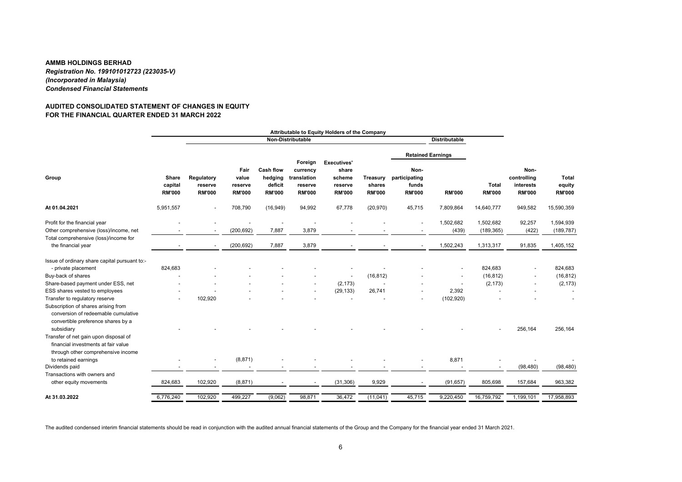## **AUDITED CONSOLIDATED STATEMENT OF CHANGES IN EQUITYFOR THE FINANCIAL QUARTER ENDED 31 MARCH 2022**

|                                                                                                                                                                  |                                   |                                        |                                           |                                                         |                                                                | Attributable to Equity Holders of the Company                     |                                     |                                                 |                      |                               |                                                   |                                         |
|------------------------------------------------------------------------------------------------------------------------------------------------------------------|-----------------------------------|----------------------------------------|-------------------------------------------|---------------------------------------------------------|----------------------------------------------------------------|-------------------------------------------------------------------|-------------------------------------|-------------------------------------------------|----------------------|-------------------------------|---------------------------------------------------|-----------------------------------------|
|                                                                                                                                                                  |                                   |                                        |                                           |                                                         | Non-Distributable                                              |                                                                   |                                     |                                                 | <b>Distributable</b> |                               |                                                   |                                         |
|                                                                                                                                                                  |                                   |                                        |                                           |                                                         |                                                                |                                                                   |                                     | <b>Retained Earnings</b>                        |                      |                               |                                                   |                                         |
| Group                                                                                                                                                            | Share<br>capital<br><b>RM'000</b> | Regulatory<br>reserve<br><b>RM'000</b> | Fair<br>value<br>reserve<br><b>RM'000</b> | <b>Cash flow</b><br>hedging<br>deficit<br><b>RM'000</b> | Foreign<br>currency<br>translation<br>reserve<br><b>RM'000</b> | <b>Executives'</b><br>share<br>scheme<br>reserve<br><b>RM'000</b> | Treasury<br>shares<br><b>RM'000</b> | Non-<br>participating<br>funds<br><b>RM'000</b> | <b>RM'000</b>        | <b>Total</b><br><b>RM'000</b> | Non-<br>controlling<br>interests<br><b>RM'000</b> | <b>Total</b><br>equity<br><b>RM'000</b> |
| At 01.04.2021                                                                                                                                                    | 5,951,557                         |                                        | 708,790                                   | (16, 949)                                               | 94,992                                                         | 67,778                                                            | (20, 970)                           | 45,715                                          | 7,809,864            | 14,640,777                    | 949,582                                           | 15,590,359                              |
| Profit for the financial year<br>Other comprehensive (loss)/income, net<br>Total comprehensive (loss)/income for                                                 | $\overline{\phantom{a}}$          | $\overline{\phantom{a}}$               | (200, 692)                                | 7,887                                                   | 3,879                                                          |                                                                   |                                     |                                                 | 1,502,682<br>(439)   | 1,502,682<br>(189, 365)       | 92,257<br>(422)                                   | 1,594,939<br>(189, 787)                 |
| the financial year                                                                                                                                               |                                   |                                        | (200, 692)                                | 7,887                                                   | 3,879                                                          |                                                                   |                                     |                                                 | 1,502,243            | 1,313,317                     | 91,835                                            | 1,405,152                               |
| Issue of ordinary share capital pursuant to:-<br>- private placement                                                                                             | 824,683                           |                                        |                                           |                                                         |                                                                |                                                                   |                                     |                                                 |                      | 824,683                       |                                                   | 824,683                                 |
| Buy-back of shares                                                                                                                                               |                                   |                                        |                                           |                                                         |                                                                | $\sim$                                                            | (16, 812)                           |                                                 |                      | (16, 812)                     |                                                   | (16, 812)                               |
| Share-based payment under ESS, net                                                                                                                               |                                   |                                        |                                           |                                                         |                                                                | (2, 173)                                                          |                                     |                                                 |                      | (2, 173)                      |                                                   | (2, 173)                                |
| ESS shares vested to employees                                                                                                                                   |                                   |                                        |                                           |                                                         |                                                                | (29, 133)                                                         | 26,741                              |                                                 | 2,392                |                               |                                                   |                                         |
| Transfer to regulatory reserve<br>Subscription of shares arising from<br>conversion of redeemable cumulative<br>convertible preference shares by a<br>subsidiary |                                   | 102,920                                |                                           |                                                         |                                                                |                                                                   |                                     |                                                 | (102, 920)           |                               | 256,164                                           | 256,164                                 |
| Transfer of net gain upon disposal of<br>financial investments at fair value<br>through other comprehensive income                                               |                                   |                                        |                                           |                                                         |                                                                |                                                                   |                                     |                                                 |                      |                               |                                                   |                                         |
| to retained earnings                                                                                                                                             |                                   |                                        | (8, 871)                                  |                                                         |                                                                |                                                                   |                                     |                                                 | 8,871                |                               |                                                   |                                         |
| Dividends paid                                                                                                                                                   |                                   |                                        |                                           |                                                         |                                                                |                                                                   |                                     |                                                 |                      |                               | (98, 480)                                         | (98, 480)                               |
| Transactions with owners and<br>other equity movements                                                                                                           | 824,683                           | 102,920                                | (8, 871)                                  |                                                         |                                                                | (31, 306)                                                         | 9,929                               |                                                 | (91, 657)            | 805,698                       | 157,684                                           | 963,382                                 |
| At 31.03.2022                                                                                                                                                    | 6,776,240                         | 102,920                                | 499,227                                   | (9,062)                                                 | 98,871                                                         | 36,472                                                            | (11, 041)                           | 45,715                                          | 9,220,450            | 16,759,792                    | 1,199,101                                         | 17,958,893                              |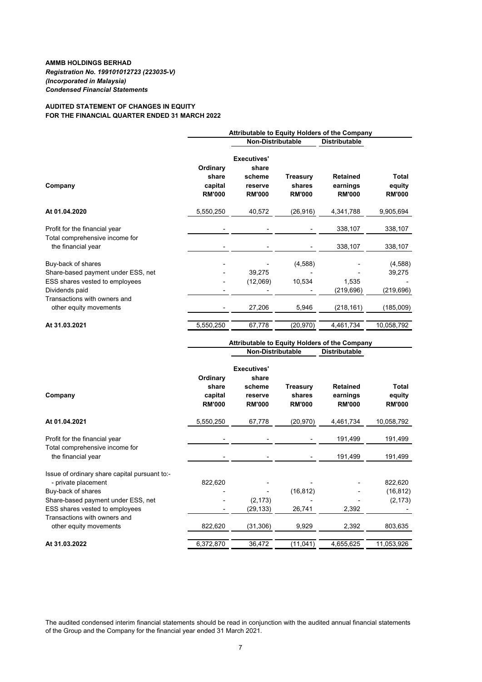## **AUDITED STATEMENT OF CHANGES IN EQUITY FOR THE FINANCIAL QUARTER ENDED 31 MARCH 2022**

|                                                                                            | Attributable to Equity Holders of the Company |                                                                   |                                            |                                                      |                                         |  |  |
|--------------------------------------------------------------------------------------------|-----------------------------------------------|-------------------------------------------------------------------|--------------------------------------------|------------------------------------------------------|-----------------------------------------|--|--|
|                                                                                            |                                               | <b>Non-Distributable</b><br><b>Distributable</b>                  |                                            |                                                      |                                         |  |  |
| Company                                                                                    | Ordinary<br>share<br>capital<br><b>RM'000</b> | <b>Executives'</b><br>share<br>scheme<br>reserve<br><b>RM'000</b> | <b>Treasury</b><br>shares<br><b>RM'000</b> | <b>Retained</b><br>earnings<br><b>RM'000</b>         | <b>Total</b><br>equity<br><b>RM'000</b> |  |  |
| At 01.04.2020                                                                              | 5,550,250                                     | 40,572                                                            | (26, 916)                                  | 4,341,788                                            | 9,905,694                               |  |  |
| Profit for the financial year<br>Total comprehensive income for                            |                                               |                                                                   |                                            | 338,107                                              | 338,107                                 |  |  |
| the financial year                                                                         |                                               |                                                                   |                                            | 338,107                                              | 338,107                                 |  |  |
| Buy-back of shares<br>Share-based payment under ESS, net<br>ESS shares vested to employees |                                               | 39,275<br>(12,069)                                                | (4, 588)<br>10,534                         | 1,535                                                | (4,588)<br>39,275                       |  |  |
| Dividends paid                                                                             |                                               |                                                                   |                                            | (219, 696)                                           | (219, 696)                              |  |  |
| Transactions with owners and<br>other equity movements                                     |                                               | 27,206                                                            | 5,946                                      | (218, 161)                                           | (185,009)                               |  |  |
| At 31.03.2021                                                                              | 5,550,250                                     | 67,778                                                            | (20, 970)                                  | 4,461,734                                            | 10,058,792                              |  |  |
|                                                                                            |                                               |                                                                   |                                            | <b>Attributable to Equity Holders of the Company</b> |                                         |  |  |

| Company                                                | Ordinary<br>share<br>capital<br><b>RM'000</b> | <b>Executives'</b><br>share<br>scheme<br>reserve<br><b>RM'000</b> | <b>Treasury</b><br>shares<br><b>RM'000</b> | <b>Retained</b><br>earnings<br><b>RM'000</b> | <b>Total</b><br>equity<br><b>RM'000</b> |
|--------------------------------------------------------|-----------------------------------------------|-------------------------------------------------------------------|--------------------------------------------|----------------------------------------------|-----------------------------------------|
| At 01.04.2021                                          | 5,550,250                                     | 67,778                                                            | (20,970)                                   | 4,461,734                                    | 10,058,792                              |
| Profit for the financial year                          |                                               |                                                                   |                                            | 191,499                                      | 191,499                                 |
| Total comprehensive income for                         |                                               |                                                                   |                                            |                                              |                                         |
| the financial year                                     |                                               |                                                                   |                                            | 191,499                                      | 191,499                                 |
| Issue of ordinary share capital pursuant to:-          |                                               |                                                                   |                                            |                                              |                                         |
| - private placement                                    | 822,620                                       |                                                                   |                                            |                                              | 822,620                                 |
| Buy-back of shares                                     |                                               |                                                                   | (16, 812)                                  |                                              | (16, 812)                               |
| Share-based payment under ESS, net                     |                                               | (2, 173)                                                          |                                            |                                              | (2, 173)                                |
| ESS shares vested to employees                         | ۰                                             | (29,133)                                                          | 26,741                                     | 2,392                                        |                                         |
| Transactions with owners and<br>other equity movements | 822,620                                       | (31, 306)                                                         | 9,929                                      | 2,392                                        | 803,635                                 |
|                                                        |                                               |                                                                   |                                            |                                              |                                         |
| At 31.03.2022                                          | 6,372,870                                     | 36,472                                                            | (11, 041)                                  | 4,655,625                                    | 11,053,926                              |

**Distributable**

**Non-Distributable**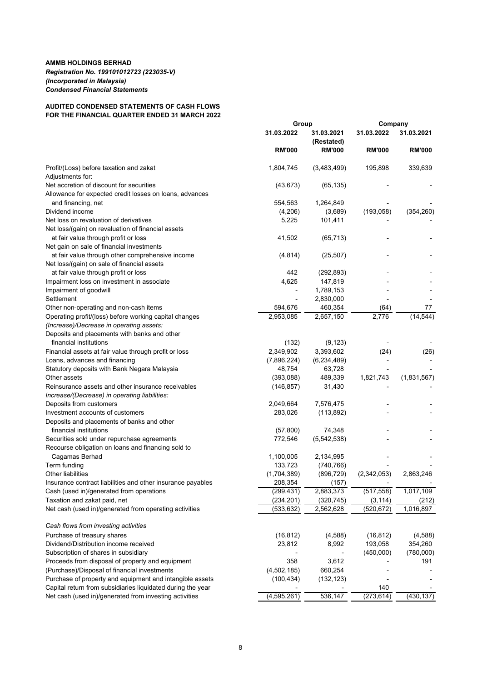# **AUDITED CONDENSED STATEMENTS OF CASH FLOWS FOR THE FINANCIAL QUARTER ENDED 31 MARCH 2022**

|                                                             | Group         |                          | Company       |               |
|-------------------------------------------------------------|---------------|--------------------------|---------------|---------------|
|                                                             | 31.03.2022    | 31.03.2021<br>(Restated) | 31.03.2022    | 31.03.2021    |
|                                                             | <b>RM'000</b> | <b>RM'000</b>            | <b>RM'000</b> | <b>RM'000</b> |
| Profit/(Loss) before taxation and zakat                     | 1,804,745     | (3,483,499)              | 195,898       | 339,639       |
| Adjustments for:                                            |               |                          |               |               |
| Net accretion of discount for securities                    | (43, 673)     | (65, 135)                |               |               |
| Allowance for expected credit losses on loans, advances     |               |                          |               |               |
| and financing, net                                          | 554,563       | 1,264,849                |               |               |
| Dividend income                                             | (4,206)       | (3,689)                  | (193, 058)    | (354, 260)    |
| Net loss on revaluation of derivatives                      | 5,225         | 101,411                  |               |               |
| Net loss/(gain) on revaluation of financial assets          |               |                          |               |               |
| at fair value through profit or loss                        | 41,502        | (65, 713)                |               |               |
| Net gain on sale of financial investments                   |               |                          |               |               |
| at fair value through other comprehensive income            | (4, 814)      | (25, 507)                |               |               |
| Net loss/(gain) on sale of financial assets                 |               |                          |               |               |
| at fair value through profit or loss                        | 442           | (292, 893)               |               |               |
| Impairment loss on investment in associate                  | 4,625         | 147,819                  |               |               |
| Impairment of goodwill                                      |               | 1,789,153                |               |               |
| Settlement                                                  |               | 2,830,000                |               |               |
| Other non-operating and non-cash items                      | 594,676       | 460,354                  | (64)          | 77            |
| Operating profit/(loss) before working capital changes      | 2,953,085     | 2,657,150                | 2,776         | (14, 544)     |
| (Increase)/Decrease in operating assets:                    |               |                          |               |               |
| Deposits and placements with banks and other                |               |                          |               |               |
| financial institutions                                      | (132)         | (9, 123)                 |               |               |
| Financial assets at fair value through profit or loss       | 2,349,902     | 3,393,602                | (24)          | (26)          |
| Loans, advances and financing                               | (7,896,224)   | (6, 234, 489)            |               |               |
| Statutory deposits with Bank Negara Malaysia                | 48,754        | 63,728                   |               |               |
| Other assets                                                | (393,088)     | 489,339                  | 1,821,743     | (1,831,567)   |
| Reinsurance assets and other insurance receivables          | (146, 857)    | 31,430                   |               |               |
| Increase/(Decrease) in operating liabilities:               |               |                          |               |               |
| Deposits from customers                                     | 2,049,664     | 7,576,475                |               |               |
| Investment accounts of customers                            | 283,026       | (113, 892)               |               |               |
| Deposits and placements of banks and other                  |               |                          |               |               |
| financial institutions                                      | (57, 800)     | 74,348                   |               |               |
| Securities sold under repurchase agreements                 | 772,546       | (5,542,538)              |               |               |
| Recourse obligation on loans and financing sold to          |               |                          |               |               |
| Cagamas Berhad                                              | 1,100,005     | 2,134,995                |               |               |
| Term funding                                                | 133,723       | (740, 766)               |               |               |
| <b>Other liabilities</b>                                    | (1,704,389)   | (896, 729)               | (2,342,053)   | 2,863,246     |
| Insurance contract liabilities and other insurance payables | 208,354       | (157)                    |               |               |
| Cash (used in)/generated from operations                    | (299, 431)    | 2,883,373                | (517, 558)    | 1,017,109     |
| Taxation and zakat paid, net                                | (234, 201)    | (320, 745)               | (3, 114)      | (212)         |
| Net cash (used in)/generated from operating activities      | (533, 632)    | 2,562,628                | (520, 672)    | 1,016,897     |
|                                                             |               |                          |               |               |
| Cash flows from investing activities                        |               |                          |               |               |
| Purchase of treasury shares                                 | (16, 812)     | (4,588)                  | (16, 812)     | (4,588)       |
| Dividend/Distribution income received                       | 23,812        | 8,992                    | 193,058       | 354,260       |
| Subscription of shares in subsidiary                        |               |                          | (450,000)     | (780,000)     |
| Proceeds from disposal of property and equipment            | 358           | 3,612                    |               | 191           |
| (Purchase)/Disposal of financial investments                | (4,502,185)   | 660,254                  |               |               |
| Purchase of property and equipment and intangible assets    | (100, 434)    | (132, 123)               |               |               |
| Capital return from subsidiaries liquidated during the year |               |                          | 140           |               |
| Net cash (used in)/generated from investing activities      | (4, 595, 261) | 536,147                  | (273, 614)    | (430, 137)    |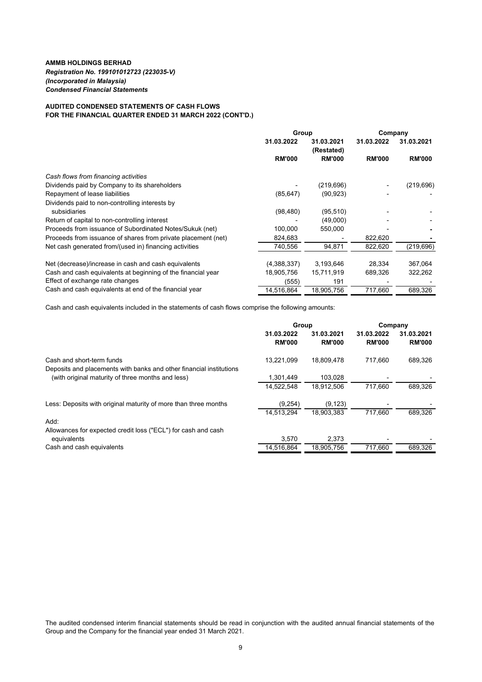## **AUDITED CONDENSED STATEMENTS OF CASH FLOWS FOR THE FINANCIAL QUARTER ENDED 31 MARCH 2022 (CONT'D.)**

|                                                               | Group         |                          | Company       |               |  |
|---------------------------------------------------------------|---------------|--------------------------|---------------|---------------|--|
|                                                               | 31.03.2022    | 31.03.2021<br>(Restated) | 31.03.2022    | 31.03.2021    |  |
|                                                               | <b>RM'000</b> | <b>RM'000</b>            | <b>RM'000</b> | <b>RM'000</b> |  |
| Cash flows from financing activities                          |               |                          |               |               |  |
| Dividends paid by Company to its shareholders                 |               | (219, 696)               |               | (219, 696)    |  |
| Repayment of lease liabilities                                | (85, 647)     | (90, 923)                |               |               |  |
| Dividends paid to non-controlling interests by                |               |                          |               |               |  |
| subsidiaries                                                  | (98, 480)     | (95, 510)                |               |               |  |
| Return of capital to non-controlling interest                 |               | (49,000)                 |               |               |  |
| Proceeds from issuance of Subordinated Notes/Sukuk (net)      | 100,000       | 550,000                  |               |               |  |
| Proceeds from issuance of shares from private placement (net) | 824,683       |                          | 822,620       |               |  |
| Net cash generated from/(used in) financing activities        | 740,556       | 94,871                   | 822,620       | (219, 696)    |  |
| Net (decrease)/increase in cash and cash equivalents          | (4,388,337)   | 3,193,646                | 28,334        | 367,064       |  |
| Cash and cash equivalents at beginning of the financial year  | 18,905,756    | 15,711,919               | 689,326       | 322,262       |  |
| Effect of exchange rate changes                               | (555)         | 191                      |               |               |  |
| Cash and cash equivalents at end of the financial year        | 14,516,864    | 18,905,756               | 717,660       | 689,326       |  |

Cash and cash equivalents included in the statements of cash flows comprise the following amounts:

|                                                                                                                          | Group                       |                             | Company                     |                             |  |
|--------------------------------------------------------------------------------------------------------------------------|-----------------------------|-----------------------------|-----------------------------|-----------------------------|--|
|                                                                                                                          | 31.03.2022<br><b>RM'000</b> | 31.03.2021<br><b>RM'000</b> | 31.03.2022<br><b>RM'000</b> | 31.03.2021<br><b>RM'000</b> |  |
| Cash and short-term funds                                                                                                | 13.221.099                  | 18.809.478                  | 717.660                     | 689,326                     |  |
| Deposits and placements with banks and other financial institutions<br>(with original maturity of three months and less) | 1,301,449                   | 103.028                     |                             |                             |  |
|                                                                                                                          | 14.522.548                  | 18.912.506                  | 717.660                     | 689.326                     |  |
| Less: Deposits with original maturity of more than three months                                                          | (9,254)                     | (9, 123)                    |                             |                             |  |
|                                                                                                                          | 14,513,294                  | 18,903,383                  | 717.660                     | 689,326                     |  |
| Add:                                                                                                                     |                             |                             |                             |                             |  |
| Allowances for expected credit loss ("ECL") for cash and cash                                                            |                             |                             |                             |                             |  |
| equivalents                                                                                                              | 3,570                       | 2,373                       |                             |                             |  |
| Cash and cash equivalents                                                                                                | 14,516,864                  | 18,905,756                  | 717,660                     | 689.326                     |  |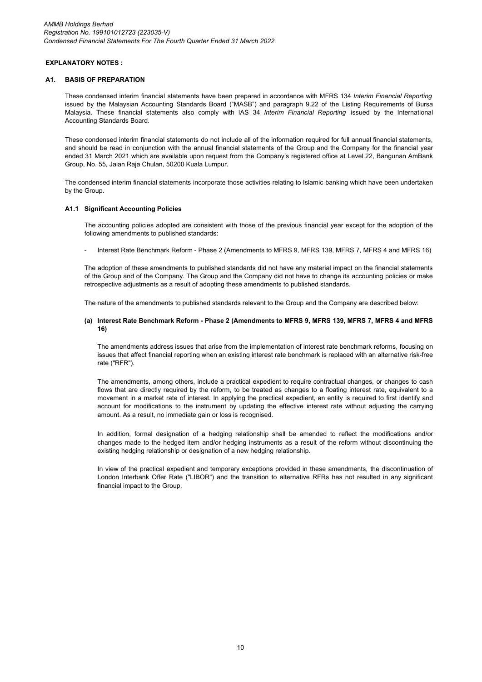## **EXPLANATORY NOTES :**

#### **A1. BASIS OF PREPARATION**

These condensed interim financial statements have been prepared in accordance with MFRS 134 *Interim Financial Reporting* issued by the Malaysian Accounting Standards Board ("MASB") and paragraph 9.22 of the Listing Requirements of Bursa Malaysia. These financial statements also comply with IAS 34 *Interim Financial Reporting* issued by the International Accounting Standards Board.

These condensed interim financial statements do not include all of the information required for full annual financial statements, and should be read in conjunction with the annual financial statements of the Group and the Company for the financial year ended 31 March 2021 which are available upon request from the Company's registered office at Level 22, Bangunan AmBank Group, No. 55, Jalan Raja Chulan, 50200 Kuala Lumpur.

The condensed interim financial statements incorporate those activities relating to Islamic banking which have been undertaken by the Group.

## **A1.1 Significant Accounting Policies**

The accounting policies adopted are consistent with those of the previous financial year except for the adoption of the following amendments to published standards:

Interest Rate Benchmark Reform - Phase 2 (Amendments to MFRS 9, MFRS 139, MFRS 7, MFRS 4 and MFRS 16)

The adoption of these amendments to published standards did not have any material impact on the financial statements of the Group and of the Company. The Group and the Company did not have to change its accounting policies or make retrospective adjustments as a result of adopting these amendments to published standards.

The nature of the amendments to published standards relevant to the Group and the Company are described below:

#### **(a) Interest Rate Benchmark Reform - Phase 2 (Amendments to MFRS 9, MFRS 139, MFRS 7, MFRS 4 and MFRS 16)**

The amendments address issues that arise from the implementation of interest rate benchmark reforms, focusing on issues that affect financial reporting when an existing interest rate benchmark is replaced with an alternative risk-free rate ("RFR").

The amendments, among others, include a practical expedient to require contractual changes, or changes to cash flows that are directly required by the reform, to be treated as changes to a floating interest rate, equivalent to a movement in a market rate of interest. In applying the practical expedient, an entity is required to first identify and account for modifications to the instrument by updating the effective interest rate without adjusting the carrying amount. As a result, no immediate gain or loss is recognised.

In addition, formal designation of a hedging relationship shall be amended to reflect the modifications and/or changes made to the hedged item and/or hedging instruments as a result of the reform without discontinuing the existing hedging relationship or designation of a new hedging relationship.

In view of the practical expedient and temporary exceptions provided in these amendments, the discontinuation of London Interbank Offer Rate ("LIBOR") and the transition to alternative RFRs has not resulted in any significant financial impact to the Group.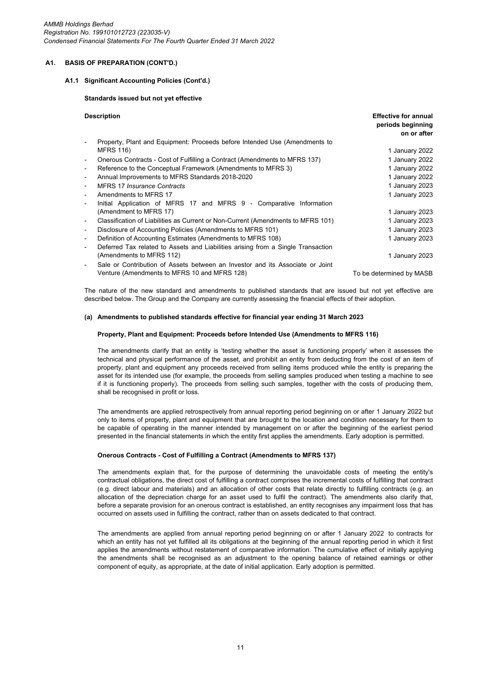*AMMB Holdings Berhad Registration No. 199101012723 (223035-V) Condensed Financial Statements For The Fourth Quarter Ended 31 March 2022*

#### **A1. BASIS OF PREPARATION (CONT'D.)**

### **A1.1 Significant Accounting Policies (Cont'd.)**

#### **Standards issued but not yet effective**

| <b>Description</b>                                                                                           | <b>Effective for annual</b><br>periods beginning<br>on or after |
|--------------------------------------------------------------------------------------------------------------|-----------------------------------------------------------------|
| Property, Plant and Equipment: Proceeds before Intended Use (Amendments to                                   |                                                                 |
| <b>MFRS 116)</b>                                                                                             | 1 January 2022                                                  |
| Onerous Contracts - Cost of Fulfilling a Contract (Amendments to MFRS 137)<br>۰                              | 1 January 2022                                                  |
| Reference to the Conceptual Framework (Amendments to MFRS 3)<br>$\overline{\phantom{a}}$                     | 1 January 2022                                                  |
| Annual Improvements to MFRS Standards 2018-2020<br>$\overline{\phantom{a}}$                                  | 1 January 2022                                                  |
| <b>MFRS 17 Insurance Contracts</b>                                                                           | 1 January 2023                                                  |
| Amendments to MFRS 17                                                                                        | 1 January 2023                                                  |
| Initial Application of MFRS 17 and MFRS 9 - Comparative Information                                          |                                                                 |
| (Amendment to MFRS 17)                                                                                       | 1 January 2023                                                  |
| Classification of Liabilities as Current or Non-Current (Amendments to MFRS 101)<br>$\overline{\phantom{a}}$ | 1 January 2023                                                  |
| Disclosure of Accounting Policies (Amendments to MFRS 101)                                                   | 1 January 2023                                                  |
| Definition of Accounting Estimates (Amendments to MFRS 108)<br>$\overline{\phantom{a}}$                      | 1 January 2023                                                  |
| Deferred Tax related to Assets and Liabilities arising from a Single Transaction                             |                                                                 |
| (Amendments to MFRS 112)                                                                                     | 1 January 2023                                                  |
| Sale or Contribution of Assets between an Investor and its Associate or Joint                                |                                                                 |
| Venture (Amendments to MFRS 10 and MFRS 128)                                                                 | To be determined by MASB                                        |

The nature of the new standard and amendments to published standards that are issued but not yet effective are described below. The Group and the Company are currently assessing the financial effects of their adoption.

## **(a) Amendments to published standards effective for financial year ending 31 March 2023**

#### **Property, Plant and Equipment: Proceeds before Intended Use (Amendments to MFRS 116)**

The amendments clarify that an entity is 'testing whether the asset is functioning properly' when it assesses the technical and physical performance of the asset, and prohibit an entity from deducting from the cost of an item of property, plant and equipment any proceeds received from selling items produced while the entity is preparing the asset for its intended use (for example, the proceeds from selling samples produced when testing a machine to see if it is functioning properly). The proceeds from selling such samples, together with the costs of producing them, shall be recognised in profit or loss.

The amendments are applied retrospectively from annual reporting period beginning on or after 1 January 2022 but only to items of property, plant and equipment that are brought to the location and condition necessary for them to be capable of operating in the manner intended by management on or after the beginning of the earliest period presented in the financial statements in which the entity first applies the amendments. Early adoption is permitted.

#### **Onerous Contracts - Cost of Fulfilling a Contract (Amendments to MFRS 137)**

The amendments explain that, for the purpose of determining the unavoidable costs of meeting the entity's contractual obligations, the direct cost of fulfilling a contract comprises the incremental costs of fulfilling that contract (e.g. direct labour and materials) and an allocation of other costs that relate directly to fulfilling contracts (e.g. an allocation of the depreciation charge for an asset used to fulfil the contract). The amendments also clarify that, before a separate provision for an onerous contract is established, an entity recognises any impairment loss that has occurred on assets used in fulfilling the contract, rather than on assets dedicated to that contract.

The amendments are applied from annual reporting period beginning on or after 1 January 2022 to contracts for which an entity has not yet fulfilled all its obligations at the beginning of the annual reporting period in which it first applies the amendments without restatement of comparative information. The cumulative effect of initially applying the amendments shall be recognised as an adjustment to the opening balance of retained earnings or other component of equity, as appropriate, at the date of initial application. Early adoption is permitted.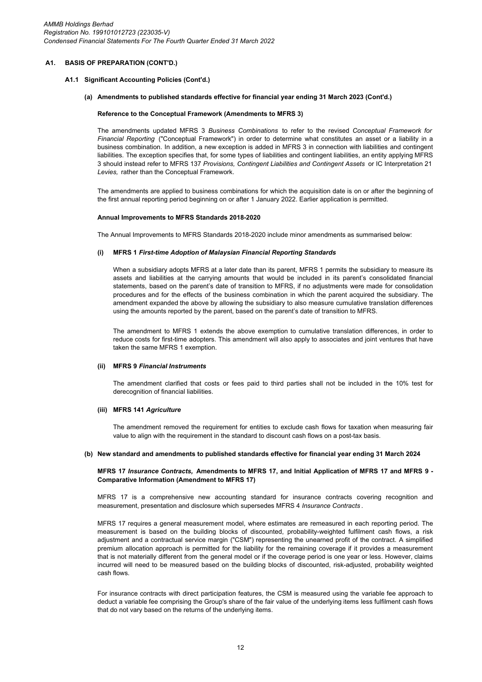#### **A1.1 Significant Accounting Policies (Cont'd.)**

#### **(a) Amendments to published standards effective for financial year ending 31 March 2023 (Cont'd.)**

#### **Reference to the Conceptual Framework (Amendments to MFRS 3)**

The amendments updated MFRS 3 *Business Combinations* to refer to the revised *Conceptual Framework for Financial Reporting* ("Conceptual Framework") in order to determine what constitutes an asset or a liability in a business combination. In addition, a new exception is added in MFRS 3 in connection with liabilities and contingent liabilities. The exception specifies that, for some types of liabilities and contingent liabilities, an entity applying MFRS 3 should instead refer to MFRS 137 *Provisions, Contingent Liabilities and Contingent Assets* or IC Interpretation 21 *Levies,* rather than the Conceptual Framework.

The amendments are applied to business combinations for which the acquisition date is on or after the beginning of the first annual reporting period beginning on or after 1 January 2022. Earlier application is permitted.

#### **Annual Improvements to MFRS Standards 2018-2020**

The Annual Improvements to MFRS Standards 2018-2020 include minor amendments as summarised below:

#### **(i) MFRS 1** *First-time Adoption of Malaysian Financial Reporting Standards*

When a subsidiary adopts MFRS at a later date than its parent, MFRS 1 permits the subsidiary to measure its assets and liabilities at the carrying amounts that would be included in its parent's consolidated financial statements, based on the parent's date of transition to MFRS, if no adjustments were made for consolidation procedures and for the effects of the business combination in which the parent acquired the subsidiary. The amendment expanded the above by allowing the subsidiary to also measure cumulative translation differences using the amounts reported by the parent, based on the parent's date of transition to MFRS.

The amendment to MFRS 1 extends the above exemption to cumulative translation differences, in order to reduce costs for first-time adopters. This amendment will also apply to associates and joint ventures that have taken the same MFRS 1 exemption.

#### **(ii) MFRS 9** *Financial Instruments*

The amendment clarified that costs or fees paid to third parties shall not be included in the 10% test for derecognition of financial liabilities.

#### **(iii) MFRS 141** *Agriculture*

The amendment removed the requirement for entities to exclude cash flows for taxation when measuring fair value to align with the requirement in the standard to discount cash flows on a post-tax basis.

#### **(b) New standard and amendments to published standards effective for financial year ending 31 March 2024**

#### **MFRS 17** *Insurance Contracts,* **Amendments to MFRS 17, and Initial Application of MFRS 17 and MFRS 9 - Comparative Information (Amendment to MFRS 17)**

MFRS 17 is a comprehensive new accounting standard for insurance contracts covering recognition and measurement, presentation and disclosure which supersedes MFRS 4 *Insurance Contracts* .

MFRS 17 requires a general measurement model, where estimates are remeasured in each reporting period. The measurement is based on the building blocks of discounted, probability-weighted fulfilment cash flows, a risk adjustment and a contractual service margin ("CSM") representing the unearned profit of the contract. A simplified premium allocation approach is permitted for the liability for the remaining coverage if it provides a measurement that is not materially different from the general model or if the coverage period is one year or less. However, claims incurred will need to be measured based on the building blocks of discounted, risk-adjusted, probability weighted cash flows.

For insurance contracts with direct participation features, the CSM is measured using the variable fee approach to deduct a variable fee comprising the Group's share of the fair value of the underlying items less fulfilment cash flows that do not vary based on the returns of the underlying items.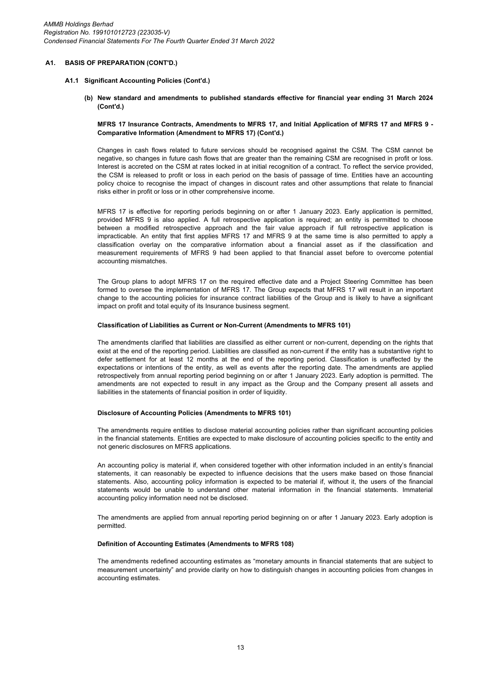#### **A1.1 Significant Accounting Policies (Cont'd.)**

**(b) New standard and amendments to published standards effective for financial year ending 31 March 2024 (Cont'd.)**

#### **MFRS 17 Insurance Contracts, Amendments to MFRS 17, and Initial Application of MFRS 17 and MFRS 9 - Comparative Information (Amendment to MFRS 17) (Cont'd.)**

Changes in cash flows related to future services should be recognised against the CSM. The CSM cannot be negative, so changes in future cash flows that are greater than the remaining CSM are recognised in profit or loss. Interest is accreted on the CSM at rates locked in at initial recognition of a contract. To reflect the service provided, the CSM is released to profit or loss in each period on the basis of passage of time. Entities have an accounting policy choice to recognise the impact of changes in discount rates and other assumptions that relate to financial risks either in profit or loss or in other comprehensive income.

MFRS 17 is effective for reporting periods beginning on or after 1 January 2023. Early application is permitted, provided MFRS 9 is also applied. A full retrospective application is required; an entity is permitted to choose between a modified retrospective approach and the fair value approach if full retrospective application is impracticable. An entity that first applies MFRS 17 and MFRS 9 at the same time is also permitted to apply a classification overlay on the comparative information about a financial asset as if the classification and measurement requirements of MFRS 9 had been applied to that financial asset before to overcome potential accounting mismatches.

The Group plans to adopt MFRS 17 on the required effective date and a Project Steering Committee has been formed to oversee the implementation of MFRS 17. The Group expects that MFRS 17 will result in an important change to the accounting policies for insurance contract liabilities of the Group and is likely to have a significant impact on profit and total equity of its Insurance business segment.

#### **Classification of Liabilities as Current or Non-Current (Amendments to MFRS 101)**

The amendments clarified that liabilities are classified as either current or non-current, depending on the rights that exist at the end of the reporting period. Liabilities are classified as non-current if the entity has a substantive right to defer settlement for at least 12 months at the end of the reporting period. Classification is unaffected by the expectations or intentions of the entity, as well as events after the reporting date. The amendments are applied retrospectively from annual reporting period beginning on or after 1 January 2023. Early adoption is permitted. The amendments are not expected to result in any impact as the Group and the Company present all assets and liabilities in the statements of financial position in order of liquidity.

#### **Disclosure of Accounting Policies (Amendments to MFRS 101)**

The amendments require entities to disclose material accounting policies rather than significant accounting policies in the financial statements. Entities are expected to make disclosure of accounting policies specific to the entity and not generic disclosures on MFRS applications.

An accounting policy is material if, when considered together with other information included in an entity's financial statements, it can reasonably be expected to influence decisions that the users make based on those financial statements. Also, accounting policy information is expected to be material if, without it, the users of the financial statements would be unable to understand other material information in the financial statements. Immaterial accounting policy information need not be disclosed.

The amendments are applied from annual reporting period beginning on or after 1 January 2023. Early adoption is permitted.

### **Definition of Accounting Estimates (Amendments to MFRS 108)**

The amendments redefined accounting estimates as "monetary amounts in financial statements that are subject to measurement uncertainty" and provide clarity on how to distinguish changes in accounting policies from changes in accounting estimates.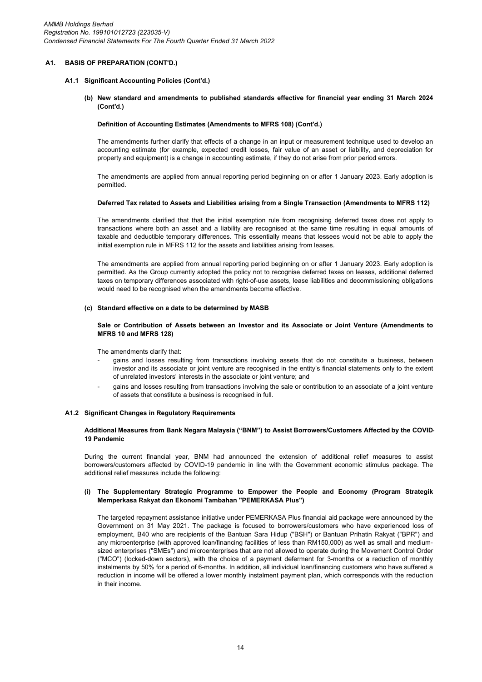#### **A1.1 Significant Accounting Policies (Cont'd.)**

**(b) New standard and amendments to published standards effective for financial year ending 31 March 2024 (Cont'd.)**

#### **Definition of Accounting Estimates (Amendments to MFRS 108) (Cont'd.)**

The amendments further clarify that effects of a change in an input or measurement technique used to develop an accounting estimate (for example, expected credit losses, fair value of an asset or liability, and depreciation for property and equipment) is a change in accounting estimate, if they do not arise from prior period errors.

The amendments are applied from annual reporting period beginning on or after 1 January 2023. Early adoption is permitted.

#### **Deferred Tax related to Assets and Liabilities arising from a Single Transaction (Amendments to MFRS 112)**

The amendments clarified that that the initial exemption rule from recognising deferred taxes does not apply to transactions where both an asset and a liability are recognised at the same time resulting in equal amounts of taxable and deductible temporary differences. This essentially means that lessees would not be able to apply the initial exemption rule in MFRS 112 for the assets and liabilities arising from leases.

The amendments are applied from annual reporting period beginning on or after 1 January 2023. Early adoption is permitted. As the Group currently adopted the policy not to recognise deferred taxes on leases, additional deferred taxes on temporary differences associated with right-of-use assets, lease liabilities and decommissioning obligations would need to be recognised when the amendments become effective.

#### **(c) Standard effective on a date to be determined by MASB**

### **Sale or Contribution of Assets between an Investor and its Associate or Joint Venture (Amendments to MFRS 10 and MFRS 128)**

The amendments clarify that:

- gains and losses resulting from transactions involving assets that do not constitute a business, between investor and its associate or joint venture are recognised in the entity's financial statements only to the extent of unrelated investors' interests in the associate or joint venture; and
- gains and losses resulting from transactions involving the sale or contribution to an associate of a joint venture of assets that constitute a business is recognised in full.

#### **A1.2 Significant Changes in Regulatory Requirements**

#### **Additional Measures from Bank Negara Malaysia ("BNM") to Assist Borrowers/Customers Affected by the COVID-19 Pandemic**

During the current financial year, BNM had announced the extension of additional relief measures to assist borrowers/customers affected by COVID-19 pandemic in line with the Government economic stimulus package. The additional relief measures include the following:

#### **(i) The Supplementary Strategic Programme to Empower the People and Economy (Program Strategik Memperkasa Rakyat dan Ekonomi Tambahan "PEMERKASA Plus")**

The targeted repayment assistance initiative under PEMERKASA Plus financial aid package were announced by the Government on 31 May 2021. The package is focused to borrowers/customers who have experienced loss of employment, B40 who are recipients of the Bantuan Sara Hidup ("BSH") or Bantuan Prihatin Rakyat ("BPR") and any microenterprise (with approved loan/financing facilities of less than RM150,000) as well as small and mediumsized enterprises ("SMEs") and microenterprises that are not allowed to operate during the Movement Control Order ("MCO") (locked-down sectors), with the choice of a payment deferment for 3-months or a reduction of monthly instalments by 50% for a period of 6-months. In addition, all individual loan/financing customers who have suffered a reduction in income will be offered a lower monthly instalment payment plan, which corresponds with the reduction in their income.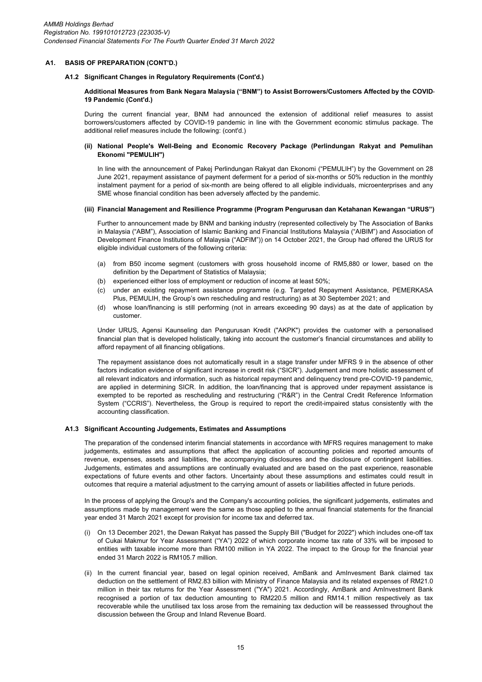## **A1.2 Significant Changes in Regulatory Requirements (Cont'd.)**

## **Additional Measures from Bank Negara Malaysia ("BNM") to Assist Borrowers/Customers Affected by the COVID-19 Pandemic (Cont'd.)**

During the current financial year, BNM had announced the extension of additional relief measures to assist borrowers/customers affected by COVID-19 pandemic in line with the Government economic stimulus package. The additional relief measures include the following: (cont'd.)

#### **(ii) National People's Well-Being and Economic Recovery Package (Perlindungan Rakyat and Pemulihan Ekonomi "PEMULIH")**

In line with the announcement of Pakej Perlindungan Rakyat dan Ekonomi ("PEMULIH") by the Government on 28 June 2021, repayment assistance of payment deferment for a period of six-months or 50% reduction in the monthly instalment payment for a period of six-month are being offered to all eligible individuals, microenterprises and any SME whose financial condition has been adversely affected by the pandemic.

#### **(iii) Financial Management and Resilience Programme (Program Pengurusan dan Ketahanan Kewangan "URUS")**

Further to announcement made by BNM and banking industry (represented collectively by The Association of Banks in Malaysia ("ABM"), Association of Islamic Banking and Financial Institutions Malaysia ("AIBIM") and Association of Development Finance Institutions of Malaysia ("ADFIM")) on 14 October 2021, the Group had offered the URUS for eligible individual customers of the following criteria:

- (a) from B50 income segment (customers with gross household income of RM5,880 or lower, based on the definition by the Department of Statistics of Malaysia;
- (b) experienced either loss of employment or reduction of income at least 50%;
- $(c)$ under an existing repayment assistance programme (e.g. Targeted Repayment Assistance, PEMERKASA Plus, PEMULIH, the Group's own rescheduling and restructuring) as at 30 September 2021; and
- (d) whose loan/financing is still performing (not in arrears exceeding 90 days) as at the date of application by customer.

Under URUS, Agensi Kaunseling dan Pengurusan Kredit ("AKPK") provides the customer with a personalised financial plan that is developed holistically, taking into account the customer's financial circumstances and ability to afford repayment of all financing obligations.

The repayment assistance does not automatically result in a stage transfer under MFRS 9 in the absence of other factors indication evidence of significant increase in credit risk ("SICR"). Judgement and more holistic assessment of all relevant indicators and information, such as historical repayment and delinquency trend pre-COVID-19 pandemic, are applied in determining SICR. In addition, the loan/financing that is approved under repayment assistance is exempted to be reported as rescheduling and restructuring ("R&R") in the Central Credit Reference Information System ("CCRIS"). Nevertheless, the Group is required to report the credit-impaired status consistently with the accounting classification.

#### **A1.3 Significant Accounting Judgements, Estimates and Assumptions**

The preparation of the condensed interim financial statements in accordance with MFRS requires management to make judgements, estimates and assumptions that affect the application of accounting policies and reported amounts of revenue, expenses, assets and liabilities, the accompanying disclosures and the disclosure of contingent liabilities. Judgements, estimates and assumptions are continually evaluated and are based on the past experience, reasonable expectations of future events and other factors. Uncertainty about these assumptions and estimates could result in outcomes that require a material adjustment to the carrying amount of assets or liabilities affected in future periods.

In the process of applying the Group's and the Company's accounting policies, the significant judgements, estimates and assumptions made by management were the same as those applied to the annual financial statements for the financial year ended 31 March 2021 except for provision for income tax and deferred tax.

- (i) On 13 December 2021, the Dewan Rakyat has passed the Supply Bill ("Budget for 2022") which includes one-off tax of Cukai Makmur for Year Assessment ("YA") 2022 of which corporate income tax rate of 33% will be imposed to entities with taxable income more than RM100 million in YA 2022. The impact to the Group for the financial year ended 31 March 2022 is RM105.7 million.
- (ii) In the current financial year, based on legal opinion received, AmBank and AmInvesment Bank claimed tax deduction on the settlement of RM2.83 billion with Ministry of Finance Malaysia and its related expenses of RM21.0 million in their tax returns for the Year Assessment ("YA") 2021. Accordingly, AmBank and AmInvestment Bank recognised a portion of tax deduction amounting to RM220.5 million and RM14.1 million respectively as tax recoverable while the unutilised tax loss arose from the remaining tax deduction will be reassessed throughout the discussion between the Group and Inland Revenue Board.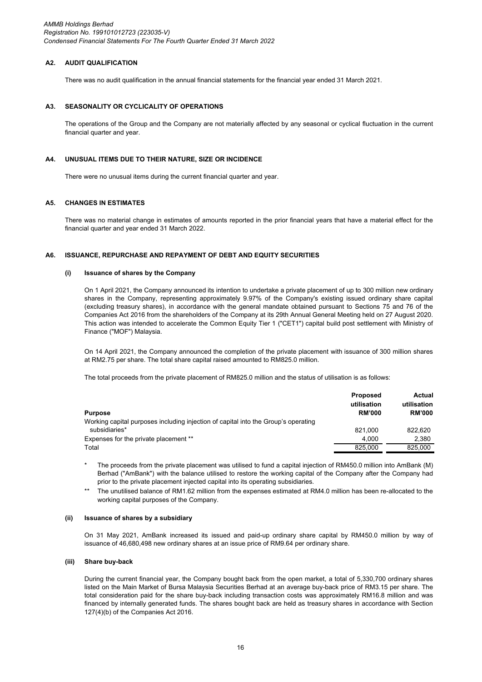*AMMB Holdings Berhad Registration No. 199101012723 (223035-V) Condensed Financial Statements For The Fourth Quarter Ended 31 March 2022*

## **A2. AUDIT QUALIFICATION**

There was no audit qualification in the annual financial statements for the financial year ended 31 March 2021.

#### **A3. SEASONALITY OR CYCLICALITY OF OPERATIONS**

The operations of the Group and the Company are not materially affected by any seasonal or cyclical fluctuation in the current financial quarter and year.

#### **A4. UNUSUAL ITEMS DUE TO THEIR NATURE, SIZE OR INCIDENCE**

There were no unusual items during the current financial quarter and year.

#### **A5. CHANGES IN ESTIMATES**

There was no material change in estimates of amounts reported in the prior financial years that have a material effect for the financial quarter and year ended 31 March 2022.

#### **A6. ISSUANCE, REPURCHASE AND REPAYMENT OF DEBT AND EQUITY SECURITIES**

## **(i) Issuance of shares by the Company**

On 1 April 2021, the Company announced its intention to undertake a private placement of up to 300 million new ordinary shares in the Company, representing approximately 9.97% of the Company's existing issued ordinary share capital (excluding treasury shares), in accordance with the general mandate obtained pursuant to Sections 75 and 76 of the Companies Act 2016 from the shareholders of the Company at its 29th Annual General Meeting held on 27 August 2020. This action was intended to accelerate the Common Equity Tier 1 ("CET1") capital build post settlement with Ministry of Finance ("MOF") Malaysia.

On 14 April 2021, the Company announced the completion of the private placement with issuance of 300 million shares at RM2.75 per share. The total share capital raised amounted to RM825.0 million.

The total proceeds from the private placement of RM825.0 million and the status of utilisation is as follows:

| <b>Purpose</b>                                                                     | <b>Proposed</b><br>utilisation<br><b>RM'000</b> | Actual<br>utilisation<br><b>RM'000</b> |
|------------------------------------------------------------------------------------|-------------------------------------------------|----------------------------------------|
| Working capital purposes including injection of capital into the Group's operating |                                                 |                                        |
| subsidiaries*                                                                      | 821.000                                         | 822.620                                |
| Expenses for the private placement **                                              | 4.000                                           | 2.380                                  |
| Total                                                                              | 825.000                                         | 825.000                                |

\* The proceeds from the private placement was utilised to fund a capital injection of RM450.0 million into AmBank (M) Berhad ("AmBank") with the balance utilised to restore the working capital of the Company after the Company had prior to the private placement injected capital into its operating subsidiaries.

\*\* The unutilised balance of RM1.62 million from the expenses estimated at RM4.0 million has been re-allocated to the working capital purposes of the Company.

#### **(ii) Issuance of shares by a subsidiary**

On 31 May 2021, AmBank increased its issued and paid-up ordinary share capital by RM450.0 million by way of issuance of 46,680,498 new ordinary shares at an issue price of RM9.64 per ordinary share.

## **(iii) Share buy-back**

During the current financial year, the Company bought back from the open market, a total of 5,330,700 ordinary shares listed on the Main Market of Bursa Malaysia Securities Berhad at an average buy-back price of RM3.15 per share. The total consideration paid for the share buy-back including transaction costs was approximately RM16.8 million and was financed by internally generated funds. The shares bought back are held as treasury shares in accordance with Section 127(4)(b) of the Companies Act 2016.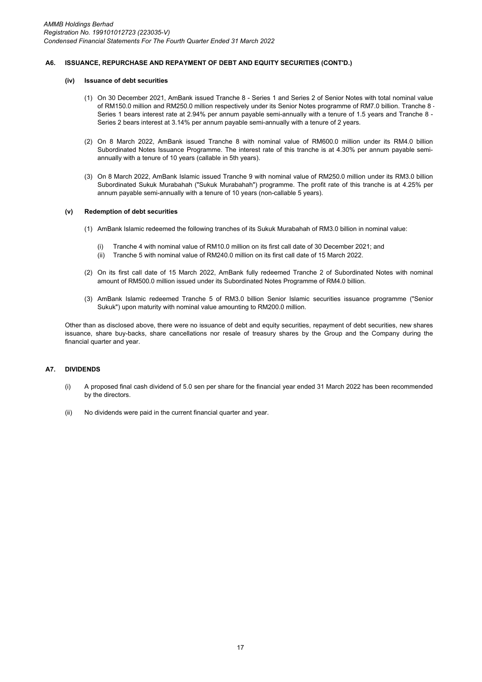#### **A6. ISSUANCE, REPURCHASE AND REPAYMENT OF DEBT AND EQUITY SECURITIES (CONT'D.)**

#### **(iv) Issuance of debt securities**

- (1) On 30 December 2021, AmBank issued Tranche 8 Series 1 and Series 2 of Senior Notes with total nominal value of RM150.0 million and RM250.0 million respectively under its Senior Notes programme of RM7.0 billion. Tranche 8 - Series 1 bears interest rate at 2.94% per annum payable semi-annually with a tenure of 1.5 years and Tranche 8 - Series 2 bears interest at 3.14% per annum payable semi-annually with a tenure of 2 years.
- (2) On 8 March 2022, AmBank issued Tranche 8 with nominal value of RM600.0 million under its RM4.0 billion Subordinated Notes Issuance Programme. The interest rate of this tranche is at 4.30% per annum payable semiannually with a tenure of 10 years (callable in 5th years).
- (3) On 8 March 2022, AmBank Islamic issued Tranche 9 with nominal value of RM250.0 million under its RM3.0 billion Subordinated Sukuk Murabahah ("Sukuk Murabahah") programme. The profit rate of this tranche is at 4.25% per annum payable semi-annually with a tenure of 10 years (non-callable 5 years).

## **(v) Redemption of debt securities**

- (1) AmBank Islamic redeemed the following tranches of its Sukuk Murabahah of RM3.0 billion in nominal value:
	- (i) Tranche 4 with nominal value of RM10.0 million on its first call date of 30 December 2021; and
	- (ii) Tranche 5 with nominal value of RM240.0 million on its first call date of 15 March 2022.
- (2) On its first call date of 15 March 2022, AmBank fully redeemed Tranche 2 of Subordinated Notes with nominal amount of RM500.0 million issued under its Subordinated Notes Programme of RM4.0 billion.
- (3) AmBank Islamic redeemed Tranche 5 of RM3.0 billion Senior Islamic securities issuance programme ("Senior Sukuk") upon maturity with nominal value amounting to RM200.0 million.

Other than as disclosed above, there were no issuance of debt and equity securities, repayment of debt securities, new shares issuance, share buy-backs, share cancellations nor resale of treasury shares by the Group and the Company during the financial quarter and year.

## **A7. DIVIDENDS**

- (i) A proposed final cash dividend of 5.0 sen per share for the financial year ended 31 March 2022 has been recommended by the directors.
- (ii) No dividends were paid in the current financial quarter and year.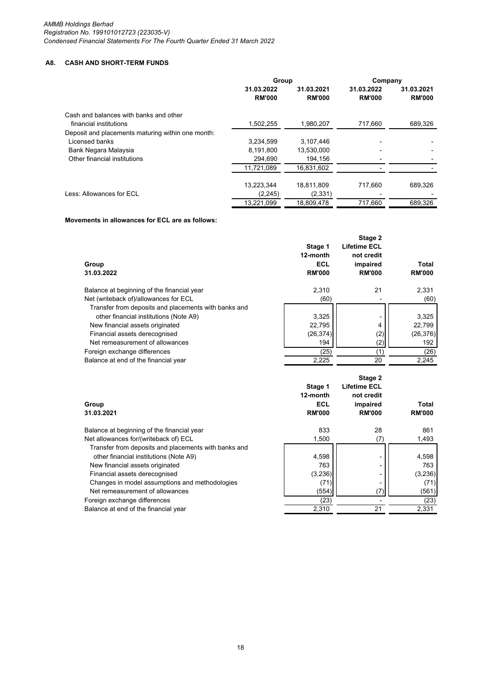# **A8. CASH AND SHORT-TERM FUNDS**

|                                                   | Group                       |                             | Company                     |                             |
|---------------------------------------------------|-----------------------------|-----------------------------|-----------------------------|-----------------------------|
|                                                   | 31.03.2022<br><b>RM'000</b> | 31.03.2021<br><b>RM'000</b> | 31.03.2022<br><b>RM'000</b> | 31.03.2021<br><b>RM'000</b> |
| Cash and balances with banks and other            |                             |                             |                             |                             |
| financial institutions                            | 1,502,255                   | 1,980,207                   | 717,660                     | 689,326                     |
| Deposit and placements maturing within one month: |                             |                             |                             |                             |
| Licensed banks                                    | 3,234,599                   | 3,107,446                   |                             |                             |
| Bank Negara Malaysia                              | 8,191,800                   | 13,530,000                  |                             |                             |
| Other financial institutions                      | 294,690                     | 194,156                     |                             |                             |
|                                                   | 11,721,089                  | 16,831,602                  |                             |                             |
|                                                   | 13.223.344                  | 18.811.809                  | 717.660                     | 689.326                     |
| Less: Allowances for ECL                          | (2, 245)                    | (2, 331)                    |                             |                             |
|                                                   | 13,221,099                  | 18,809,478                  | 717.660                     | 689.326                     |

## **Movements in allowances for ECL are as follows:**

| Group<br>31.03.2022                                  | Stage 1<br>12-month<br>ECL<br><b>RM'000</b> | Stage 2<br><b>Lifetime ECL</b><br>not credit<br>impaired<br><b>RM'000</b> | Total<br><b>RM'000</b> |
|------------------------------------------------------|---------------------------------------------|---------------------------------------------------------------------------|------------------------|
| Balance at beginning of the financial year           | 2.310                                       | 21                                                                        | 2,331                  |
| Net (writeback of)/allowances for ECL                | (60)                                        |                                                                           | (60)                   |
| Transfer from deposits and placements with banks and |                                             |                                                                           |                        |
| other financial institutions (Note A9)               | 3,325                                       |                                                                           | 3,325                  |
| New financial assets originated                      | 22,795                                      | 4                                                                         | 22,799                 |
| Financial assets derecognised                        | (26, 374)                                   | (2)                                                                       | (26, 376)              |
| Net remeasurement of allowances                      | 194                                         | (2)                                                                       | 192                    |
| Foreign exchange differences                         | (25)                                        | (1)                                                                       | (26)                   |
| Balance at end of the financial year                 | 2,225                                       | 20                                                                        | 2.245                  |

| 12-month<br>not credit<br>ECL<br>impaired<br>Total<br>Group<br>31.03.2021<br><b>RM'000</b><br><b>RM'000</b> | <b>RM'000</b> |
|-------------------------------------------------------------------------------------------------------------|---------------|
| 833<br>Balance at beginning of the financial year<br>28                                                     | 861           |
| Net allowances for/(writeback of) ECL<br>1,500<br>(7)                                                       | 1,493         |
| Transfer from deposits and placements with banks and                                                        |               |
| 4,598<br>other financial institutions (Note A9)                                                             | 4,598         |
| 763<br>New financial assets originated                                                                      | 763           |
| (3,236)<br>Financial assets derecognised                                                                    | (3,236)       |
| Changes in model assumptions and methodologies<br>(71)                                                      | (71)          |
| Net remeasurement of allowances<br>(7)<br>(554)                                                             | (561)         |
| Foreign exchange differences<br>(23)                                                                        | (23)          |
| 2,310<br>21<br>Balance at end of the financial year                                                         | 2,331         |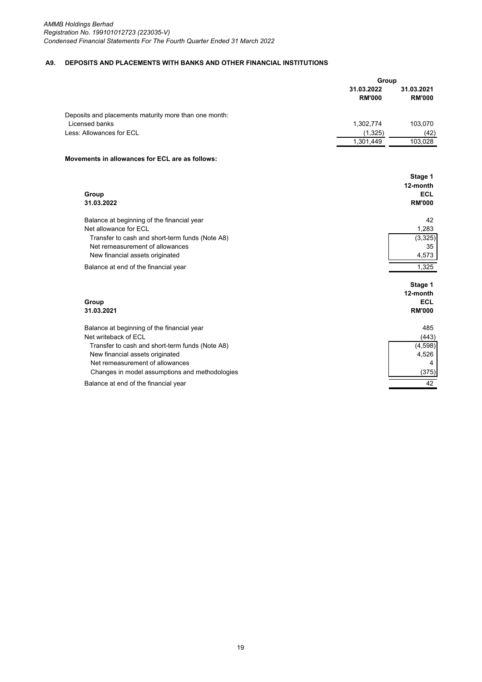## **A9. DEPOSITS AND PLACEMENTS WITH BANKS AND OTHER FINANCIAL INSTITUTIONS**

|                                                       | Group                       |                             |
|-------------------------------------------------------|-----------------------------|-----------------------------|
|                                                       | 31.03.2022<br><b>RM'000</b> | 31.03.2021<br><b>RM'000</b> |
| Deposits and placements maturity more than one month: |                             |                             |
| Licensed banks                                        | 1,302,774                   | 103,070                     |
| Less: Allowances for ECL                              | (1, 325)                    | (42)                        |
|                                                       | 1,301,449                   | 103,028                     |
| Movements in allowances for ECL are as follows:       |                             |                             |
|                                                       |                             | Stage 1                     |
|                                                       |                             | 12-month                    |
| Group                                                 |                             | <b>ECL</b>                  |
| 31.03.2022                                            |                             | <b>RM'000</b>               |
| Balance at beginning of the financial year            |                             | 42                          |
| Net allowance for ECL                                 |                             | 1,283                       |
| Transfer to cash and short-term funds (Note A8)       |                             | (3,325)                     |
| Net remeasurement of allowances                       |                             | 35                          |
| New financial assets originated                       |                             | 4,573                       |
| Balance at end of the financial year                  |                             | 1.325                       |
|                                                       |                             | Stage 1                     |
|                                                       |                             | 12-month                    |
| Group                                                 |                             | <b>ECL</b>                  |
| 31.03.2021                                            |                             | <b>RM'000</b>               |
| Balance at beginning of the financial year            |                             | 485                         |
| Net writeback of ECL                                  |                             | (443)                       |
| Transfer to cash and short-term funds (Note A8)       |                             | (4,598)                     |
| New financial assets originated                       |                             | 4,526                       |
| Net remeasurement of allowances                       |                             | 4                           |
| Changes in model assumptions and methodologies        |                             | (375)                       |
| Balance at end of the financial year                  |                             | 42                          |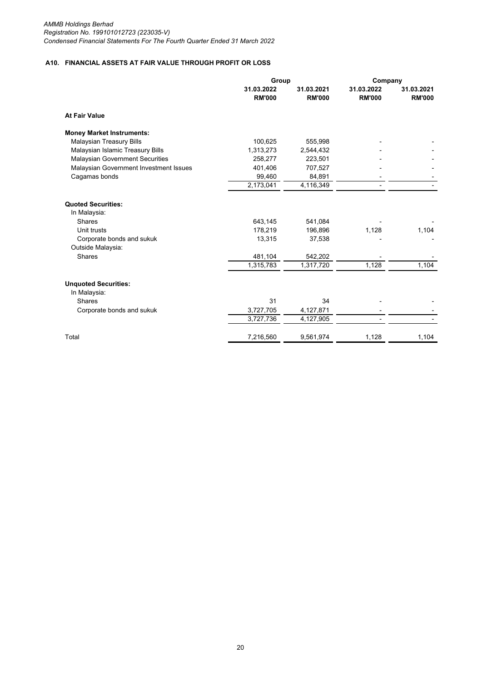# **A10. FINANCIAL ASSETS AT FAIR VALUE THROUGH PROFIT OR LOSS**

|                                           | Group                       |                             | Company                     |                             |
|-------------------------------------------|-----------------------------|-----------------------------|-----------------------------|-----------------------------|
|                                           | 31.03.2022<br><b>RM'000</b> | 31.03.2021<br><b>RM'000</b> | 31.03.2022<br><b>RM'000</b> | 31.03.2021<br><b>RM'000</b> |
| <b>At Fair Value</b>                      |                             |                             |                             |                             |
| <b>Money Market Instruments:</b>          |                             |                             |                             |                             |
| <b>Malaysian Treasury Bills</b>           | 100,625                     | 555,998                     |                             |                             |
| Malaysian Islamic Treasury Bills          | 1,313,273                   | 2,544,432                   |                             |                             |
| <b>Malaysian Government Securities</b>    | 258,277                     | 223,501                     |                             |                             |
| Malaysian Government Investment Issues    | 401,406                     | 707,527                     |                             |                             |
| Cagamas bonds                             | 99,460                      | 84,891                      |                             |                             |
|                                           | 2,173,041                   | 4,116,349                   |                             |                             |
| <b>Quoted Securities:</b><br>In Malaysia: |                             |                             |                             |                             |
| <b>Shares</b>                             | 643,145                     | 541,084                     |                             |                             |
| Unit trusts                               | 178,219                     | 196,896                     | 1,128                       | 1,104                       |
| Corporate bonds and sukuk                 | 13,315                      | 37,538                      |                             |                             |
| Outside Malaysia:                         |                             |                             |                             |                             |
| <b>Shares</b>                             | 481,104                     | 542,202                     |                             |                             |
|                                           | 1,315,783                   | 1,317,720                   | 1,128                       | 1,104                       |
| <b>Unquoted Securities:</b>               |                             |                             |                             |                             |
| In Malaysia:                              |                             |                             |                             |                             |
| <b>Shares</b>                             | 31                          | 34                          |                             |                             |
| Corporate bonds and sukuk                 | 3,727,705                   | 4,127,871                   |                             |                             |
|                                           | 3,727,736                   | 4,127,905                   |                             |                             |
| Total                                     | 7,216,560                   | 9,561,974                   | 1,128                       | 1,104                       |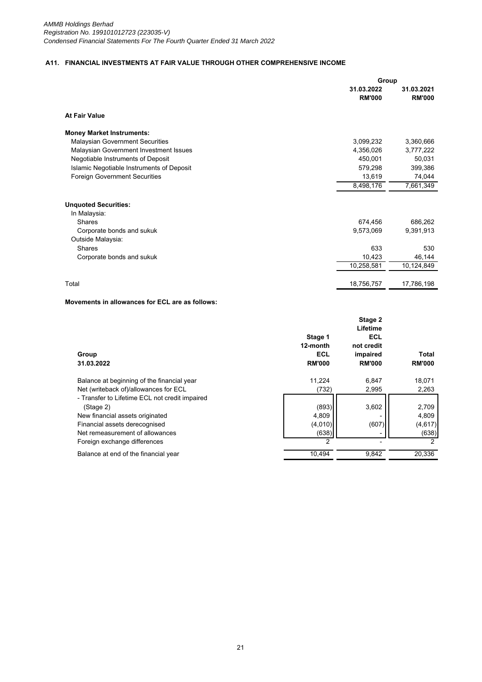# **A11. FINANCIAL INVESTMENTS AT FAIR VALUE THROUGH OTHER COMPREHENSIVE INCOME**

|                                           | Group                       |                             |
|-------------------------------------------|-----------------------------|-----------------------------|
|                                           | 31.03.2022<br><b>RM'000</b> | 31.03.2021<br><b>RM'000</b> |
| <b>At Fair Value</b>                      |                             |                             |
| <b>Money Market Instruments:</b>          |                             |                             |
| <b>Malaysian Government Securities</b>    | 3,099,232                   | 3,360,666                   |
| Malaysian Government Investment Issues    | 4,356,026                   | 3,777,222                   |
| Negotiable Instruments of Deposit         | 450,001                     | 50,031                      |
| Islamic Negotiable Instruments of Deposit | 579,298                     | 399,386                     |
| <b>Foreign Government Securities</b>      | 13,619                      | 74,044                      |
|                                           | 8,498,176                   | 7,661,349                   |
| <b>Unquoted Securities:</b>               |                             |                             |
| In Malaysia:                              |                             |                             |
| <b>Shares</b>                             | 674,456                     | 686,262                     |
| Corporate bonds and sukuk                 | 9,573,069                   | 9,391,913                   |
| Outside Malaysia:                         |                             |                             |
| <b>Shares</b>                             | 633                         | 530                         |
| Corporate bonds and sukuk                 | 10,423                      | 46,144                      |
|                                           | 10,258,581                  | 10,124,849                  |
|                                           |                             |                             |
| Total                                     | 18,756,757                  | 17,786,198                  |

## **Movements in allowances for ECL are as follows:**

| Group<br>31.03.2022                                                                                                                                                                                | Stage 1<br>12-month<br>ECL<br><b>RM'000</b> | Stage 2<br>Lifetime<br>ECL<br>not credit<br>impaired<br><b>RM'000</b> | Total<br><b>RM'000</b>                  |
|----------------------------------------------------------------------------------------------------------------------------------------------------------------------------------------------------|---------------------------------------------|-----------------------------------------------------------------------|-----------------------------------------|
| Balance at beginning of the financial year<br>Net (writeback of)/allowances for ECL                                                                                                                | 11.224<br>(732)                             | 6,847<br>2,995                                                        | 18,071<br>2,263                         |
| - Transfer to Lifetime ECL not credit impaired<br>(Stage 2)<br>New financial assets originated<br>Financial assets derecognised<br>Net remeasurement of allowances<br>Foreign exchange differences | (893)<br>4,809<br>(4,010)<br>(638)<br>2     | 3,602<br>(607)                                                        | 2,709<br>4,809<br>(4,617)<br>(638)<br>2 |
| Balance at end of the financial year                                                                                                                                                               | 10,494                                      | 9,842                                                                 | 20,336                                  |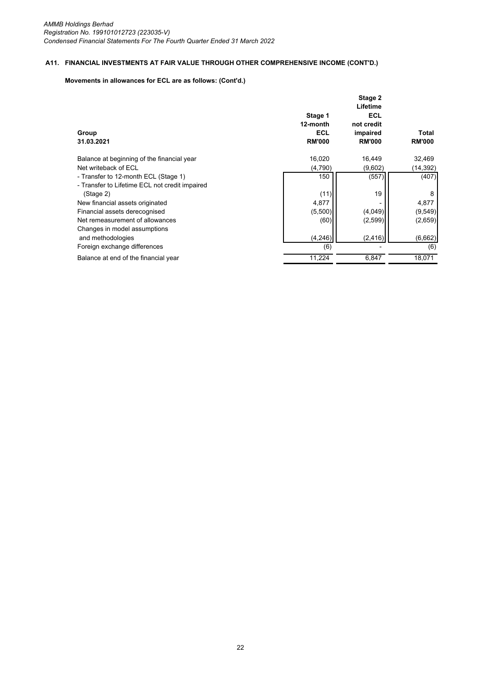# **A11. FINANCIAL INVESTMENTS AT FAIR VALUE THROUGH OTHER COMPREHENSIVE INCOME (CONT'D.)**

# **Movements in allowances for ECL are as follows: (Cont'd.)**

| Group                                                                                  | Stage 1<br>12-month<br><b>ECL</b> | Stage 2<br>Lifetime<br><b>ECL</b><br>not credit<br>impaired | Total         |
|----------------------------------------------------------------------------------------|-----------------------------------|-------------------------------------------------------------|---------------|
| 31.03.2021                                                                             | <b>RM'000</b>                     | <b>RM'000</b>                                               | <b>RM'000</b> |
| Balance at beginning of the financial year                                             | 16,020                            | 16,449                                                      | 32,469        |
| Net writeback of ECL                                                                   | (4,790)                           | (9,602)                                                     | (14,392)      |
| - Transfer to 12-month ECL (Stage 1)<br>- Transfer to Lifetime ECL not credit impaired | 150                               | (557)                                                       | (407)         |
| (Stage 2)                                                                              | (11)                              | 19                                                          | 8             |
| New financial assets originated                                                        | 4,877                             |                                                             | 4,877         |
| Financial assets derecognised                                                          | (5,500)                           | (4,049)                                                     | (9, 549)      |
| Net remeasurement of allowances<br>Changes in model assumptions                        | (60)                              | (2,599)                                                     | (2,659)       |
| and methodologies                                                                      | (4, 246)                          | (2, 416)                                                    | (6,662)       |
| Foreign exchange differences                                                           | (6)                               |                                                             | (6)           |
| Balance at end of the financial year                                                   | 11.224                            | 6,847                                                       | 18,071        |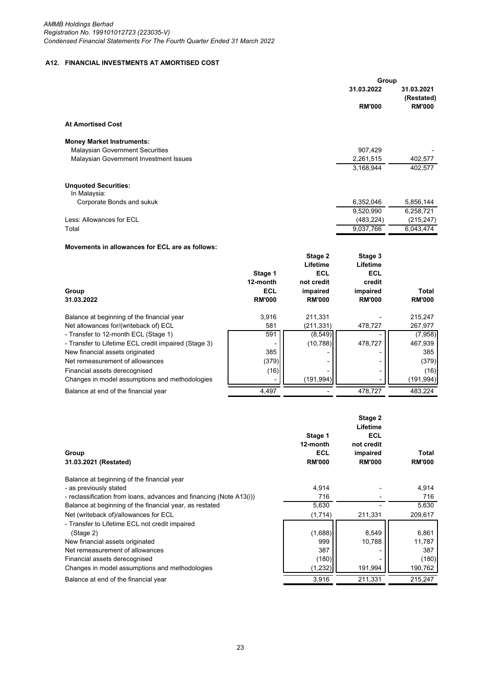# **A12. FINANCIAL INVESTMENTS AT AMORTISED COST**

|                                                      |               |               | Group         |                          |
|------------------------------------------------------|---------------|---------------|---------------|--------------------------|
|                                                      |               |               | 31.03.2022    | 31.03.2021<br>(Restated) |
|                                                      |               |               | <b>RM'000</b> | <b>RM'000</b>            |
| <b>At Amortised Cost</b>                             |               |               |               |                          |
| <b>Money Market Instruments:</b>                     |               |               |               |                          |
| <b>Malaysian Government Securities</b>               |               |               | 907,429       |                          |
| Malaysian Government Investment Issues               |               |               | 2,261,515     | 402,577                  |
|                                                      |               |               | 3,168,944     | 402,577                  |
| <b>Unquoted Securities:</b><br>In Malaysia:          |               |               |               |                          |
| Corporate Bonds and sukuk                            |               |               | 6,352,046     | 5,856,144                |
|                                                      |               |               | 9,520,990     | 6,258,721                |
| Less: Allowances for ECL                             |               |               | (483, 224)    | (215, 247)               |
| Total                                                |               |               | 9,037,766     | 6.043.474                |
| Movements in allowances for ECL are as follows:      |               |               |               |                          |
|                                                      |               | Stage 2       | Stage 3       |                          |
|                                                      |               | Lifetime      | Lifetime      |                          |
|                                                      | Stage 1       | <b>ECL</b>    | <b>ECL</b>    |                          |
|                                                      | 12-month      | not credit    | credit        |                          |
| Group                                                | <b>ECL</b>    | impaired      | impaired      | Total                    |
| 31.03.2022                                           | <b>RM'000</b> | <b>RM'000</b> | <b>RM'000</b> | <b>RM'000</b>            |
| Balance at beginning of the financial year           | 3,916         | 211,331       |               | 215,247                  |
| Net allowances for/(writeback of) ECL                | 581           | (211, 331)    | 478,727       | 267,977                  |
| - Transfer to 12-month ECL (Stage 1)                 | 591           | (8, 549)      |               | (7,958)                  |
| - Transfer to Lifetime ECL credit impaired (Stage 3) |               | (10, 788)     | 478,727       | 467,939                  |
|                                                      |               |               |               |                          |

New financial assets originated 385 - - 385 Net remeasurement of allowances (379) - - (379)

Financial assets derecognised  $(16)$   $\begin{bmatrix} 1 \end{bmatrix}$   $-1$   $-1$   $-1$   $-1$   $(16)$ Changes in model assumptions and methodologies  $\begin{bmatrix} 1 & 191,994 \end{bmatrix}$  (191,994) - (191,994 Balance at end of the financial year  $\overline{4,497}$   $\overline{4,497}$   $\overline{478,727}$   $\overline{478,727}$   $\overline{483,224}$ 

| Group<br>31.03.2021 (Restated)                                      | Stage 1<br>12-month<br>ECL<br><b>RM'000</b> | Stage 2<br>Lifetime<br><b>ECL</b><br>not credit<br>impaired<br><b>RM'000</b> | Total<br><b>RM'000</b> |
|---------------------------------------------------------------------|---------------------------------------------|------------------------------------------------------------------------------|------------------------|
| Balance at beginning of the financial year                          |                                             |                                                                              |                        |
| - as previously stated                                              | 4,914                                       |                                                                              | 4,914                  |
| - reclassification from loans, advances and financing (Note A13(i)) | 716                                         |                                                                              | 716                    |
| Balance at beginning of the financial year, as restated             | 5,630                                       |                                                                              | 5,630                  |
| Net (writeback of)/allowances for ECL                               | (1,714)                                     | 211,331                                                                      | 209,617                |
| - Transfer to Lifetime ECL not credit impaired                      |                                             |                                                                              |                        |
| (Stage 2)                                                           | (1,688)                                     | 8,549                                                                        | 6,861                  |
| New financial assets originated                                     | 999                                         | 10,788                                                                       | 11,787                 |
| Net remeasurement of allowances                                     | 387                                         |                                                                              | 387                    |
| Financial assets derecognised                                       | (180)                                       |                                                                              | (180)                  |
| Changes in model assumptions and methodologies                      | (1, 232)                                    | 191,994                                                                      | 190,762                |
| Balance at end of the financial year                                | 3,916                                       | 211,331                                                                      | 215,247                |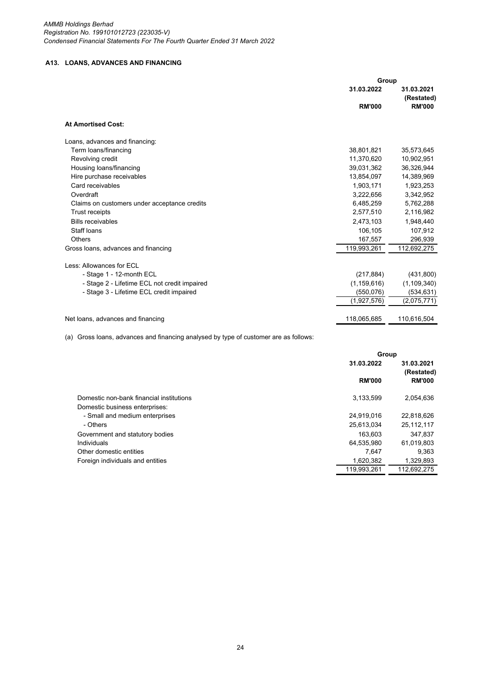*AMMB Holdings Berhad Registration No. 199101012723 (223035-V) Condensed Financial Statements For The Fourth Quarter Ended 31 March 2022*

# **A13. LOANS, ADVANCES AND FINANCING**

|                                              | Group         |                          |  |
|----------------------------------------------|---------------|--------------------------|--|
|                                              | 31.03.2022    | 31.03.2021<br>(Restated) |  |
|                                              | <b>RM'000</b> | <b>RM'000</b>            |  |
| <b>At Amortised Cost:</b>                    |               |                          |  |
| Loans, advances and financing:               |               |                          |  |
| Term loans/financing                         | 38,801,821    | 35,573,645               |  |
| Revolving credit                             | 11,370,620    | 10,902,951               |  |
| Housing loans/financing                      | 39,031,362    | 36,326,944               |  |
| Hire purchase receivables                    | 13,854,097    | 14,389,969               |  |
| Card receivables                             | 1,903,171     | 1,923,253                |  |
| Overdraft                                    | 3.222.656     | 3,342,952                |  |
| Claims on customers under acceptance credits | 6,485,259     | 5,762,288                |  |
| Trust receipts                               | 2,577,510     | 2,116,982                |  |
| <b>Bills receivables</b>                     | 2,473,103     | 1,948,440                |  |
| Staff loans                                  | 106,105       | 107,912                  |  |
| Others                                       | 167,557       | 296,939                  |  |
| Gross loans, advances and financing          | 119,993,261   | 112,692,275              |  |
| Less: Allowances for ECL                     |               |                          |  |
| - Stage 1 - 12-month ECL                     | (217, 884)    | (431, 800)               |  |
| - Stage 2 - Lifetime ECL not credit impaired | (1, 159, 616) | (1, 109, 340)            |  |
| - Stage 3 - Lifetime ECL credit impaired     | (550,076)     | (534, 631)               |  |
|                                              | (1,927,576)   | (2,075,771)              |  |
| Net loans, advances and financing            | 118,065,685   | 110,616,504              |  |

(a) Gross loans, advances and financing analysed by type of customer are as follows:

|                                          | Group         |                          |
|------------------------------------------|---------------|--------------------------|
|                                          | 31.03.2022    | 31.03.2021<br>(Restated) |
|                                          | <b>RM'000</b> | <b>RM'000</b>            |
| Domestic non-bank financial institutions | 3,133,599     | 2,054,636                |
| Domestic business enterprises:           |               |                          |
| - Small and medium enterprises           | 24,919,016    | 22,818,626               |
| - Others                                 | 25,613,034    | 25,112,117               |
| Government and statutory bodies          | 163.603       | 347.837                  |
| Individuals                              | 64,535,980    | 61.019.803               |
| Other domestic entities                  | 7.647         | 9.363                    |
| Foreign individuals and entities         | 1,620,382     | 1,329,893                |
|                                          | 119.993.261   | 112.692.275              |
|                                          |               |                          |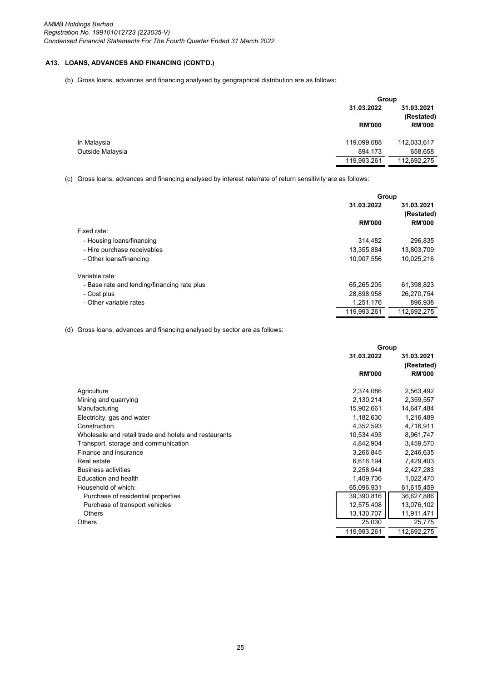(b) Gross loans, advances and financing analysed by geographical distribution are as follows:

|                  |               | Group                    |  |
|------------------|---------------|--------------------------|--|
|                  | 31.03.2022    | 31.03.2021<br>(Restated) |  |
|                  | <b>RM'000</b> | <b>RM'000</b>            |  |
| In Malaysia      | 119,099,088   | 112,033,617              |  |
| Outside Malaysia | 894.173       | 658,658                  |  |
|                  | 119,993,261   | 112,692,275              |  |

(c) Gross loans, advances and financing analysed by interest rate/rate of return sensitivity are as follows:

|                                             | Group         |                          |  |
|---------------------------------------------|---------------|--------------------------|--|
|                                             | 31.03.2022    | 31.03.2021<br>(Restated) |  |
|                                             | <b>RM'000</b> | <b>RM'000</b>            |  |
| Fixed rate:                                 |               |                          |  |
| - Housing loans/financing                   | 314.482       | 296,835                  |  |
| - Hire purchase receivables                 | 13,355,884    | 13,803,709               |  |
| - Other loans/financing                     | 10,907,556    | 10,025,216               |  |
| Variable rate:                              |               |                          |  |
| - Base rate and lending/financing rate plus | 65,265,205    | 61,398,823               |  |
| - Cost plus                                 | 28,898,958    | 26,270,754               |  |
| - Other variable rates                      | 1,251,176     | 896,938                  |  |
|                                             | 119.993.261   | 112.692.275              |  |

(d) Gross loans, advances and financing analysed by sector are as follows:

|                                                       | Group         |               |
|-------------------------------------------------------|---------------|---------------|
|                                                       | 31.03.2022    | 31.03.2021    |
|                                                       |               | (Restated)    |
|                                                       | <b>RM'000</b> | <b>RM'000</b> |
| Agriculture                                           | 2,374,086     | 2,563,492     |
| Mining and quarrying                                  | 2,130,214     | 2,359,557     |
| Manufacturing                                         | 15,902,661    | 14,647,484    |
| Electricity, gas and water                            | 1,182,630     | 1,216,489     |
| Construction                                          | 4,352,593     | 4,716,911     |
| Wholesale and retail trade and hotels and restaurants | 10,534,493    | 8,961,747     |
| Transport, storage and communication                  | 4,842,904     | 3,459,570     |
| Finance and insurance                                 | 3,266,845     | 2,246,635     |
| Real estate                                           | 6,616,194     | 7,429,403     |
| <b>Business activities</b>                            | 2,258,944     | 2,427,283     |
| Education and health                                  | 1,409,736     | 1,022,470     |
| Household of which:                                   | 65,096,931    | 61,615,459    |
| Purchase of residential properties                    | 39,390,816    | 36,627,886    |
| Purchase of transport vehicles                        | 12,575,408    | 13,076,102    |
| Others                                                | 13,130,707    | 11,911,471    |
| <b>Others</b>                                         | 25,030        | 25,775        |
|                                                       | 119,993,261   | 112,692,275   |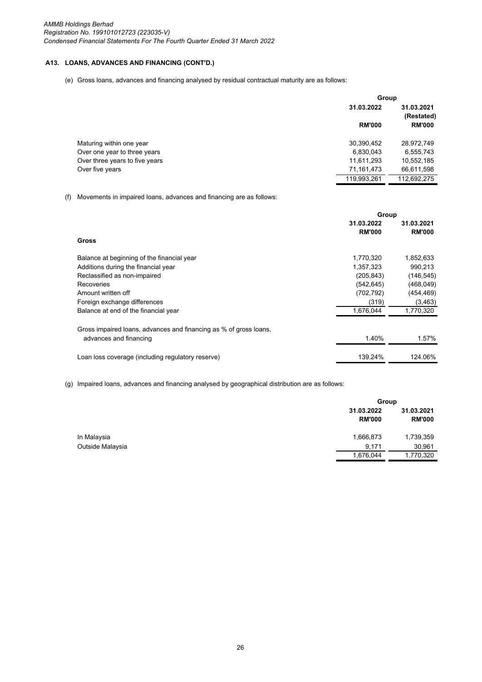(e) Gross loans, advances and financing analysed by residual contractual maturity are as follows:

|                                | Group         |               |
|--------------------------------|---------------|---------------|
|                                | 31.03.2022    | 31.03.2021    |
|                                |               | (Restated)    |
|                                | <b>RM'000</b> | <b>RM'000</b> |
| Maturing within one year       | 30,390,452    | 28,972,749    |
| Over one year to three years   | 6,830,043     | 6,555,743     |
| Over three years to five years | 11,611,293    | 10,552,185    |
| Over five years                | 71,161,473    | 66,611,598    |
|                                | 119,993,261   | 112,692,275   |

(f) Movements in impaired loans, advances and financing are as follows:

|                                                                   | Group         |               |
|-------------------------------------------------------------------|---------------|---------------|
|                                                                   | 31.03.2022    | 31.03.2021    |
|                                                                   | <b>RM'000</b> | <b>RM'000</b> |
| Gross                                                             |               |               |
| Balance at beginning of the financial year                        | 1,770,320     | 1,852,633     |
| Additions during the financial year                               | 1,357,323     | 990.213       |
| Reclassified as non-impaired                                      | (205, 843)    | (146, 545)    |
| Recoveries                                                        | (542, 645)    | (468, 049)    |
| Amount written off                                                | (702, 792)    | (454, 469)    |
| Foreign exchange differences                                      | (319)         | (3,463)       |
| Balance at end of the financial year                              | 1,676,044     | 1,770,320     |
| Gross impaired loans, advances and financing as % of gross loans, |               |               |
| advances and financing                                            | 1.40%         | 1.57%         |
| Loan loss coverage (including regulatory reserve)                 | 139.24%       | 124.06%       |

(g) Impaired loans, advances and financing analysed by geographical distribution are as follows:

|                  |                             | Group                       |  |
|------------------|-----------------------------|-----------------------------|--|
|                  | 31.03.2022<br><b>RM'000</b> | 31.03.2021<br><b>RM'000</b> |  |
| In Malaysia      | 1,666,873                   | 1,739,359                   |  |
| Outside Malaysia | 9,171                       | 30,961                      |  |
|                  | 1,676,044                   | 1,770,320                   |  |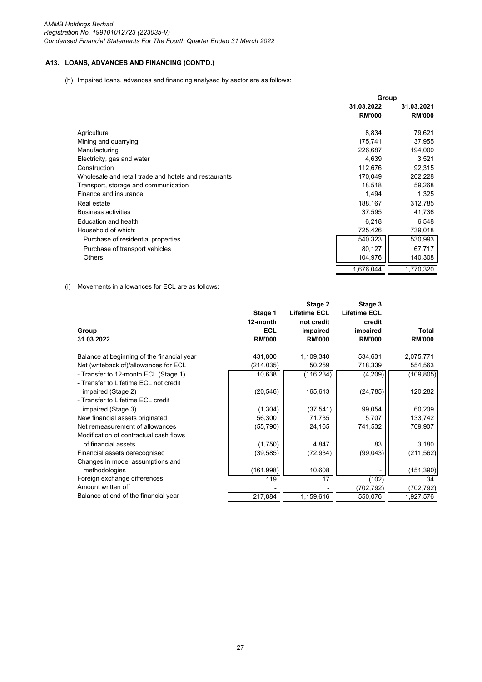(h) Impaired loans, advances and financing analysed by sector are as follows:

|                                                       | Group         |               |
|-------------------------------------------------------|---------------|---------------|
|                                                       | 31.03.2022    | 31.03.2021    |
|                                                       | <b>RM'000</b> | <b>RM'000</b> |
| Agriculture                                           | 8,834         | 79,621        |
| Mining and quarrying                                  | 175,741       | 37,955        |
| Manufacturing                                         | 226,687       | 194,000       |
| Electricity, gas and water                            | 4,639         | 3,521         |
| Construction                                          | 112,676       | 92,315        |
| Wholesale and retail trade and hotels and restaurants | 170,049       | 202,228       |
| Transport, storage and communication                  | 18,518        | 59,268        |
| Finance and insurance                                 | 1,494         | 1,325         |
| Real estate                                           | 188,167       | 312,785       |
| <b>Business activities</b>                            | 37,595        | 41,736        |
| Education and health                                  | 6,218         | 6,548         |
| Household of which:                                   | 725,426       | 739,018       |
| Purchase of residential properties                    | 540,323       | 530,993       |
| Purchase of transport vehicles                        | 80,127        | 67,717        |
| <b>Others</b>                                         | 104,976       | 140,308       |
|                                                       | 1,676,044     | 1,770,320     |

(i) Movements in allowances for ECL are as follows:

| Group<br>31.03.2022                                                           | Stage 1<br>12-month<br><b>ECL</b><br><b>RM'000</b> | Stage 2<br><b>Lifetime ECL</b><br>not credit<br>impaired<br><b>RM'000</b> | Stage 3<br><b>Lifetime ECL</b><br>credit<br>impaired<br><b>RM'000</b> | Total<br><b>RM'000</b> |
|-------------------------------------------------------------------------------|----------------------------------------------------|---------------------------------------------------------------------------|-----------------------------------------------------------------------|------------------------|
| Balance at beginning of the financial year                                    | 431,800                                            | 1,109,340                                                                 | 534,631                                                               | 2,075,771              |
| Net (writeback of)/allowances for ECL                                         | (214, 035)                                         | 50,259                                                                    | 718,339                                                               | 554,563                |
| - Transfer to 12-month ECL (Stage 1)<br>- Transfer to Lifetime ECL not credit | 10,638                                             | (116, 234)                                                                | (4, 209)                                                              | (109, 805)             |
| impaired (Stage 2)<br>- Transfer to Lifetime ECL credit                       | (20, 546)                                          | 165,613                                                                   | (24, 785)                                                             | 120,282                |
| impaired (Stage 3)                                                            | (1, 304)                                           | (37, 541)                                                                 | 99,054                                                                | 60,209                 |
| New financial assets originated                                               | 56,300                                             | 71,735                                                                    | 5,707                                                                 | 133,742                |
| Net remeasurement of allowances<br>Modification of contractual cash flows     | (55, 790)                                          | 24,165                                                                    | 741,532                                                               | 709,907                |
| of financial assets                                                           | (1,750)                                            | 4,847                                                                     | 83                                                                    | 3,180                  |
| Financial assets derecognised                                                 | (39, 585)                                          | (72, 934)                                                                 | (99,043)                                                              | (211, 562)             |
| Changes in model assumptions and<br>methodologies                             | (161,998)                                          | 10,608                                                                    |                                                                       | (151, 390)             |
| Foreign exchange differences                                                  | 119                                                | 17                                                                        | (102)                                                                 | 34                     |
| Amount written off                                                            |                                                    |                                                                           | (702,792)                                                             | (702, 792)             |
| Balance at end of the financial year                                          | 217,884                                            | 1,159,616                                                                 | 550,076                                                               | 1,927,576              |
|                                                                               |                                                    |                                                                           |                                                                       |                        |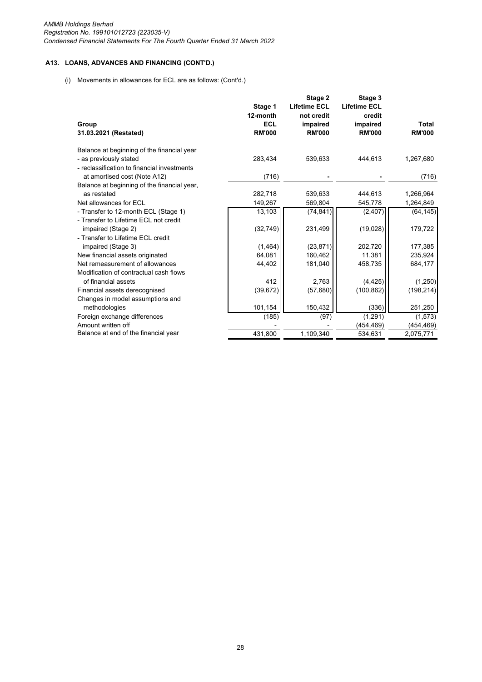(i) Movements in allowances for ECL are as follows: (Cont'd.)

|                                                                                                                     | Stage 1                | Stage 2<br><b>Lifetime ECL</b> | Stage 3<br><b>Lifetime ECL</b> |               |
|---------------------------------------------------------------------------------------------------------------------|------------------------|--------------------------------|--------------------------------|---------------|
| Group                                                                                                               | 12-month<br><b>ECL</b> | not credit<br>impaired         | credit<br>impaired             | <b>Total</b>  |
| 31.03.2021 (Restated)                                                                                               | <b>RM'000</b>          | <b>RM'000</b>                  | <b>RM'000</b>                  | <b>RM'000</b> |
| Balance at beginning of the financial year<br>- as previously stated<br>- reclassification to financial investments | 283,434                | 539,633                        | 444,613                        | 1,267,680     |
| at amortised cost (Note A12)                                                                                        | (716)                  |                                |                                | (716)         |
| Balance at beginning of the financial year,                                                                         |                        |                                |                                |               |
| as restated                                                                                                         | 282,718                | 539,633                        | 444,613                        | 1,266,964     |
| Net allowances for ECL                                                                                              | 149,267                | 569,804                        | 545,778                        | 1,264,849     |
| - Transfer to 12-month ECL (Stage 1)                                                                                | 13,103                 | (74, 841)                      | (2, 407)                       | (64, 145)     |
| - Transfer to Lifetime ECL not credit<br>impaired (Stage 2)<br>- Transfer to Lifetime ECL credit                    | (32, 749)              | 231,499                        | (19,028)                       | 179,722       |
| impaired (Stage 3)                                                                                                  | (1, 464)               | (23, 871)                      | 202,720                        | 177,385       |
| New financial assets originated                                                                                     | 64,081                 | 160,462                        | 11,381                         | 235,924       |
| Net remeasurement of allowances                                                                                     | 44,402                 | 181,040                        | 458,735                        | 684,177       |
| Modification of contractual cash flows<br>of financial assets                                                       | 412                    | 2,763                          | (4, 425)                       | (1,250)       |
| Financial assets derecognised                                                                                       | (39, 672)              | (57,680)                       | (100, 862)                     | (198, 214)    |
| Changes in model assumptions and                                                                                    |                        |                                |                                |               |
| methodologies                                                                                                       | 101,154                | 150,432                        | (336)                          | 251,250       |
| Foreign exchange differences                                                                                        | (185)                  | (97)                           | (1, 291)                       | (1, 573)      |
| Amount written off                                                                                                  |                        |                                | (454, 469)                     | (454, 469)    |
| Balance at end of the financial year                                                                                | 431,800                | 1,109,340                      | 534,631                        | 2,075,771     |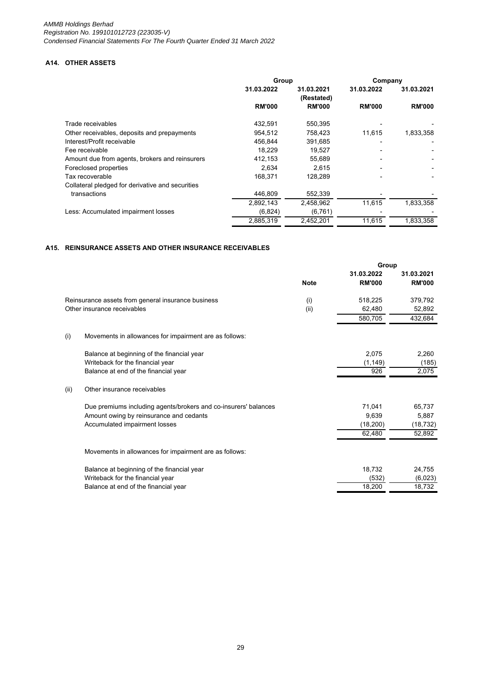# **A14. OTHER ASSETS**

|                                                  | Group         |                          | Company       |               |
|--------------------------------------------------|---------------|--------------------------|---------------|---------------|
|                                                  | 31.03.2022    | 31.03.2021<br>(Restated) | 31.03.2022    | 31.03.2021    |
|                                                  | <b>RM'000</b> | <b>RM'000</b>            | <b>RM'000</b> | <b>RM'000</b> |
| Trade receivables                                | 432,591       | 550,395                  |               |               |
| Other receivables, deposits and prepayments      | 954,512       | 758,423                  | 11,615        | 1,833,358     |
| Interest/Profit receivable                       | 456.844       | 391,685                  |               |               |
| Fee receivable                                   | 18.229        | 19.527                   |               |               |
| Amount due from agents, brokers and reinsurers   | 412,153       | 55.689                   |               |               |
| Foreclosed properties                            | 2,634         | 2,615                    |               |               |
| Tax recoverable                                  | 168,371       | 128.289                  |               |               |
| Collateral pledged for derivative and securities |               |                          |               |               |
| transactions                                     | 446,809       | 552.339                  |               |               |
|                                                  | 2,892,143     | 2,458,962                | 11,615        | 1,833,358     |
| Less: Accumulated impairment losses              | (6,824)       | (6, 761)                 |               |               |
|                                                  | 2,885,319     | 2,452,201                | 11.615        | 1.833.358     |

## **A15. REINSURANCE ASSETS AND OTHER INSURANCE RECEIVABLES**

|      |                                                                 | Group       |               |               |
|------|-----------------------------------------------------------------|-------------|---------------|---------------|
|      |                                                                 |             | 31.03.2022    | 31.03.2021    |
|      |                                                                 | <b>Note</b> | <b>RM'000</b> | <b>RM'000</b> |
|      | Reinsurance assets from general insurance business              | (i)         | 518,225       | 379,792       |
|      | Other insurance receivables                                     | (ii)        | 62,480        | 52,892        |
|      |                                                                 |             | 580,705       | 432,684       |
| (i)  | Movements in allowances for impairment are as follows:          |             |               |               |
|      | Balance at beginning of the financial year                      |             | 2,075         | 2,260         |
|      | Writeback for the financial year                                |             | (1, 149)      | (185)         |
|      | Balance at end of the financial year                            |             | 926           | 2,075         |
| (ii) | Other insurance receivables                                     |             |               |               |
|      | Due premiums including agents/brokers and co-insurers' balances |             | 71,041        | 65,737        |
|      | Amount owing by reinsurance and cedants                         |             | 9,639         | 5,887         |
|      | Accumulated impairment losses                                   |             | (18, 200)     | (18, 732)     |
|      |                                                                 |             | 62,480        | 52,892        |
|      | Movements in allowances for impairment are as follows:          |             |               |               |
|      | Balance at beginning of the financial year                      |             | 18,732        | 24,755        |
|      | Writeback for the financial year                                |             | (532)         | (6,023)       |
|      | Balance at end of the financial year                            |             | 18,200        | 18,732        |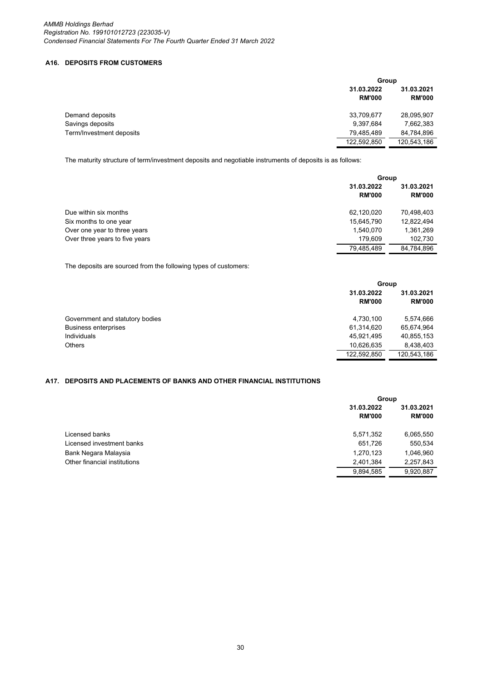## **A16. DEPOSITS FROM CUSTOMERS**

|                          | Group                       |                             |
|--------------------------|-----------------------------|-----------------------------|
|                          | 31.03.2022<br><b>RM'000</b> | 31.03.2021<br><b>RM'000</b> |
| Demand deposits          | 33,709,677                  | 28,095,907                  |
| Savings deposits         | 9,397,684                   | 7,662,383                   |
| Term/Investment deposits | 79,485,489                  | 84,784,896                  |
|                          | 122,592,850                 | 120,543,186                 |

The maturity structure of term/investment deposits and negotiable instruments of deposits is as follows:

|                                |               | Group         |  |
|--------------------------------|---------------|---------------|--|
|                                | 31.03.2022    | 31.03.2021    |  |
|                                | <b>RM'000</b> | <b>RM'000</b> |  |
| Due within six months          | 62,120,020    | 70,498,403    |  |
| Six months to one year         | 15,645,790    | 12,822,494    |  |
| Over one year to three years   | 1,540,070     | 1,361,269     |  |
| Over three years to five years | 179.609       | 102.730       |  |
|                                | 79.485.489    | 84,784,896    |  |

The deposits are sourced from the following types of customers:

|                                 |                             | Group                       |  |
|---------------------------------|-----------------------------|-----------------------------|--|
|                                 | 31.03.2022<br><b>RM'000</b> | 31.03.2021<br><b>RM'000</b> |  |
| Government and statutory bodies | 4,730,100                   | 5,574,666                   |  |
| <b>Business enterprises</b>     | 61,314,620                  | 65,674,964                  |  |
| Individuals                     | 45,921,495                  | 40,855,153                  |  |
| Others                          | 10,626,635                  | 8,438,403                   |  |
|                                 | 122,592,850                 | 120,543,186                 |  |

# **A17. DEPOSITS AND PLACEMENTS OF BANKS AND OTHER FINANCIAL INSTITUTIONS**

|                              |                             | Group                       |  |
|------------------------------|-----------------------------|-----------------------------|--|
|                              | 31.03.2022<br><b>RM'000</b> | 31.03.2021<br><b>RM'000</b> |  |
| Licensed banks               | 5,571,352                   | 6,065,550                   |  |
| Licensed investment banks    | 651,726                     | 550,534                     |  |
| Bank Negara Malaysia         | 1,270,123                   | 1,046,960                   |  |
| Other financial institutions | 2,401,384                   | 2,257,843                   |  |
|                              | 9,894,585                   | 9,920,887                   |  |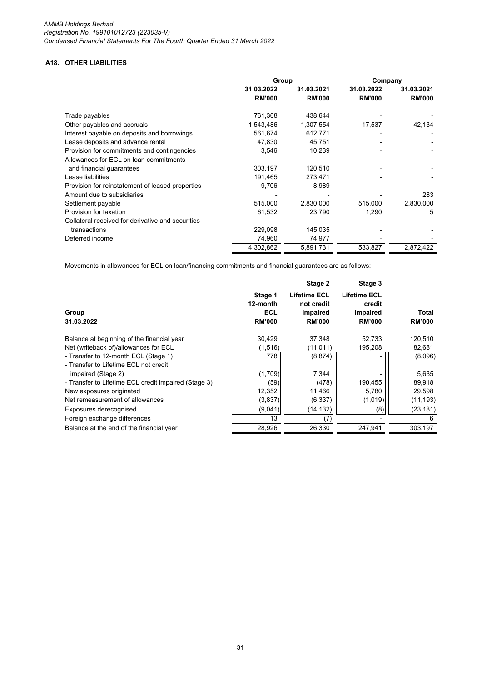# **A18. OTHER LIABILITIES**

|                                                   | Group         |               | Company       |               |
|---------------------------------------------------|---------------|---------------|---------------|---------------|
|                                                   | 31.03.2022    | 31.03.2021    | 31.03.2022    | 31.03.2021    |
|                                                   | <b>RM'000</b> | <b>RM'000</b> | <b>RM'000</b> | <b>RM'000</b> |
| Trade payables                                    | 761,368       | 438,644       |               |               |
| Other payables and accruals                       | 1,543,486     | 1,307,554     | 17,537        | 42,134        |
| Interest payable on deposits and borrowings       | 561,674       | 612,771       |               |               |
| Lease deposits and advance rental                 | 47.830        | 45.751        |               |               |
| Provision for commitments and contingencies       | 3,546         | 10,239        |               |               |
| Allowances for ECL on loan commitments            |               |               |               |               |
| and financial guarantees                          | 303,197       | 120,510       |               |               |
| Lease liabilities                                 | 191,465       | 273,471       |               |               |
| Provision for reinstatement of leased properties  | 9,706         | 8.989         |               |               |
| Amount due to subsidiaries                        |               |               |               | 283           |
| Settlement payable                                | 515,000       | 2,830,000     | 515,000       | 2,830,000     |
| Provision for taxation                            | 61,532        | 23,790        | 1,290         | 5             |
| Collateral received for derivative and securities |               |               |               |               |
| transactions                                      | 229,098       | 145,035       |               |               |
| Deferred income                                   | 74,960        | 74,977        |               |               |
|                                                   | 4,302,862     | 5,891,731     | 533,827       | 2,872,422     |

Movements in allowances for ECL on loan/financing commitments and financial guarantees are as follows:

|                                                                               |                                             | Stage 2                                                        | Stage 3                                                    |                        |
|-------------------------------------------------------------------------------|---------------------------------------------|----------------------------------------------------------------|------------------------------------------------------------|------------------------|
| Group<br>31.03.2022                                                           | Stage 1<br>12-month<br>ECL<br><b>RM'000</b> | <b>Lifetime ECL</b><br>not credit<br>impaired<br><b>RM'000</b> | <b>Lifetime ECL</b><br>credit<br>impaired<br><b>RM'000</b> | Total<br><b>RM'000</b> |
| Balance at beginning of the financial year                                    | 30,429                                      | 37,348                                                         | 52,733                                                     | 120,510                |
| Net (writeback of)/allowances for ECL                                         | (1,516)                                     | (11, 011)                                                      | 195,208                                                    | 182,681                |
| - Transfer to 12-month ECL (Stage 1)<br>- Transfer to Lifetime ECL not credit | 778                                         | (8, 874)                                                       |                                                            | (8,096)                |
| impaired (Stage 2)                                                            | (1,709)                                     | 7,344                                                          |                                                            | 5,635                  |
| - Transfer to Lifetime ECL credit impaired (Stage 3)                          | (59)                                        | (478)                                                          | 190,455                                                    | 189,918                |
| New exposures originated                                                      | 12,352                                      | 11,466                                                         | 5,780                                                      | 29,598                 |
| Net remeasurement of allowances                                               | (3,837)                                     | (6, 337)                                                       | (1,019)                                                    | (11, 193)              |
| Exposures derecognised                                                        | (9,041)                                     | (14, 132)                                                      | (8)                                                        | (23, 181)              |
| Foreign exchange differences                                                  | 13                                          | (7                                                             |                                                            | 6                      |
| Balance at the end of the financial year                                      | 28,926                                      | 26,330                                                         | 247,941                                                    | 303,197                |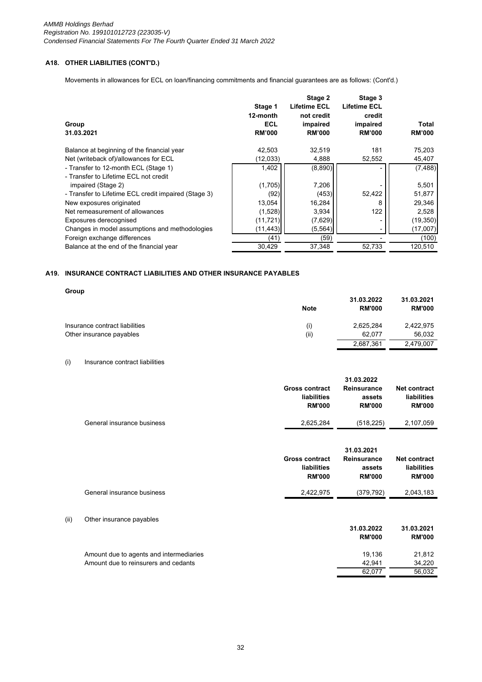# **A18. OTHER LIABILITIES (CONT'D.)**

Movements in allowances for ECL on loan/financing commitments and financial guarantees are as follows: (Cont'd.)

| Group<br>31.03.2021                                  | Stage 1<br>12-month<br><b>ECL</b><br><b>RM'000</b> | Stage 2<br><b>Lifetime ECL</b><br>not credit<br>impaired<br><b>RM'000</b> | Stage 3<br><b>Lifetime ECL</b><br>credit<br>impaired<br><b>RM'000</b> | Total<br><b>RM'000</b> |
|------------------------------------------------------|----------------------------------------------------|---------------------------------------------------------------------------|-----------------------------------------------------------------------|------------------------|
| Balance at beginning of the financial year           | 42,503                                             | 32,519                                                                    | 181                                                                   | 75,203                 |
| Net (writeback of)/allowances for ECL                | (12,033)                                           | 4,888                                                                     | 52,552                                                                | 45,407                 |
| - Transfer to 12-month ECL (Stage 1)                 | 1,402                                              | (8,890)                                                                   |                                                                       | (7, 488)               |
| - Transfer to Lifetime ECL not credit                |                                                    |                                                                           |                                                                       |                        |
| impaired (Stage 2)                                   | (1,705)                                            | 7,206                                                                     |                                                                       | 5,501                  |
| - Transfer to Lifetime ECL credit impaired (Stage 3) | (92)                                               | (453)                                                                     | 52,422                                                                | 51,877                 |
| New exposures originated                             | 13,054                                             | 16,284                                                                    | 8                                                                     | 29,346                 |
| Net remeasurement of allowances                      | (1,528)                                            | 3,934                                                                     | 122                                                                   | 2,528                  |
| Exposures derecognised                               | (11, 721)                                          | (7,629)                                                                   |                                                                       | (19, 350)              |
| Changes in model assumptions and methodologies       | (11, 443)                                          | (5, 564)                                                                  |                                                                       | (17,007)               |
| Foreign exchange differences                         | (41)                                               | (59)                                                                      |                                                                       | (100)                  |
| Balance at the end of the financial year             | 30,429                                             | 37,348                                                                    | 52,733                                                                | 120,510                |
|                                                      |                                                    |                                                                           |                                                                       |                        |

# **A19. INSURANCE CONTRACT LIABILITIES AND OTHER INSURANCE PAYABLES**

**Group**

|                                | <b>Note</b> | 31.03.2022<br><b>RM'000</b> | 31.03.2021<br><b>RM'000</b> |
|--------------------------------|-------------|-----------------------------|-----------------------------|
| Insurance contract liabilities | (i)         | 2,625,284                   | 2,422,975                   |
| Other insurance payables       | (i)         | 62.077                      | 56.032                      |
|                                |             | 2,687,361                   | 2.479.007                   |

## (i) Insurance contract liabilities

|                            | <b>Gross contract</b><br>liabilities<br><b>RM'000</b> | Reinsurance<br>assets<br><b>RM'000</b> | Net contract<br>liabilities<br><b>RM'000</b> |
|----------------------------|-------------------------------------------------------|----------------------------------------|----------------------------------------------|
| General insurance business | 2,625,284                                             | (518, 225)                             | 2,107,059                                    |

|      |                                         | <b>Gross contract</b><br>liabilities<br><b>RM'000</b> | 31.03.2021<br><b>Reinsurance</b><br>assets<br><b>RM'000</b> | <b>Net contract</b><br>liabilities<br><b>RM'000</b> |
|------|-----------------------------------------|-------------------------------------------------------|-------------------------------------------------------------|-----------------------------------------------------|
|      | General insurance business              | 2,422,975                                             | (379, 792)                                                  | 2,043,183                                           |
| (ii) | Other insurance payables                |                                                       | 31.03.2022<br><b>RM'000</b>                                 | 31.03.2021<br><b>RM'000</b>                         |
|      | Amount due to agents and intermediaries |                                                       | 19,136                                                      | 21,812                                              |
|      | Amount due to reinsurers and cedants    |                                                       | 42,941                                                      | 34,220                                              |
|      |                                         |                                                       | 62,077                                                      | 56,032                                              |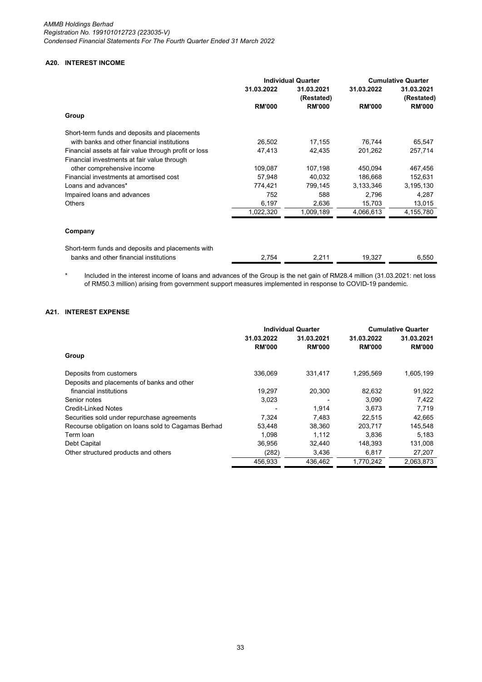# **A20. INTEREST INCOME**

|                                                       | <b>Individual Quarter</b> |                          | <b>Cumulative Quarter</b> |                          |
|-------------------------------------------------------|---------------------------|--------------------------|---------------------------|--------------------------|
|                                                       | 31.03.2022                | 31.03.2021<br>(Restated) | 31.03.2022                | 31.03.2021<br>(Restated) |
|                                                       | <b>RM'000</b>             | <b>RM'000</b>            | <b>RM'000</b>             | <b>RM'000</b>            |
| Group                                                 |                           |                          |                           |                          |
| Short-term funds and deposits and placements          |                           |                          |                           |                          |
| with banks and other financial institutions           | 26,502                    | 17,155                   | 76,744                    | 65,547                   |
| Financial assets at fair value through profit or loss | 47,413                    | 42,435                   | 201,262                   | 257,714                  |
| Financial investments at fair value through           |                           |                          |                           |                          |
| other comprehensive income                            | 109,087                   | 107,198                  | 450,094                   | 467,456                  |
| Financial investments at amortised cost               | 57,948                    | 40,032                   | 186,668                   | 152,631                  |
| Loans and advances*                                   | 774,421                   | 799,145                  | 3,133,346                 | 3,195,130                |
| Impaired loans and advances                           | 752                       | 588                      | 2,796                     | 4,287                    |
| <b>Others</b>                                         | 6,197                     | 2,636                    | 15,703                    | 13,015                   |
|                                                       | 1,022,320                 | 1,009,189                | 4,066,613                 | 4,155,780                |
| Company                                               |                           |                          |                           |                          |
| Short-term funds and deposits and placements with     |                           |                          |                           |                          |
| banks and other financial institutions                | 2,754                     | 2,211                    | 19,327                    | 6,550                    |

\* Included in the interest income of loans and advances of the Group is the net gain of RM28.4 million (31.03.2021: net loss of RM50.3 million) arising from government support measures implemented in response to COVID-19 pandemic.

## **A21. INTEREST EXPENSE**

|                                                     | <b>Individual Quarter</b> |               | <b>Cumulative Quarter</b> |               |  |
|-----------------------------------------------------|---------------------------|---------------|---------------------------|---------------|--|
|                                                     | 31.03.2022                | 31.03.2021    | 31.03.2022                | 31.03.2021    |  |
|                                                     | <b>RM'000</b>             | <b>RM'000</b> | <b>RM'000</b>             | <b>RM'000</b> |  |
| Group                                               |                           |               |                           |               |  |
| Deposits from customers                             | 336,069                   | 331,417       | 1,295,569                 | 1,605,199     |  |
| Deposits and placements of banks and other          |                           |               |                           |               |  |
| financial institutions                              | 19.297                    | 20,300        | 82.632                    | 91,922        |  |
| Senior notes                                        | 3.023                     |               | 3.090                     | 7.422         |  |
| <b>Credit-Linked Notes</b>                          |                           | 1,914         | 3,673                     | 7,719         |  |
| Securities sold under repurchase agreements         | 7,324                     | 7.483         | 22.515                    | 42,665        |  |
| Recourse obligation on loans sold to Cagamas Berhad | 53,448                    | 38,360        | 203.717                   | 145,548       |  |
| Term Ioan                                           | 1.098                     | 1.112         | 3.836                     | 5,183         |  |
| Debt Capital                                        | 36.956                    | 32.440        | 148.393                   | 131,008       |  |
| Other structured products and others                | (282)                     | 3,436         | 6,817                     | 27,207        |  |
|                                                     | 456.933                   | 436.462       | 1.770.242                 | 2,063,873     |  |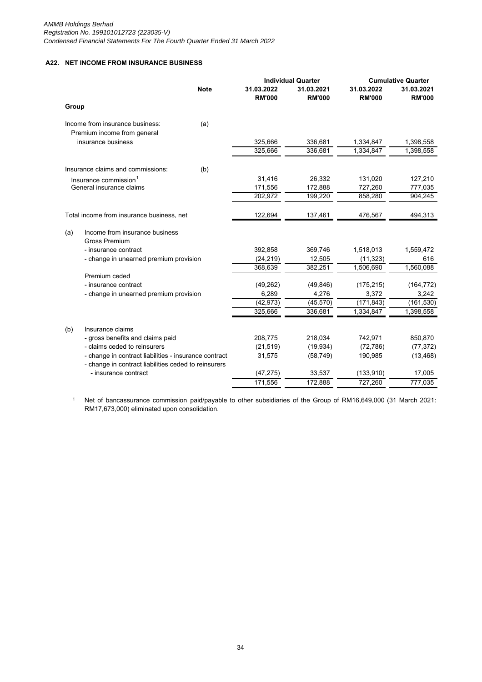# **A22. NET INCOME FROM INSURANCE BUSINESS**

|                                   |                                                        |             | <b>Individual Quarter</b>   |                             | <b>Cumulative Quarter</b>   |                             |
|-----------------------------------|--------------------------------------------------------|-------------|-----------------------------|-----------------------------|-----------------------------|-----------------------------|
|                                   |                                                        | <b>Note</b> | 31.03.2022<br><b>RM'000</b> | 31.03.2021<br><b>RM'000</b> | 31.03.2022<br><b>RM'000</b> | 31.03.2021<br><b>RM'000</b> |
| Group                             |                                                        |             |                             |                             |                             |                             |
|                                   | Income from insurance business:                        | (a)         |                             |                             |                             |                             |
|                                   | Premium income from general                            |             |                             |                             |                             |                             |
|                                   | insurance business                                     |             | 325,666                     | 336,681                     | 1,334,847                   | 1,398,558                   |
|                                   |                                                        |             | 325,666                     | 336,681                     | 1,334,847                   | 1,398,558                   |
|                                   | Insurance claims and commissions:                      | (b)         |                             |                             |                             |                             |
| Insurance commission <sup>1</sup> |                                                        |             | 31,416                      | 26,332                      | 131,020                     | 127,210                     |
|                                   | General insurance claims                               |             | 171,556                     | 172,888                     | 727,260                     | 777,035                     |
|                                   |                                                        |             | 202,972                     | 199,220                     | 858,280                     | 904,245                     |
|                                   | Total income from insurance business, net              |             | 122,694                     | 137,461                     | 476,567                     | 494,313                     |
| (a)                               | Income from insurance business<br><b>Gross Premium</b> |             |                             |                             |                             |                             |
|                                   | - insurance contract                                   |             | 392,858                     | 369,746                     | 1,518,013                   | 1,559,472                   |
|                                   | - change in unearned premium provision                 | (24, 219)   | 12,505                      | (11, 323)                   | 616                         |                             |
|                                   |                                                        |             | 368,639                     | 382,251                     | 1,506,690                   | 1,560,088                   |
|                                   | Premium ceded                                          |             |                             |                             |                             |                             |
|                                   | - insurance contract                                   |             | (49, 262)                   | (49, 846)                   | (175, 215)                  | (164, 772)                  |
|                                   | - change in unearned premium provision                 | 6,289       | 4,276                       | 3,372                       | 3,242                       |                             |
|                                   |                                                        |             | (42, 973)                   | (45, 570)                   | (171, 843)                  | (161, 530)                  |
|                                   |                                                        |             | 325,666                     | 336,681                     | 1,334,847                   | 1,398,558                   |
| (b)                               | Insurance claims                                       |             |                             |                             |                             |                             |
|                                   | - gross benefits and claims paid                       |             | 208,775                     | 218,034                     | 742,971                     | 850,870                     |
|                                   | - claims ceded to reinsurers                           |             | (21, 519)                   | (19, 934)                   | (72, 786)                   | (77, 372)                   |
|                                   | - change in contract liabilities - insurance contract  |             | 31,575                      | (58, 749)                   | 190,985                     | (13, 468)                   |
|                                   | - change in contract liabilities ceded to reinsurers   |             |                             |                             |                             |                             |
|                                   | - insurance contract                                   |             | (47, 275)                   | 33,537                      | (133, 910)                  | 17,005                      |
|                                   |                                                        |             | 171,556                     | 172,888                     | 727,260                     | 777,035                     |

1 Net of bancassurance commission paid/payable to other subsidiaries of the Group of RM16,649,000 (31 March 2021: RM17,673,000) eliminated upon consolidation.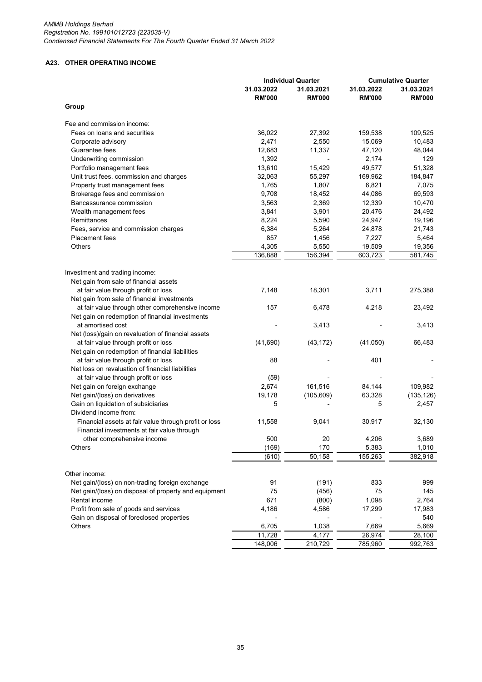# **A23. OTHER OPERATING INCOME**

|                                                       | <b>Individual Quarter</b>   |                             | <b>Cumulative Quarter</b>   |                             |
|-------------------------------------------------------|-----------------------------|-----------------------------|-----------------------------|-----------------------------|
|                                                       | 31.03.2022<br><b>RM'000</b> | 31.03.2021<br><b>RM'000</b> | 31.03.2022<br><b>RM'000</b> | 31.03.2021<br><b>RM'000</b> |
| Group                                                 |                             |                             |                             |                             |
| Fee and commission income:                            |                             |                             |                             |                             |
| Fees on loans and securities                          | 36,022                      | 27,392                      | 159,538                     | 109,525                     |
| Corporate advisory                                    | 2,471                       | 2,550                       | 15,069                      | 10,483                      |
| Guarantee fees                                        | 12,683                      | 11,337                      | 47,120                      | 48,044                      |
| Underwriting commission                               | 1,392                       |                             | 2,174                       | 129                         |
| Portfolio management fees                             | 13,610                      | 15,429                      | 49,577                      | 51,328                      |
| Unit trust fees, commission and charges               | 32,063                      | 55,297                      | 169,962                     | 184,847                     |
| Property trust management fees                        | 1,765                       | 1,807                       | 6,821                       | 7,075                       |
| Brokerage fees and commission                         | 9,708                       | 18,452                      | 44,086                      | 69,593                      |
| Bancassurance commission                              | 3,563                       | 2,369                       | 12,339                      | 10,470                      |
| Wealth management fees                                | 3,841                       | 3,901                       | 20,476                      | 24,492                      |
| Remittances                                           | 8,224                       |                             | 24,947                      |                             |
|                                                       |                             | 5,590                       |                             | 19,196                      |
| Fees, service and commission charges                  | 6,384                       | 5,264                       | 24,878                      | 21,743                      |
| <b>Placement</b> fees                                 | 857                         | 1,456                       | 7,227                       | 5,464                       |
| <b>Others</b>                                         | 4,305                       | 5,550                       | 19,509                      | 19,356                      |
|                                                       | 136,888                     | 156,394                     | 603,723                     | 581,745                     |
|                                                       |                             |                             |                             |                             |
| Investment and trading income:                        |                             |                             |                             |                             |
| Net gain from sale of financial assets                | 7,148                       | 18,301                      | 3,711                       | 275,388                     |
| at fair value through profit or loss                  |                             |                             |                             |                             |
| Net gain from sale of financial investments           |                             |                             |                             |                             |
| at fair value through other comprehensive income      | 157                         | 6,478                       | 4,218                       | 23,492                      |
| Net gain on redemption of financial investments       |                             |                             |                             |                             |
| at amortised cost                                     |                             | 3,413                       |                             | 3,413                       |
| Net (loss)/gain on revaluation of financial assets    |                             |                             |                             |                             |
| at fair value through profit or loss                  | (41,690)                    | (43, 172)                   | (41,050)                    | 66,483                      |
| Net gain on redemption of financial liabilities       |                             |                             |                             |                             |
| at fair value through profit or loss                  | 88                          |                             | 401                         |                             |
| Net loss on revaluation of financial liabilities      |                             |                             |                             |                             |
| at fair value through profit or loss                  | (59)                        |                             |                             |                             |
| Net gain on foreign exchange                          | 2,674                       | 161,516                     | 84,144                      | 109,982                     |
| Net gain/(loss) on derivatives                        | 19,178                      | (105, 609)                  | 63,328                      | (135, 126)                  |
| Gain on liquidation of subsidiaries                   | 5                           |                             | 5                           | 2,457                       |
| Dividend income from:                                 |                             |                             |                             |                             |
| Financial assets at fair value through profit or loss | 11,558                      | 9,041                       | 30,917                      | 32,130                      |
| Financial investments at fair value through           |                             |                             |                             |                             |
| other comprehensive income                            | 500                         | 20                          | 4,206                       | 3,689                       |
| Others                                                | (169)                       | 170                         | 5,383                       | 1,010                       |
|                                                       | (610)                       | 50,158                      | 155,263                     | 382,918                     |
|                                                       |                             |                             |                             |                             |
| Other income:                                         |                             |                             |                             |                             |
| Net gain/(loss) on non-trading foreign exchange       | 91                          | (191)                       | 833                         | 999                         |
| Net gain/(loss) on disposal of property and equipment | 75                          | (456)                       | 75                          | 145                         |
| Rental income                                         | 671                         | (800)                       | 1,098                       | 2,764                       |
| Profit from sale of goods and services                | 4,186                       | 4,586                       | 17,299                      | 17,983                      |
| Gain on disposal of foreclosed properties             |                             |                             |                             | 540                         |
| Others                                                | 6,705                       | 1,038                       | 7,669                       | 5,669                       |
|                                                       | 11,728                      | 4,177                       | 26,974                      | 28,100                      |
|                                                       | 148,006                     | 210,729                     | 785,960                     | 992,763                     |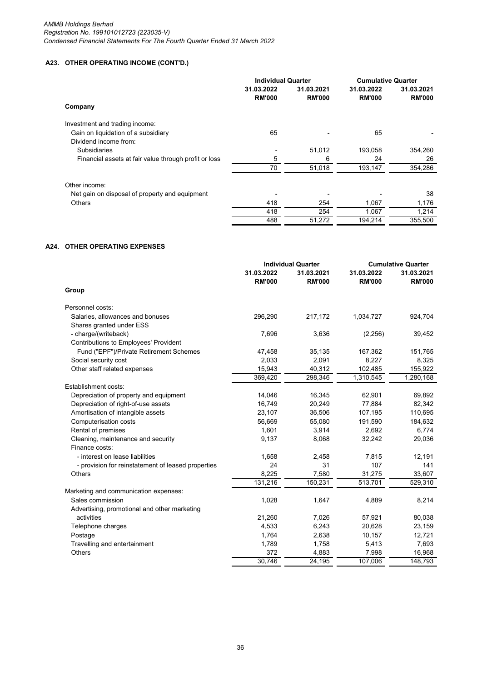# **A23. OTHER OPERATING INCOME (CONT'D.)**

|                                                       | <b>Individual Quarter</b>   |                             | <b>Cumulative Quarter</b>   |                             |
|-------------------------------------------------------|-----------------------------|-----------------------------|-----------------------------|-----------------------------|
|                                                       | 31.03.2022<br><b>RM'000</b> | 31.03.2021<br><b>RM'000</b> | 31.03.2022<br><b>RM'000</b> | 31.03.2021<br><b>RM'000</b> |
| Company                                               |                             |                             |                             |                             |
| Investment and trading income:                        |                             |                             |                             |                             |
| Gain on liquidation of a subsidiary                   | 65                          |                             | 65                          |                             |
| Dividend income from:                                 |                             |                             |                             |                             |
| <b>Subsidiaries</b>                                   |                             | 51,012                      | 193,058                     | 354,260                     |
| Financial assets at fair value through profit or loss | 5                           | 6                           | 24                          | 26                          |
|                                                       | 70                          | 51,018                      | 193,147                     | 354,286                     |
| Other income:                                         |                             |                             |                             |                             |
| Net gain on disposal of property and equipment        |                             |                             |                             | 38                          |
| <b>Others</b>                                         | 418                         | 254                         | 1,067                       | 1,176                       |
|                                                       | 418                         | 254                         | 1.067                       | 1,214                       |
|                                                       | 488                         | 51,272                      | 194,214                     | 355,500                     |

## **A24. OTHER OPERATING EXPENSES**

| 31.03.2022<br>31.03.2022<br>31.03.2021<br>31.03.2021<br><b>RM'000</b><br><b>RM'000</b><br><b>RM'000</b><br><b>RM'000</b><br>Group<br>Personnel costs:<br>Salaries, allowances and bonuses<br>296,290<br>217,172<br>1,034,727<br>924,704<br>Shares granted under ESS<br>- charge/(writeback)<br>7,696<br>3,636<br>(2, 256)<br>39,452<br>Contributions to Employees' Provident<br>Fund ("EPF")/Private Retirement Schemes<br>47,458<br>35,135<br>167,362<br>151,765<br>Social security cost<br>2,033<br>2,091<br>8,227<br>8,325<br>Other staff related expenses<br>15,943<br>40,312<br>102,485<br>155,922<br>369,420<br>298,346<br>1,310,545<br>1,280,168<br>Establishment costs:<br>Depreciation of property and equipment<br>14,046<br>16,345<br>62,901<br>69,892<br>Depreciation of right-of-use assets<br>16,749<br>20,249<br>77,884<br>82,342<br>Amortisation of intangible assets<br>110,695<br>23,107<br>36,506<br>107,195<br>Computerisation costs<br>55,080<br>56,669<br>191,590<br>184,632<br>Rental of premises<br>1,601<br>3,914<br>2,692<br>6,774<br>Cleaning, maintenance and security<br>9,137<br>8,068<br>32,242<br>29,036<br>Finance costs:<br>- interest on lease liabilities<br>1,658<br>7,815<br>12,191<br>2,458<br>24<br>31<br>107<br>141<br>- provision for reinstatement of leased properties<br>8,225<br>7,580<br>31,275<br>33,607<br><b>Others</b><br>131,216<br>150,231<br>513,701<br>529,310<br>Marketing and communication expenses:<br>Sales commission<br>1,028<br>1,647<br>8,214<br>4,889<br>Advertising, promotional and other marketing<br>21,260<br>7,026<br>57,921<br>80,038<br>activities<br>Telephone charges<br>4,533<br>6,243<br>20,628<br>23,159<br>1,764<br>2,638<br>10,157<br>12,721<br>Postage<br>1,789<br>1,758<br>5,413<br>7,693<br>Travelling and entertainment<br>372<br>4,883<br>Others<br>7,998<br>16,968 | <b>Individual Quarter</b> |        | <b>Cumulative Quarter</b> |         |
|----------------------------------------------------------------------------------------------------------------------------------------------------------------------------------------------------------------------------------------------------------------------------------------------------------------------------------------------------------------------------------------------------------------------------------------------------------------------------------------------------------------------------------------------------------------------------------------------------------------------------------------------------------------------------------------------------------------------------------------------------------------------------------------------------------------------------------------------------------------------------------------------------------------------------------------------------------------------------------------------------------------------------------------------------------------------------------------------------------------------------------------------------------------------------------------------------------------------------------------------------------------------------------------------------------------------------------------------------------------------------------------------------------------------------------------------------------------------------------------------------------------------------------------------------------------------------------------------------------------------------------------------------------------------------------------------------------------------------------------------------------------------------------------------------------------------------------------------------------|---------------------------|--------|---------------------------|---------|
|                                                                                                                                                                                                                                                                                                                                                                                                                                                                                                                                                                                                                                                                                                                                                                                                                                                                                                                                                                                                                                                                                                                                                                                                                                                                                                                                                                                                                                                                                                                                                                                                                                                                                                                                                                                                                                                          |                           |        |                           |         |
|                                                                                                                                                                                                                                                                                                                                                                                                                                                                                                                                                                                                                                                                                                                                                                                                                                                                                                                                                                                                                                                                                                                                                                                                                                                                                                                                                                                                                                                                                                                                                                                                                                                                                                                                                                                                                                                          |                           |        |                           |         |
|                                                                                                                                                                                                                                                                                                                                                                                                                                                                                                                                                                                                                                                                                                                                                                                                                                                                                                                                                                                                                                                                                                                                                                                                                                                                                                                                                                                                                                                                                                                                                                                                                                                                                                                                                                                                                                                          |                           |        |                           |         |
|                                                                                                                                                                                                                                                                                                                                                                                                                                                                                                                                                                                                                                                                                                                                                                                                                                                                                                                                                                                                                                                                                                                                                                                                                                                                                                                                                                                                                                                                                                                                                                                                                                                                                                                                                                                                                                                          |                           |        |                           |         |
|                                                                                                                                                                                                                                                                                                                                                                                                                                                                                                                                                                                                                                                                                                                                                                                                                                                                                                                                                                                                                                                                                                                                                                                                                                                                                                                                                                                                                                                                                                                                                                                                                                                                                                                                                                                                                                                          |                           |        |                           |         |
|                                                                                                                                                                                                                                                                                                                                                                                                                                                                                                                                                                                                                                                                                                                                                                                                                                                                                                                                                                                                                                                                                                                                                                                                                                                                                                                                                                                                                                                                                                                                                                                                                                                                                                                                                                                                                                                          |                           |        |                           |         |
|                                                                                                                                                                                                                                                                                                                                                                                                                                                                                                                                                                                                                                                                                                                                                                                                                                                                                                                                                                                                                                                                                                                                                                                                                                                                                                                                                                                                                                                                                                                                                                                                                                                                                                                                                                                                                                                          |                           |        |                           |         |
|                                                                                                                                                                                                                                                                                                                                                                                                                                                                                                                                                                                                                                                                                                                                                                                                                                                                                                                                                                                                                                                                                                                                                                                                                                                                                                                                                                                                                                                                                                                                                                                                                                                                                                                                                                                                                                                          |                           |        |                           |         |
|                                                                                                                                                                                                                                                                                                                                                                                                                                                                                                                                                                                                                                                                                                                                                                                                                                                                                                                                                                                                                                                                                                                                                                                                                                                                                                                                                                                                                                                                                                                                                                                                                                                                                                                                                                                                                                                          |                           |        |                           |         |
|                                                                                                                                                                                                                                                                                                                                                                                                                                                                                                                                                                                                                                                                                                                                                                                                                                                                                                                                                                                                                                                                                                                                                                                                                                                                                                                                                                                                                                                                                                                                                                                                                                                                                                                                                                                                                                                          |                           |        |                           |         |
|                                                                                                                                                                                                                                                                                                                                                                                                                                                                                                                                                                                                                                                                                                                                                                                                                                                                                                                                                                                                                                                                                                                                                                                                                                                                                                                                                                                                                                                                                                                                                                                                                                                                                                                                                                                                                                                          |                           |        |                           |         |
|                                                                                                                                                                                                                                                                                                                                                                                                                                                                                                                                                                                                                                                                                                                                                                                                                                                                                                                                                                                                                                                                                                                                                                                                                                                                                                                                                                                                                                                                                                                                                                                                                                                                                                                                                                                                                                                          |                           |        |                           |         |
|                                                                                                                                                                                                                                                                                                                                                                                                                                                                                                                                                                                                                                                                                                                                                                                                                                                                                                                                                                                                                                                                                                                                                                                                                                                                                                                                                                                                                                                                                                                                                                                                                                                                                                                                                                                                                                                          |                           |        |                           |         |
|                                                                                                                                                                                                                                                                                                                                                                                                                                                                                                                                                                                                                                                                                                                                                                                                                                                                                                                                                                                                                                                                                                                                                                                                                                                                                                                                                                                                                                                                                                                                                                                                                                                                                                                                                                                                                                                          |                           |        |                           |         |
|                                                                                                                                                                                                                                                                                                                                                                                                                                                                                                                                                                                                                                                                                                                                                                                                                                                                                                                                                                                                                                                                                                                                                                                                                                                                                                                                                                                                                                                                                                                                                                                                                                                                                                                                                                                                                                                          |                           |        |                           |         |
|                                                                                                                                                                                                                                                                                                                                                                                                                                                                                                                                                                                                                                                                                                                                                                                                                                                                                                                                                                                                                                                                                                                                                                                                                                                                                                                                                                                                                                                                                                                                                                                                                                                                                                                                                                                                                                                          |                           |        |                           |         |
|                                                                                                                                                                                                                                                                                                                                                                                                                                                                                                                                                                                                                                                                                                                                                                                                                                                                                                                                                                                                                                                                                                                                                                                                                                                                                                                                                                                                                                                                                                                                                                                                                                                                                                                                                                                                                                                          |                           |        |                           |         |
|                                                                                                                                                                                                                                                                                                                                                                                                                                                                                                                                                                                                                                                                                                                                                                                                                                                                                                                                                                                                                                                                                                                                                                                                                                                                                                                                                                                                                                                                                                                                                                                                                                                                                                                                                                                                                                                          |                           |        |                           |         |
|                                                                                                                                                                                                                                                                                                                                                                                                                                                                                                                                                                                                                                                                                                                                                                                                                                                                                                                                                                                                                                                                                                                                                                                                                                                                                                                                                                                                                                                                                                                                                                                                                                                                                                                                                                                                                                                          |                           |        |                           |         |
|                                                                                                                                                                                                                                                                                                                                                                                                                                                                                                                                                                                                                                                                                                                                                                                                                                                                                                                                                                                                                                                                                                                                                                                                                                                                                                                                                                                                                                                                                                                                                                                                                                                                                                                                                                                                                                                          |                           |        |                           |         |
|                                                                                                                                                                                                                                                                                                                                                                                                                                                                                                                                                                                                                                                                                                                                                                                                                                                                                                                                                                                                                                                                                                                                                                                                                                                                                                                                                                                                                                                                                                                                                                                                                                                                                                                                                                                                                                                          |                           |        |                           |         |
|                                                                                                                                                                                                                                                                                                                                                                                                                                                                                                                                                                                                                                                                                                                                                                                                                                                                                                                                                                                                                                                                                                                                                                                                                                                                                                                                                                                                                                                                                                                                                                                                                                                                                                                                                                                                                                                          |                           |        |                           |         |
|                                                                                                                                                                                                                                                                                                                                                                                                                                                                                                                                                                                                                                                                                                                                                                                                                                                                                                                                                                                                                                                                                                                                                                                                                                                                                                                                                                                                                                                                                                                                                                                                                                                                                                                                                                                                                                                          |                           |        |                           |         |
|                                                                                                                                                                                                                                                                                                                                                                                                                                                                                                                                                                                                                                                                                                                                                                                                                                                                                                                                                                                                                                                                                                                                                                                                                                                                                                                                                                                                                                                                                                                                                                                                                                                                                                                                                                                                                                                          |                           |        |                           |         |
|                                                                                                                                                                                                                                                                                                                                                                                                                                                                                                                                                                                                                                                                                                                                                                                                                                                                                                                                                                                                                                                                                                                                                                                                                                                                                                                                                                                                                                                                                                                                                                                                                                                                                                                                                                                                                                                          |                           |        |                           |         |
|                                                                                                                                                                                                                                                                                                                                                                                                                                                                                                                                                                                                                                                                                                                                                                                                                                                                                                                                                                                                                                                                                                                                                                                                                                                                                                                                                                                                                                                                                                                                                                                                                                                                                                                                                                                                                                                          |                           |        |                           |         |
|                                                                                                                                                                                                                                                                                                                                                                                                                                                                                                                                                                                                                                                                                                                                                                                                                                                                                                                                                                                                                                                                                                                                                                                                                                                                                                                                                                                                                                                                                                                                                                                                                                                                                                                                                                                                                                                          |                           |        |                           |         |
|                                                                                                                                                                                                                                                                                                                                                                                                                                                                                                                                                                                                                                                                                                                                                                                                                                                                                                                                                                                                                                                                                                                                                                                                                                                                                                                                                                                                                                                                                                                                                                                                                                                                                                                                                                                                                                                          |                           |        |                           |         |
|                                                                                                                                                                                                                                                                                                                                                                                                                                                                                                                                                                                                                                                                                                                                                                                                                                                                                                                                                                                                                                                                                                                                                                                                                                                                                                                                                                                                                                                                                                                                                                                                                                                                                                                                                                                                                                                          |                           |        |                           |         |
|                                                                                                                                                                                                                                                                                                                                                                                                                                                                                                                                                                                                                                                                                                                                                                                                                                                                                                                                                                                                                                                                                                                                                                                                                                                                                                                                                                                                                                                                                                                                                                                                                                                                                                                                                                                                                                                          |                           |        |                           |         |
|                                                                                                                                                                                                                                                                                                                                                                                                                                                                                                                                                                                                                                                                                                                                                                                                                                                                                                                                                                                                                                                                                                                                                                                                                                                                                                                                                                                                                                                                                                                                                                                                                                                                                                                                                                                                                                                          |                           |        |                           |         |
|                                                                                                                                                                                                                                                                                                                                                                                                                                                                                                                                                                                                                                                                                                                                                                                                                                                                                                                                                                                                                                                                                                                                                                                                                                                                                                                                                                                                                                                                                                                                                                                                                                                                                                                                                                                                                                                          | 30.746                    | 24,195 | 107,006                   | 148,793 |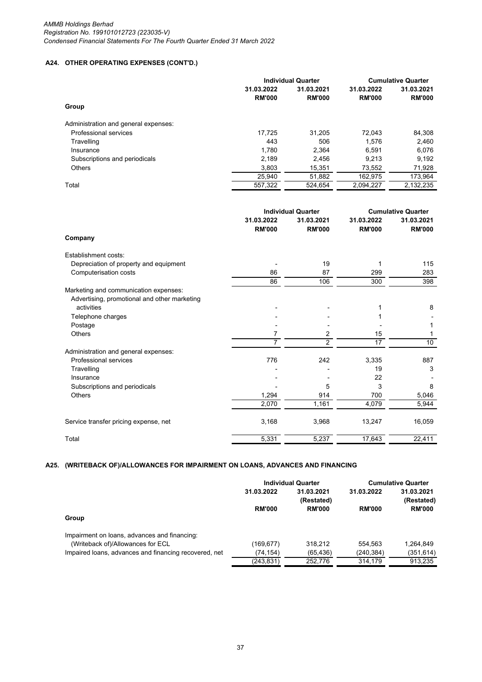# **A24. OTHER OPERATING EXPENSES (CONT'D.)**

|                                      | <b>Individual Quarter</b> | <b>Cumulative Quarter</b> |               |               |
|--------------------------------------|---------------------------|---------------------------|---------------|---------------|
|                                      | 31.03.2022                | 31.03.2021                | 31.03.2022    | 31.03.2021    |
|                                      | <b>RM'000</b>             | <b>RM'000</b>             | <b>RM'000</b> | <b>RM'000</b> |
| Group                                |                           |                           |               |               |
| Administration and general expenses: |                           |                           |               |               |
| Professional services                | 17.725                    | 31.205                    | 72.043        | 84,308        |
| Travelling                           | 443                       | 506                       | 1.576         | 2,460         |
| Insurance                            | 1.780                     | 2.364                     | 6.591         | 6,076         |
| Subscriptions and periodicals        | 2.189                     | 2.456                     | 9.213         | 9.192         |
| <b>Others</b>                        | 3,803                     | 15,351                    | 73,552        | 71,928        |
|                                      | 25,940                    | 51,882                    | 162.975       | 173,964       |
| Total                                | 557.322                   | 524.654                   | 2.094.227     | 2.132.235     |

|                                              | <b>Individual Quarter</b>   |                             | <b>Cumulative Quarter</b>   |                             |
|----------------------------------------------|-----------------------------|-----------------------------|-----------------------------|-----------------------------|
|                                              | 31.03.2022<br><b>RM'000</b> | 31.03.2021<br><b>RM'000</b> | 31.03.2022<br><b>RM'000</b> | 31.03.2021<br><b>RM'000</b> |
| Company                                      |                             |                             |                             |                             |
| Establishment costs:                         |                             |                             |                             |                             |
| Depreciation of property and equipment       |                             | 19                          |                             | 115                         |
| Computerisation costs                        | 86                          | 87                          | 299                         | 283                         |
|                                              | 86                          | 106                         | 300                         | 398                         |
| Marketing and communication expenses:        |                             |                             |                             |                             |
| Advertising, promotional and other marketing |                             |                             |                             |                             |
| activities                                   |                             |                             |                             | 8                           |
| Telephone charges                            |                             |                             |                             |                             |
| Postage                                      |                             |                             |                             |                             |
| <b>Others</b>                                | 7                           | 2                           | 15                          |                             |
|                                              | $\overline{7}$              | $\overline{2}$              | 17                          | 10                          |
| Administration and general expenses:         |                             |                             |                             |                             |
| Professional services                        | 776                         | 242                         | 3,335                       | 887                         |
| Travelling                                   |                             |                             | 19                          | 3                           |
| Insurance                                    |                             |                             | 22                          |                             |
| Subscriptions and periodicals                |                             | 5                           | 3                           | 8                           |
| <b>Others</b>                                | 1,294                       | 914                         | 700                         | 5,046                       |
|                                              | 2,070                       | 1,161                       | 4,079                       | 5,944                       |
| Service transfer pricing expense, net        | 3,168                       | 3,968                       | 13,247                      | 16,059                      |
| Total                                        | 5,331                       | 5,237                       | 17,643                      | 22,411                      |
|                                              |                             |                             |                             |                             |

# **A25. (WRITEBACK OF)/ALLOWANCES FOR IMPAIRMENT ON LOANS, ADVANCES AND FINANCING**

|                                                       | <b>Individual Quarter</b> |                          | <b>Cumulative Quarter</b> |                          |
|-------------------------------------------------------|---------------------------|--------------------------|---------------------------|--------------------------|
|                                                       | 31.03.2022                | 31.03.2021<br>(Restated) | 31.03.2022                | 31.03.2021<br>(Restated) |
|                                                       | <b>RM'000</b>             | <b>RM'000</b>            | <b>RM'000</b>             | <b>RM'000</b>            |
| Group                                                 |                           |                          |                           |                          |
| Impairment on loans, advances and financing:          |                           |                          |                           |                          |
| (Writeback of)/Allowances for ECL                     | (169, 677)                | 318.212                  | 554.563                   | 1.264.849                |
| Impaired loans, advances and financing recovered, net | (74.154)                  | (65, 436)                | (240,384)                 | (351, 614)               |
|                                                       | (243,831)                 | 252.776                  | 314.179                   | 913.235                  |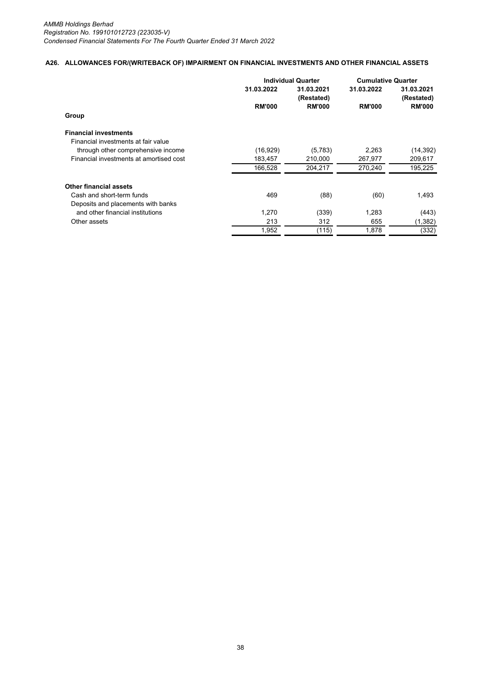## **A26. ALLOWANCES FOR/(WRITEBACK OF) IMPAIRMENT ON FINANCIAL INVESTMENTS AND OTHER FINANCIAL ASSETS**

|                                         |               | <b>Individual Quarter</b> |               | <b>Cumulative Quarter</b> |
|-----------------------------------------|---------------|---------------------------|---------------|---------------------------|
|                                         | 31.03.2022    | 31.03.2021<br>(Restated)  | 31.03.2022    | 31.03.2021<br>(Restated)  |
|                                         | <b>RM'000</b> | <b>RM'000</b>             | <b>RM'000</b> | <b>RM'000</b>             |
| Group                                   |               |                           |               |                           |
| <b>Financial investments</b>            |               |                           |               |                           |
| Financial investments at fair value     |               |                           |               |                           |
| through other comprehensive income      | (16,929)      | (5,783)                   | 2,263         | (14, 392)                 |
| Financial investments at amortised cost | 183,457       | 210,000                   | 267,977       | 209,617                   |
|                                         | 166,528       | 204,217                   | 270,240       | 195,225                   |
| <b>Other financial assets</b>           |               |                           |               |                           |
| Cash and short-term funds               | 469           | (88)                      | (60)          | 1,493                     |
| Deposits and placements with banks      |               |                           |               |                           |
| and other financial institutions        | 1,270         | (339)                     | 1,283         | (443)                     |
| Other assets                            | 213           | 312                       | 655           | (1, 382)                  |
|                                         | 1,952         | (115)                     | 1,878         | (332)                     |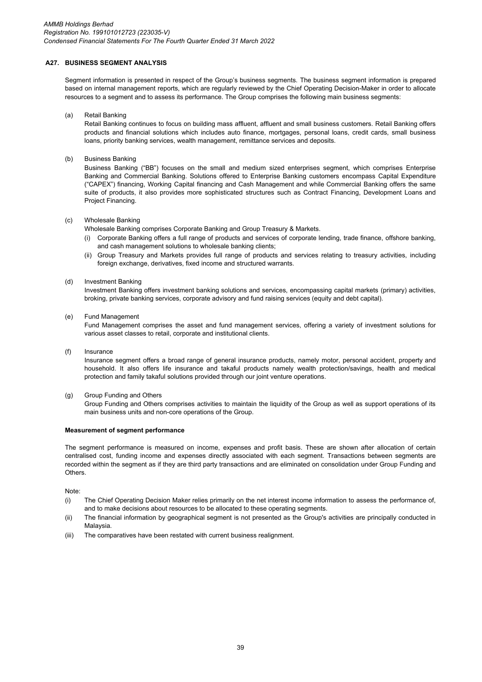# **A27. BUSINESS SEGMENT ANALYSIS**

Segment information is presented in respect of the Group's business segments. The business segment information is prepared based on internal management reports, which are regularly reviewed by the Chief Operating Decision-Maker in order to allocate resources to a segment and to assess its performance. The Group comprises the following main business segments:

(a) Retail Banking

Retail Banking continues to focus on building mass affluent, affluent and small business customers. Retail Banking offers products and financial solutions which includes auto finance, mortgages, personal loans, credit cards, small business loans, priority banking services, wealth management, remittance services and deposits.

(b) Business Banking

Business Banking ("BB") focuses on the small and medium sized enterprises segment, which comprises Enterprise Banking and Commercial Banking. Solutions offered to Enterprise Banking customers encompass Capital Expenditure ("CAPEX") financing, Working Capital financing and Cash Management and while Commercial Banking offers the same suite of products, it also provides more sophisticated structures such as Contract Financing, Development Loans and Project Financing.

#### $(c)$ Wholesale Banking

Wholesale Banking comprises Corporate Banking and Group Treasury & Markets.

- (i) Corporate Banking offers a full range of products and services of corporate lending, trade finance, offshore banking, and cash management solutions to wholesale banking clients;
- (ii) Group Treasury and Markets provides full range of products and services relating to treasury activities, including foreign exchange, derivatives, fixed income and structured warrants.

#### (d) Investment Banking

Investment Banking offers investment banking solutions and services, encompassing capital markets (primary) activities, broking, private banking services, corporate advisory and fund raising services (equity and debt capital).

#### (e) Fund Management

Fund Management comprises the asset and fund management services, offering a variety of investment solutions for various asset classes to retail, corporate and institutional clients.

#### (f) Insurance

Insurance segment offers a broad range of general insurance products, namely motor, personal accident, property and household. It also offers life insurance and takaful products namely wealth protection/savings, health and medical protection and family takaful solutions provided through our joint venture operations.

#### (g) Group Funding and Others

Group Funding and Others comprises activities to maintain the liquidity of the Group as well as support operations of its main business units and non-core operations of the Group.

#### **Measurement of segment performance**

The segment performance is measured on income, expenses and profit basis. These are shown after allocation of certain centralised cost, funding income and expenses directly associated with each segment. Transactions between segments are recorded within the segment as if they are third party transactions and are eliminated on consolidation under Group Funding and Others.

Note:

- (i) The Chief Operating Decision Maker relies primarily on the net interest income information to assess the performance of, and to make decisions about resources to be allocated to these operating segments.
- (ii) The financial information by geographical segment is not presented as the Group's activities are principally conducted in Malaysia.
- (iii) The comparatives have been restated with current business realignment.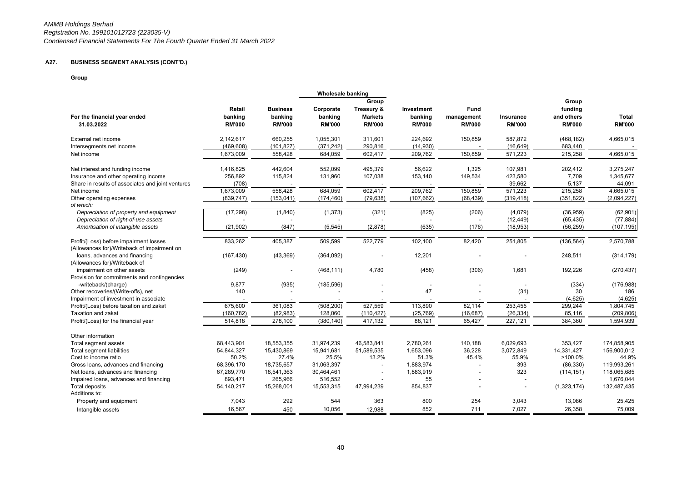# **A27. BUSINESS SEGMENT ANALYSIS (CONT'D.)**

**Group**

|                                                                                       |               |                 | <b>Wholesale banking</b> |                |               |               |                  |               |               |
|---------------------------------------------------------------------------------------|---------------|-----------------|--------------------------|----------------|---------------|---------------|------------------|---------------|---------------|
|                                                                                       |               |                 |                          | Group          |               |               |                  | Group         |               |
|                                                                                       | Retail        | <b>Business</b> | Corporate                | Treasury &     | Investment    | Fund          |                  | funding       |               |
| For the financial year ended                                                          | banking       | banking         | banking                  | <b>Markets</b> | banking       | management    | <b>Insurance</b> | and others    | Total         |
| 31.03.2022                                                                            | <b>RM'000</b> | <b>RM'000</b>   | <b>RM'000</b>            | <b>RM'000</b>  | <b>RM'000</b> | <b>RM'000</b> | <b>RM'000</b>    | <b>RM'000</b> | <b>RM'000</b> |
|                                                                                       |               |                 |                          |                |               |               |                  |               |               |
| External net income                                                                   | 2,142,617     | 660,255         | 1,055,301                | 311,601        | 224,692       | 150,859       | 587,872          | (468, 182)    | 4,665,015     |
| Intersegments net income                                                              | (469, 608)    | (101, 827)      | (371, 242)               | 290,816        | (14, 930)     |               | (16, 649)        | 683,440       |               |
| Net income                                                                            | 1,673,009     | 558,428         | 684,059                  | 602,417        | 209,762       | 150,859       | 571,223          | 215,258       | 4,665,015     |
| Net interest and funding income                                                       | 1,416,825     | 442,604         | 552,099                  | 495,379        | 56,622        | 1,325         | 107,981          | 202,412       | 3,275,247     |
| Insurance and other operating income                                                  | 256,892       | 115,824         | 131,960                  | 107,038        | 153,140       | 149,534       | 423,580          | 7,709         | 1,345,677     |
| Share in results of associates and joint ventures                                     | (708)         |                 |                          |                |               |               | 39,662           | 5,137         | 44,091        |
| Net income                                                                            | 1,673,009     | 558,428         | 684,059                  | 602,417        | 209,762       | 150,859       | 571,223          | 215,258       | 4,665,015     |
| Other operating expenses                                                              | (839, 747)    | (153, 041)      | (174, 460)               | (79, 638)      | (107, 662)    | (68, 439)     | (319, 418)       | (351, 822)    | (2,094,227)   |
| of which:                                                                             |               |                 |                          |                |               |               |                  |               |               |
| Depreciation of property and equipment                                                | (17, 298)     | (1,840)         | (1, 373)                 | (321)          | (825)         | (206)         | (4,079)          | (36,959)      | (62,901)      |
| Depreciation of right-of-use assets                                                   |               |                 |                          |                |               |               | (12, 449)        | (65, 435)     | (77, 884)     |
| Amortisation of intangible assets                                                     | (21, 902)     | (847)           | (5, 545)                 | (2,878)        | (635)         | (176)         | (18, 953)        | (56, 259)     | (107, 195)    |
|                                                                                       | 833,262       | 405,387         | 509,599                  | 522,779        | 102,100       | 82,420        | 251,805          | (136, 564)    | 2,570,788     |
| Profit/(Loss) before impairment losses<br>(Allowances for)/Writeback of impairment on |               |                 |                          |                |               |               |                  |               |               |
| loans, advances and financing                                                         | (167, 430)    | (43, 369)       | (364,092)                |                | 12,201        |               |                  | 248,511       | (314, 179)    |
| (Allowances for)/Writeback of                                                         |               |                 |                          |                |               |               |                  |               |               |
| impairment on other assets                                                            | (249)         |                 | (468, 111)               | 4,780          | (458)         | (306)         | 1,681            | 192,226       | (270, 437)    |
| Provision for commitments and contingencies                                           |               |                 |                          |                |               |               |                  |               |               |
| -writeback/(charge)                                                                   | 9,877         | (935)           | (185, 596)               |                |               |               |                  | (334)         | (176, 988)    |
| Other recoveries/(Write-offs), net                                                    | 140           |                 |                          |                | 47            |               | (31)             | 30            | 186           |
| Impairment of investment in associate                                                 |               |                 |                          |                |               |               |                  | (4,625)       | (4,625)       |
| Profit/(Loss) before taxation and zakat                                               | 675,600       | 361,083         | (508, 200)               | 527,559        | 113,890       | 82,114        | 253,455          | 299,244       | 1,804,745     |
| <b>Taxation and zakat</b>                                                             | (160, 782)    | (82, 983)       | 128,060                  | (110, 427)     | (25, 769)     | (16, 687)     | (26, 334)        | 85,116        | (209, 806)    |
| Profit/(Loss) for the financial year                                                  | 514,818       | 278,100         | (380, 140)               | 417,132        | 88,121        | 65,427        | 227,121          | 384,360       | 1,594,939     |
|                                                                                       |               |                 |                          |                |               |               |                  |               |               |
| Other information                                                                     |               |                 |                          |                |               |               |                  |               |               |
| Total segment assets                                                                  | 68,443,901    | 18.553.355      | 31,974,239               | 46,583,841     | 2,780,261     | 140,188       | 6.029.693        | 353,427       | 174,858,905   |
| Total segment liabilities                                                             | 54,844,327    | 15,430,869      | 15,941,681               | 51,589,535     | 1,653,096     | 36,228        | 3,072,849        | 14,331,427    | 156,900,012   |
| Cost to income ratio                                                                  | 50.2%         | 27.4%           | 25.5%                    | 13.2%          | 51.3%         | 45.4%         | 55.9%            | >100.0%       | 44.9%         |
| Gross loans, advances and financing                                                   | 68,396,170    | 18,735,657      | 31,063,397               |                | 1,883,974     |               | 393              | (86, 330)     | 119,993,261   |
| Net loans, advances and financing                                                     | 67,289,770    | 18,541,363      | 30,464,461               |                | 1,883,919     |               | 323              | (114, 151)    | 118,065,685   |
| Impaired loans, advances and financing                                                | 893,471       | 265,966         | 516,552                  |                | 55            |               |                  |               | 1,676,044     |
| <b>Total deposits</b>                                                                 | 54,140,217    | 15,268,001      | 15,553,315               | 47,994,239     | 854,837       |               |                  | (1,323,174)   | 132,487,435   |
| Additions to:                                                                         |               |                 |                          |                |               |               |                  |               |               |
| Property and equipment                                                                | 7,043         | 292             | 544                      | 363            | 800           | 254           | 3,043            | 13,086        | 25,425        |
| Intangible assets                                                                     | 16,567        | 450             | 10,056                   | 12,988         | 852           | 711           | 7.027            | 26,358        | 75,009        |
|                                                                                       |               |                 |                          |                |               |               |                  |               |               |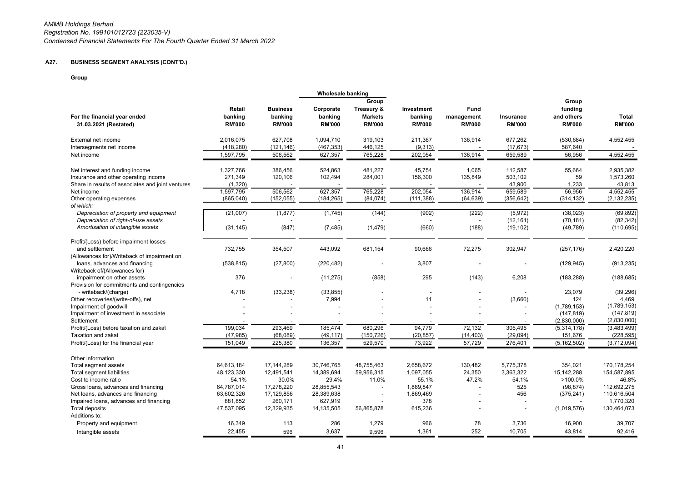# **A27. BUSINESS SEGMENT ANALYSIS (CONT'D.)**

**Group**

|                                                                |               |                 | <b>Wholesale banking</b> |                |               |               |               |               |               |
|----------------------------------------------------------------|---------------|-----------------|--------------------------|----------------|---------------|---------------|---------------|---------------|---------------|
|                                                                |               |                 |                          | Group          |               |               |               | Group         |               |
|                                                                | Retail        | <b>Business</b> | Corporate                | Treasury &     | Investment    | Fund          |               | funding       |               |
| For the financial year ended                                   | banking       | banking         | banking                  | <b>Markets</b> | banking       | management    | Insurance     | and others    | <b>Total</b>  |
| 31.03.2021 (Restated)                                          | <b>RM'000</b> | <b>RM'000</b>   | <b>RM'000</b>            | <b>RM'000</b>  | <b>RM'000</b> | <b>RM'000</b> | <b>RM'000</b> | <b>RM'000</b> | <b>RM'000</b> |
| External net income                                            | 2,016,075     | 627,708         | 1,094,710                | 319,103        | 211,367       | 136,914       | 677,262       | (530, 684)    | 4,552,455     |
| Intersegments net income                                       | (418, 280)    | (121, 146)      | (467, 353)               | 446,125        | (9,313)       |               | (17, 673)     | 587,640       |               |
| Net income                                                     | 1,597,795     | 506,562         | 627,357                  | 765,228        | 202,054       | 136,914       | 659,589       | 56,956        | 4,552,455     |
| Net interest and funding income                                | 1,327,766     | 386,456         | 524,863                  | 481,227        | 45,754        | 1,065         | 112,587       | 55,664        | 2,935,382     |
| Insurance and other operating income                           | 271,349       | 120,106         | 102,494                  | 284,001        | 156,300       | 135,849       | 503,102       | 59            | 1,573,260     |
| Share in results of associates and joint ventures              | (1, 320)      |                 |                          |                |               |               | 43,900        | 1,233         | 43,813        |
| Net income                                                     | 1,597,795     | 506,562         | 627,357                  | 765,228        | 202,054       | 136,914       | 659,589       | 56,956        | 4,552,455     |
| Other operating expenses<br>of which:                          | (865,040)     | (152, 055)      | (184, 265)               | (84, 074)      | (111, 388)    | (64, 639)     | (356, 642)    | (314, 132)    | (2, 132, 235) |
| Depreciation of property and equipment                         | (21,007)      | (1, 877)        | (1,745)                  | (144)          | (902)         | (222)         | (5, 972)      | (38,023)      | (69, 892)     |
| Depreciation of right-of-use assets                            |               |                 |                          |                |               |               | (12, 161)     | (70, 181)     | (82, 342)     |
| Amortisation of intangible assets                              | (31, 145)     | (847)           | (7, 485)                 | (1, 479)       | (660)         | (188)         | (19, 102)     | (49, 789)     | (110, 695)    |
| Profit/(Loss) before impairment losses                         |               |                 |                          |                |               |               |               |               |               |
| and settlement<br>(Allowances for)/Writeback of impairment on  | 732,755       | 354,507         | 443,092                  | 681,154        | 90,666        | 72,275        | 302,947       | (257, 176)    | 2,420,220     |
| loans, advances and financing<br>Writeback of/(Allowances for) | (538, 815)    | (27, 800)       | (220, 482)               |                | 3,807         |               |               | (129, 945)    | (913, 235)    |
| impairment on other assets                                     | 376           |                 | (11, 275)                | (858)          | 295           | (143)         | 6,208         | (183, 288)    | (188, 685)    |
| Provision for commitments and contingencies                    |               |                 |                          |                |               |               |               |               |               |
| - writeback/(charge)                                           | 4,718         | (33, 238)       | (33, 855)                |                |               |               |               | 23,079        | (39, 296)     |
| Other recoveries/(write-offs), net                             |               |                 | 7,994                    |                | 11            |               | (3,660)       | 124           | 4,469         |
| Impairment of goodwill                                         |               |                 |                          |                |               |               |               | (1,789,153)   | (1,789,153)   |
| Impairment of investment in associate                          |               |                 |                          |                |               |               |               | (147, 819)    | (147, 819)    |
| Settlement                                                     |               |                 |                          |                |               |               |               | (2,830,000)   | (2,830,000)   |
| Profit/(Loss) before taxation and zakat                        | 199.034       | 293.469         | 185.474                  | 680.296        | 94.779        | 72.132        | 305,495       | (5,314,178)   | (3,483,499)   |
| Taxation and zakat                                             | (47, 985)     | (68,089)        | (49, 117)                | (150, 726)     | (20, 857)     | (14, 403)     | (29, 094)     | 151,676       | (228, 595)    |
| Profit/(Loss) for the financial year                           | 151,049       | 225,380         | 136,357                  | 529,570        | 73,922        | 57,729        | 276,401       | (5, 162, 502) | (3,712,094)   |
| Other information                                              |               |                 |                          |                |               |               |               |               |               |
| Total segment assets                                           | 64,613,184    | 17,144,289      | 30,746,765               | 48,755,463     | 2,658,672     | 130,482       | 5,775,378     | 354,021       | 170,178,254   |
| Total segment liabilities                                      | 48,123,330    | 12,491,541      | 14,389,694               | 59,956,315     | 1,097,055     | 24,350        | 3,363,322     | 15,142,288    | 154,587,895   |
| Cost to income ratio                                           | 54.1%         | 30.0%           | 29.4%                    | 11.0%          | 55.1%         | 47.2%         | 54.1%         | $>100.0\%$    | 46.8%         |
| Gross loans, advances and financing                            | 64,787,014    | 17,278,220      | 28,855,543               | $\blacksquare$ | 1,869,847     |               | 525           | (98, 874)     | 112,692,275   |
| Net loans, advances and financing                              | 63,602,326    | 17,129,856      | 28,389,638               |                | 1,869,469     |               | 456           | (375, 241)    | 110,616,504   |
| Impaired loans, advances and financing                         | 881,852       | 260,171         | 627,919                  |                | 378           |               |               |               | 1,770,320     |
| Total deposits                                                 | 47,537,095    | 12,329,935      | 14,135,505               | 56,865,878     | 615,236       |               |               | (1,019,576)   | 130,464,073   |
| Additions to:                                                  |               |                 |                          |                |               |               |               |               |               |
| Property and equipment                                         | 16,349        | 113             | 286                      | 1,279          | 966           | 78            | 3,736         | 16,900        | 39,707        |
| Intangible assets                                              | 22,455        | 596             | 3,637                    | 9,596          | 1,361         | 252           | 10,705        | 43,814        | 92,416        |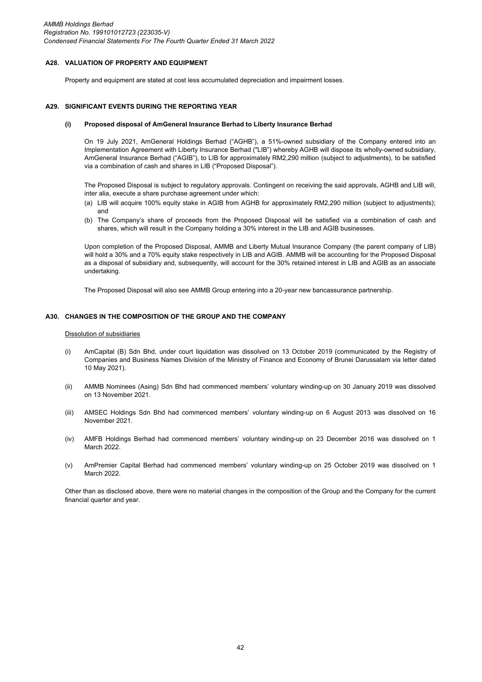### **A28. VALUATION OF PROPERTY AND EQUIPMENT**

Property and equipment are stated at cost less accumulated depreciation and impairment losses.

#### **A29. SIGNIFICANT EVENTS DURING THE REPORTING YEAR**

#### **(i) Proposed disposal of AmGeneral Insurance Berhad to Liberty Insurance Berhad**

On 19 July 2021, AmGeneral Holdings Berhad ("AGHB"), a 51%-owned subsidiary of the Company entered into an Implementation Agreement with Liberty Insurance Berhad ("LIB") whereby AGHB will dispose its wholly-owned subsidiary, AmGeneral Insurance Berhad ("AGIB"), to LIB for approximately RM2,290 million (subject to adjustments), to be satisfied via a combination of cash and shares in LIB ("Proposed Disposal").

The Proposed Disposal is subject to regulatory approvals. Contingent on receiving the said approvals, AGHB and LIB will, inter alia, execute a share purchase agreement under which:

- (a) LIB will acquire 100% equity stake in AGIB from AGHB for approximately RM2,290 million (subject to adjustments); and
- (b) The Company's share of proceeds from the Proposed Disposal will be satisfied via a combination of cash and shares, which will result in the Company holding a 30% interest in the LIB and AGIB businesses.

Upon completion of the Proposed Disposal, AMMB and Liberty Mutual Insurance Company (the parent company of LIB) will hold a 30% and a 70% equity stake respectively in LIB and AGIB. AMMB will be accounting for the Proposed Disposal as a disposal of subsidiary and, subsequently, will account for the 30% retained interest in LIB and AGIB as an associate undertaking.

The Proposed Disposal will also see AMMB Group entering into a 20-year new bancassurance partnership.

# **A30. CHANGES IN THE COMPOSITION OF THE GROUP AND THE COMPANY**

### Dissolution of subsidiaries

- (i) AmCapital (B) Sdn Bhd, under court liquidation was dissolved on 13 October 2019 (communicated by the Registry of Companies and Business Names Division of the Ministry of Finance and Economy of Brunei Darussalam via letter dated 10 May 2021).
- (ii) AMMB Nominees (Asing) Sdn Bhd had commenced members' voluntary winding-up on 30 January 2019 was dissolved on 13 November 2021.
- (iii) AMSEC Holdings Sdn Bhd had commenced members' voluntary winding-up on 6 August 2013 was dissolved on 16 November 2021.
- (iv) AMFB Holdings Berhad had commenced members' voluntary winding-up on 23 December 2016 was dissolved on 1 March 2022.
- (v) AmPremier Capital Berhad had commenced members' voluntary winding-up on 25 October 2019 was dissolved on 1 March 2022

Other than as disclosed above, there were no material changes in the composition of the Group and the Company for the current financial quarter and year.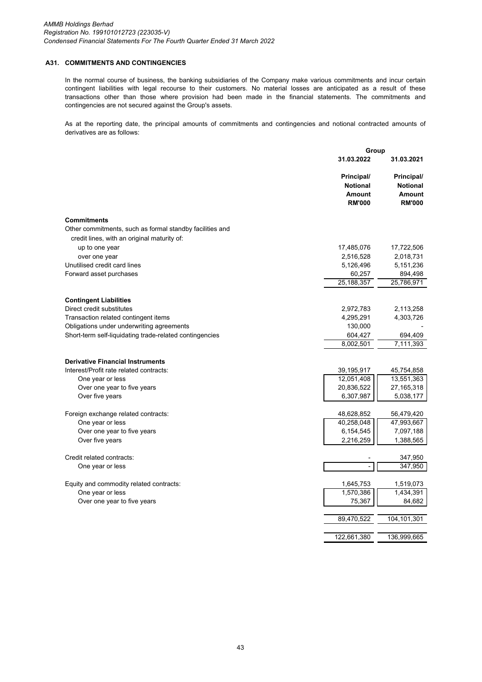## **A31. COMMITMENTS AND CONTINGENCIES**

In the normal course of business, the banking subsidiaries of the Company make various commitments and incur certain contingent liabilities with legal recourse to their customers. No material losses are anticipated as a result of these transactions other than those where provision had been made in the financial statements. The commitments and contingencies are not secured against the Group's assets.

As at the reporting date, the principal amounts of commitments and contingencies and notional contracted amounts of derivatives are as follows:

|                                                          | Group                                                           |                                                                 |
|----------------------------------------------------------|-----------------------------------------------------------------|-----------------------------------------------------------------|
|                                                          | 31.03.2022                                                      | 31.03.2021                                                      |
|                                                          | Principal/<br><b>Notional</b><br><b>Amount</b><br><b>RM'000</b> | Principal/<br><b>Notional</b><br><b>Amount</b><br><b>RM'000</b> |
| <b>Commitments</b>                                       |                                                                 |                                                                 |
| Other commitments, such as formal standby facilities and |                                                                 |                                                                 |
| credit lines, with an original maturity of:              |                                                                 |                                                                 |
| up to one year                                           | 17,485,076                                                      | 17,722,506                                                      |
| over one year                                            | 2,516,528                                                       | 2,018,731                                                       |
| Unutilised credit card lines                             | 5,126,496                                                       | 5,151,236                                                       |
| Forward asset purchases                                  | 60,257                                                          | 894,498                                                         |
|                                                          | 25,188,357                                                      | 25,786,971                                                      |
| <b>Contingent Liabilities</b>                            |                                                                 |                                                                 |
| Direct credit substitutes                                | 2,972,783                                                       | 2,113,258                                                       |
| Transaction related contingent items                     | 4,295,291                                                       | 4,303,726                                                       |
| Obligations under underwriting agreements                | 130,000                                                         |                                                                 |
| Short-term self-liquidating trade-related contingencies  | 604,427                                                         | 694,409                                                         |
|                                                          | 8,002,501                                                       | 7,111,393                                                       |
| <b>Derivative Financial Instruments</b>                  |                                                                 |                                                                 |
| Interest/Profit rate related contracts:                  | 39,195,917                                                      |                                                                 |
| One year or less                                         | 12,051,408                                                      | 45,754,858<br>13,551,363                                        |
| Over one year to five years                              | 20,836,522                                                      | 27, 165, 318                                                    |
| Over five years                                          | 6,307,987                                                       | 5,038,177                                                       |
|                                                          |                                                                 |                                                                 |
| Foreign exchange related contracts:                      | 48,628,852                                                      | 56,479,420                                                      |
| One year or less                                         | 40,258,048                                                      | 47,993,667                                                      |
| Over one year to five years                              | 6,154,545                                                       | 7,097,188                                                       |
| Over five years                                          | 2,216,259                                                       | 1,388,565                                                       |
| Credit related contracts:                                |                                                                 | 347,950                                                         |
| One year or less                                         |                                                                 | 347,950                                                         |
|                                                          |                                                                 |                                                                 |
| Equity and commodity related contracts:                  | 1,645,753<br>1,570,386                                          | 1,519,073                                                       |
| One year or less<br>Over one year to five years          | 75,367                                                          | 1,434,391<br>84,682                                             |
|                                                          |                                                                 |                                                                 |
|                                                          | 89,470,522                                                      | 104, 101, 301                                                   |
|                                                          | 122,661,380                                                     | 136,999,665                                                     |
|                                                          |                                                                 |                                                                 |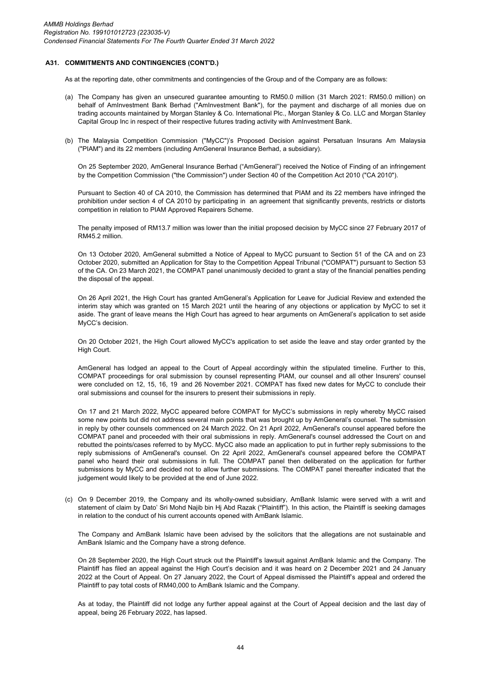### **A31. COMMITMENTS AND CONTINGENCIES (CONT'D.)**

As at the reporting date, other commitments and contingencies of the Group and of the Company are as follows:

- (a) The Company has given an unsecured guarantee amounting to RM50.0 million (31 March 2021: RM50.0 million) on behalf of AmInvestment Bank Berhad ("AmInvestment Bank"), for the payment and discharge of all monies due on trading accounts maintained by Morgan Stanley & Co. International Plc., Morgan Stanley & Co. LLC and Morgan Stanley Capital Group Inc in respect of their respective futures trading activity with AmInvestment Bank.
- (b) The Malaysia Competition Commission ("MyCC")'s Proposed Decision against Persatuan Insurans Am Malaysia ("PIAM") and its 22 members (including AmGeneral Insurance Berhad, a subsidiary).

On 25 September 2020, AmGeneral Insurance Berhad ("AmGeneral") received the Notice of Finding of an infringement by the Competition Commission ("the Commission") under Section 40 of the Competition Act 2010 ("CA 2010").

Pursuant to Section 40 of CA 2010, the Commission has determined that PIAM and its 22 members have infringed the prohibition under section 4 of CA 2010 by participating in an agreement that significantly prevents, restricts or distorts competition in relation to PIAM Approved Repairers Scheme.

The penalty imposed of RM13.7 million was lower than the initial proposed decision by MyCC since 27 February 2017 of RM45.2 million.

On 13 October 2020, AmGeneral submitted a Notice of Appeal to MyCC pursuant to Section 51 of the CA and on 23 October 2020, submitted an Application for Stay to the Competition Appeal Tribunal ("COMPAT") pursuant to Section 53 of the CA. On 23 March 2021, the COMPAT panel unanimously decided to grant a stay of the financial penalties pending the disposal of the appeal.

On 26 April 2021, the High Court has granted AmGeneral's Application for Leave for Judicial Review and extended the interim stay which was granted on 15 March 2021 until the hearing of any objections or application by MyCC to set it aside. The grant of leave means the High Court has agreed to hear arguments on AmGeneral's application to set aside MyCC's decision.

On 20 October 2021, the High Court allowed MyCC's application to set aside the leave and stay order granted by the High Court.

AmGeneral has lodged an appeal to the Court of Appeal accordingly within the stipulated timeline. Further to this, COMPAT proceedings for oral submission by counsel representing PIAM, our counsel and all other Insurers' counsel were concluded on 12, 15, 16, 19 and 26 November 2021. COMPAT has fixed new dates for MyCC to conclude their oral submissions and counsel for the insurers to present their submissions in reply.

On 17 and 21 March 2022, MyCC appeared before COMPAT for MyCC's submissions in reply whereby MyCC raised some new points but did not address several main points that was brought up by AmGeneral's counsel. The submission in reply by other counsels commenced on 24 March 2022. On 21 April 2022, AmGeneral's counsel appeared before the COMPAT panel and proceeded with their oral submissions in reply. AmGeneral's counsel addressed the Court on and rebutted the points/cases referred to by MyCC. MyCC also made an application to put in further reply submissions to the reply submissions of AmGeneral's counsel. On 22 April 2022, AmGeneral's counsel appeared before the COMPAT panel who heard their oral submissions in full. The COMPAT panel then deliberated on the application for further submissions by MyCC and decided not to allow further submissions. The COMPAT panel thereafter indicated that the judgement would likely to be provided at the end of June 2022.

(c) On 9 December 2019, the Company and its wholly-owned subsidiary, AmBank Islamic were served with a writ and statement of claim by Dato' Sri Mohd Najib bin Hj Abd Razak ("Plaintiff"). In this action, the Plaintiff is seeking damages in relation to the conduct of his current accounts opened with AmBank Islamic.

The Company and AmBank Islamic have been advised by the solicitors that the allegations are not sustainable and AmBank Islamic and the Company have a strong defence.

On 28 September 2020, the High Court struck out the Plaintiff's lawsuit against AmBank Islamic and the Company. The Plaintiff has filed an appeal against the High Court's decision and it was heard on 2 December 2021 and 24 January 2022 at the Court of Appeal. On 27 January 2022, the Court of Appeal dismissed the Plaintiff's appeal and ordered the Plaintiff to pay total costs of RM40,000 to AmBank Islamic and the Company.

As at today, the Plaintiff did not lodge any further appeal against at the Court of Appeal decision and the last day of appeal, being 26 February 2022, has lapsed.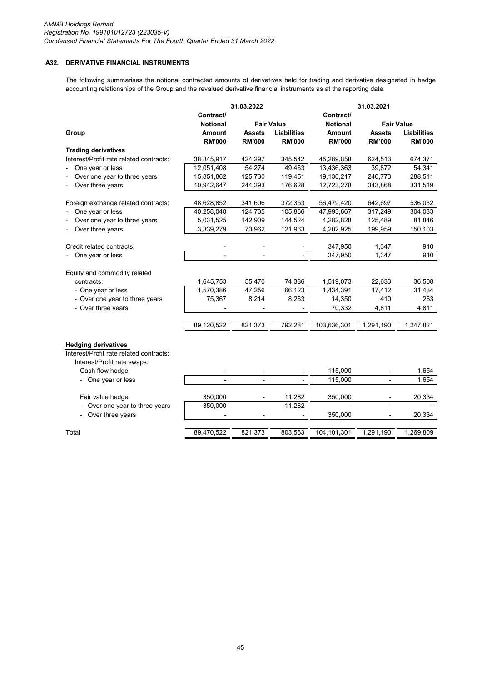# **A32. DERIVATIVE FINANCIAL INSTRUMENTS**

The following summarises the notional contracted amounts of derivatives held for trading and derivative designated in hedge accounting relationships of the Group and the revalued derivative financial instruments as at the reporting date:

|                                            |                          | 31.03.2022     |                    |                 | 31.03.2021               |                    |
|--------------------------------------------|--------------------------|----------------|--------------------|-----------------|--------------------------|--------------------|
|                                            | Contract/                |                |                    | Contract/       |                          |                    |
|                                            | <b>Notional</b>          |                | <b>Fair Value</b>  | <b>Notional</b> |                          | <b>Fair Value</b>  |
| Group                                      | Amount                   | <b>Assets</b>  | <b>Liabilities</b> | <b>Amount</b>   | <b>Assets</b>            | <b>Liabilities</b> |
|                                            | <b>RM'000</b>            | <b>RM'000</b>  | <b>RM'000</b>      | <b>RM'000</b>   | <b>RM'000</b>            | <b>RM'000</b>      |
| <b>Trading derivatives</b>                 |                          |                |                    |                 |                          |                    |
| Interest/Profit rate related contracts:    | 38,845,917               | 424,297        | 345,542            | 45,289,858      | 624,513                  | 674,371            |
| One year or less                           | 12,051,408               | 54,274         | 49,463             | 13,436,363      | 39,872                   | 54,341             |
| Over one year to three years               | 15,851,862               | 125,730        | 119,451            | 19,130,217      | 240,773                  | 288,511            |
| Over three years                           | 10,942,647               | 244,293        | 176,628            | 12,723,278      | 343,868                  | 331,519            |
|                                            |                          |                |                    |                 |                          |                    |
| Foreign exchange related contracts:        | 48,628,852               | 341,606        | 372,353            | 56,479,420      | 642,697                  | 536,032            |
| One year or less                           | 40,258,048               | 124,735        | 105,866            | 47,993,667      | 317,249                  | 304,083            |
| Over one year to three years               | 5,031,525                | 142,909        | 144,524            | 4,282,828       | 125,489                  | 81,846             |
| Over three years                           | 3,339,279                | 73,962         | 121,963            | 4,202,925       | 199,959                  | 150,103            |
|                                            |                          |                |                    |                 |                          |                    |
| Credit related contracts:                  |                          |                |                    | 347,950         | 1,347                    | 910                |
| One year or less                           | $\overline{a}$           | $\blacksquare$ |                    | 347,950         | 1,347                    | 910                |
|                                            |                          |                |                    |                 |                          |                    |
| Equity and commodity related<br>contracts: | 1,645,753                | 55,470         | 74,386             | 1,519,073       | 22,633                   | 36,508             |
| - One year or less                         | 1,570,386                | 47,256         | 66,123             | 1,434,391       | 17,412                   | 31,434             |
| - Over one year to three years             | 75,367                   | 8,214          | 8,263              | 14,350          | 410                      | 263                |
| - Over three years                         |                          |                |                    | 70,332          | 4,811                    | 4,811              |
|                                            |                          |                |                    |                 |                          |                    |
|                                            | 89,120,522               | 821,373        | 792,281            | 103,636,301     | 1,291,190                | 1,247,821          |
|                                            |                          |                |                    |                 |                          |                    |
| <b>Hedging derivatives</b>                 |                          |                |                    |                 |                          |                    |
| Interest/Profit rate related contracts:    |                          |                |                    |                 |                          |                    |
| Interest/Profit rate swaps:                |                          |                |                    |                 |                          |                    |
| Cash flow hedge                            |                          |                |                    | 115,000         |                          | 1,654              |
| One year or less                           | $\overline{\phantom{a}}$ |                |                    | 115,000         |                          | 1,654              |
|                                            |                          |                |                    |                 |                          |                    |
| Fair value hedge                           | 350,000                  | $\overline{a}$ | 11,282             | 350,000         | $\overline{\phantom{0}}$ | 20,334             |
| Over one year to three years               | 350,000                  |                | 11,282             |                 |                          |                    |
| Over three years                           |                          |                |                    | 350,000         |                          | 20,334             |
|                                            |                          |                |                    |                 |                          |                    |
| Total                                      | 89.470.522               | 821,373        | 803,563            | 104,101,301     | 1,291,190                | 1,269,809          |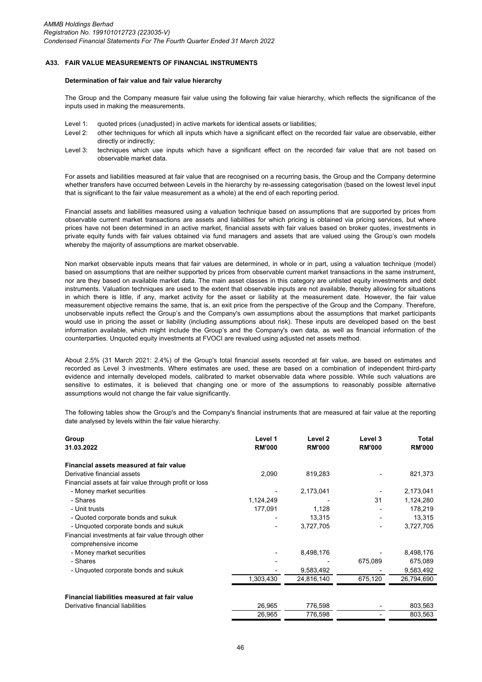#### **A33. FAIR VALUE MEASUREMENTS OF FINANCIAL INSTRUMENTS**

#### **Determination of fair value and fair value hierarchy**

The Group and the Company measure fair value using the following fair value hierarchy, which reflects the significance of the inputs used in making the measurements.

- Level 1: quoted prices (unadjusted) in active markets for identical assets or liabilities;
- Level 2: other techniques for which all inputs which have a significant effect on the recorded fair value are observable, either directly or indirectly;
- Level 3: techniques which use inputs which have a significant effect on the recorded fair value that are not based on observable market data.

For assets and liabilities measured at fair value that are recognised on a recurring basis, the Group and the Company determine whether transfers have occurred between Levels in the hierarchy by re-assessing categorisation (based on the lowest level input that is significant to the fair value measurement as a whole) at the end of each reporting period.

Financial assets and liabilities measured using a valuation technique based on assumptions that are supported by prices from observable current market transactions are assets and liabilities for which pricing is obtained via pricing services, but where prices have not been determined in an active market, financial assets with fair values based on broker quotes, investments in private equity funds with fair values obtained via fund managers and assets that are valued using the Group's own models whereby the majority of assumptions are market observable.

Non market observable inputs means that fair values are determined, in whole or in part, using a valuation technique (model) based on assumptions that are neither supported by prices from observable current market transactions in the same instrument, nor are they based on available market data. The main asset classes in this category are unlisted equity investments and debt instruments. Valuation techniques are used to the extent that observable inputs are not available, thereby allowing for situations in which there is little, if any, market activity for the asset or liability at the measurement date. However, the fair value measurement objective remains the same, that is, an exit price from the perspective of the Group and the Company. Therefore, unobservable inputs reflect the Group's and the Company's own assumptions about the assumptions that market participants would use in pricing the asset or liability (including assumptions about risk). These inputs are developed based on the best information available, which might include the Group's and the Company's own data, as well as financial information of the counterparties. Unquoted equity investments at FVOCI are revalued using adjusted net assets method.

About 2.5% (31 March 2021: 2.4%) of the Group's total financial assets recorded at fair value, are based on estimates and recorded as Level 3 investments. Where estimates are used, these are based on a combination of independent third-party evidence and internally developed models, calibrated to market observable data where possible. While such valuations are sensitive to estimates, it is believed that changing one or more of the assumptions to reasonably possible alternative assumptions would not change the fair value significantly.

The following tables show the Group's and the Company's financial instruments that are measured at fair value at the reporting date analysed by levels within the fair value hierarchy.

| Group<br>31.03.2022                                                       | Level 1<br><b>RM'000</b> | Level 2<br><b>RM'000</b> | Level 3<br><b>RM'000</b> | Total<br><b>RM'000</b> |
|---------------------------------------------------------------------------|--------------------------|--------------------------|--------------------------|------------------------|
| Financial assets measured at fair value                                   |                          |                          |                          |                        |
| Derivative financial assets                                               | 2,090                    | 819,283                  |                          | 821,373                |
| Financial assets at fair value through profit or loss                     |                          |                          |                          |                        |
| - Money market securities                                                 |                          | 2,173,041                |                          | 2,173,041              |
| - Shares                                                                  | 1,124,249                |                          | 31                       | 1,124,280              |
| - Unit trusts                                                             | 177,091                  | 1,128                    |                          | 178,219                |
| - Quoted corporate bonds and sukuk                                        |                          | 13,315                   |                          | 13,315                 |
| - Unquoted corporate bonds and sukuk                                      |                          | 3,727,705                |                          | 3,727,705              |
| Financial investments at fair value through other<br>comprehensive income |                          |                          |                          |                        |
| - Money market securities                                                 |                          | 8,498,176                |                          | 8,498,176              |
| - Shares                                                                  |                          |                          | 675,089                  | 675,089                |
| - Unquoted corporate bonds and sukuk                                      |                          | 9,583,492                |                          | 9,583,492              |
|                                                                           | 1,303,430                | 24,816,140               | 675,120                  | 26,794,690             |
| Financial liabilities measured at fair value                              |                          |                          |                          |                        |
| Derivative financial liabilities                                          | 26,965                   | 776,598                  |                          | 803,563                |
|                                                                           | 26,965                   | 776,598                  |                          | 803,563                |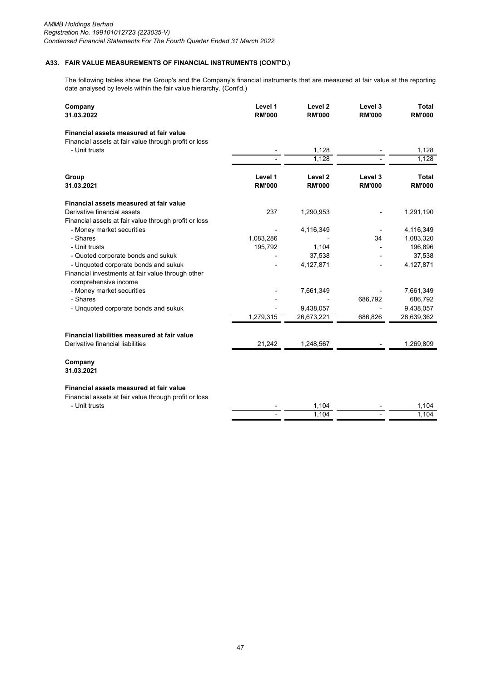# **A33. FAIR VALUE MEASUREMENTS OF FINANCIAL INSTRUMENTS (CONT'D.)**

The following tables show the Group's and the Company's financial instruments that are measured at fair value at the reporting date analysed by levels within the fair value hierarchy. (Cont'd.)

| Company<br>31.03.2022                                                                            | Level 1<br><b>RM'000</b> | Level <sub>2</sub><br><b>RM'000</b> | Level 3<br><b>RM'000</b> | <b>Total</b><br><b>RM'000</b> |
|--------------------------------------------------------------------------------------------------|--------------------------|-------------------------------------|--------------------------|-------------------------------|
| Financial assets measured at fair value<br>Financial assets at fair value through profit or loss |                          |                                     |                          |                               |
| - Unit trusts                                                                                    |                          | 1,128                               |                          | 1,128                         |
|                                                                                                  |                          | 1,128                               |                          | 1,128                         |
| Group                                                                                            | Level 1                  | Level <sub>2</sub>                  | Level 3                  | Total                         |
| 31.03.2021                                                                                       | <b>RM'000</b>            | <b>RM'000</b>                       | <b>RM'000</b>            | <b>RM'000</b>                 |
| Financial assets measured at fair value                                                          |                          |                                     |                          |                               |
| Derivative financial assets                                                                      | 237                      | 1,290,953                           |                          | 1,291,190                     |
| Financial assets at fair value through profit or loss                                            |                          |                                     |                          |                               |
| - Money market securities                                                                        |                          | 4,116,349                           |                          | 4,116,349                     |
| - Shares                                                                                         | 1,083,286                |                                     | 34                       | 1,083,320                     |
| - Unit trusts                                                                                    | 195,792                  | 1,104                               |                          | 196,896                       |
| - Quoted corporate bonds and sukuk                                                               |                          | 37,538                              |                          | 37,538                        |
| - Unquoted corporate bonds and sukuk                                                             |                          | 4,127,871                           |                          | 4,127,871                     |
| Financial investments at fair value through other                                                |                          |                                     |                          |                               |
| comprehensive income                                                                             |                          |                                     |                          |                               |
| - Money market securities                                                                        |                          | 7,661,349                           |                          | 7,661,349                     |
| - Shares                                                                                         |                          |                                     | 686,792                  | 686,792                       |
| - Unquoted corporate bonds and sukuk                                                             |                          | 9,438,057                           |                          | 9,438,057                     |
|                                                                                                  | 1,279,315                | 26,673,221                          | 686,826                  | 28,639,362                    |
| Financial liabilities measured at fair value                                                     |                          |                                     |                          |                               |
| Derivative financial liabilities                                                                 | 21,242                   | 1,248,567                           |                          | 1,269,809                     |
| Company<br>31.03.2021                                                                            |                          |                                     |                          |                               |
| Financial assets measured at fair value                                                          |                          |                                     |                          |                               |
| Financial assets at fair value through profit or loss                                            |                          |                                     |                          |                               |
| - Unit trusts                                                                                    |                          | 1,104                               |                          | 1,104                         |
|                                                                                                  |                          | 1,104                               |                          | 1,104                         |
|                                                                                                  |                          |                                     |                          |                               |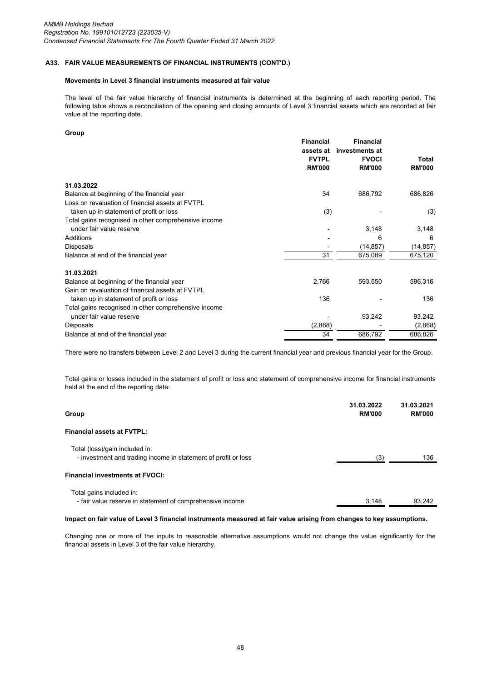# **A33. FAIR VALUE MEASUREMENTS OF FINANCIAL INSTRUMENTS (CONT'D.)**

## **Movements in Level 3 financial instruments measured at fair value**

The level of the fair value hierarchy of financial instruments is determined at the beginning of each reporting period. The following table shows a reconciliation of the opening and closing amounts of Level 3 financial assets which are recorded at fair value at the reporting date.

#### **Group**

| <b>Financial</b>                                     |               | <b>Financial</b> |               |
|------------------------------------------------------|---------------|------------------|---------------|
|                                                      | assets at     | investments at   |               |
|                                                      | <b>FVTPL</b>  | <b>FVOCI</b>     | Total         |
|                                                      | <b>RM'000</b> | <b>RM'000</b>    | <b>RM'000</b> |
| 31.03.2022                                           |               |                  |               |
| Balance at beginning of the financial year           | 34            | 686,792          | 686,826       |
| Loss on revaluation of financial assets at FVTPL     |               |                  |               |
| taken up in statement of profit or loss              | (3)           |                  | (3)           |
| Total gains recognised in other comprehensive income |               |                  |               |
| under fair value reserve                             |               | 3,148            | 3,148         |
| Additions                                            |               | 6                | 6             |
| <b>Disposals</b>                                     |               | (14, 857)        | (14, 857)     |
| Balance at end of the financial year                 | 31            | 675,089          | 675,120       |
| 31.03.2021                                           |               |                  |               |
| Balance at beginning of the financial year           | 2,766         | 593,550          | 596,316       |
| Gain on revaluation of financial assets at FVTPL     |               |                  |               |
| taken up in statement of profit or loss              | 136           |                  | 136           |
| Total gains recognised in other comprehensive income |               |                  |               |
| under fair value reserve                             |               | 93,242           | 93,242        |
| Disposals                                            | (2,868)       |                  | (2,868)       |
| Balance at end of the financial year                 | 34            | 686,792          | 686,826       |

There were no transfers between Level 2 and Level 3 during the current financial year and previous financial year for the Group.

Total gains or losses included in the statement of profit or loss and statement of comprehensive income for financial instruments held at the end of the reporting date:

| Group                                                                                            | 31.03.2022<br><b>RM'000</b> | 31.03.2021<br><b>RM'000</b> |
|--------------------------------------------------------------------------------------------------|-----------------------------|-----------------------------|
| <b>Financial assets at FVTPL:</b>                                                                |                             |                             |
| Total (loss)/gain included in:<br>- investment and trading income in statement of profit or loss | (3)                         | 136                         |
| <b>Financial investments at FVOCI:</b>                                                           |                             |                             |
| Total gains included in:<br>- fair value reserve in statement of comprehensive income            | 3.148                       | 93.242                      |

## **Impact on fair value of Level 3 financial instruments measured at fair value arising from changes to key assumptions.**

Changing one or more of the inputs to reasonable alternative assumptions would not change the value significantly for the financial assets in Level 3 of the fair value hierarchy.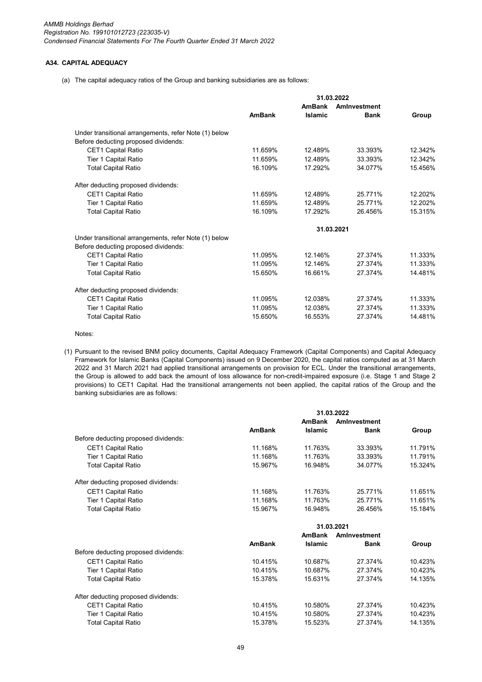### **A34. CAPITAL ADEQUACY**

(a) The capital adequacy ratios of the Group and banking subsidiaries are as follows:

|                                                       |               | <b>AmBank</b>  | Aminyestment |         |
|-------------------------------------------------------|---------------|----------------|--------------|---------|
|                                                       | <b>AmBank</b> | <b>Islamic</b> | <b>Bank</b>  | Group   |
| Under transitional arrangements, refer Note (1) below |               |                |              |         |
| Before deducting proposed dividends:                  |               |                |              |         |
| <b>CET1 Capital Ratio</b>                             | 11.659%       | 12.489%        | 33.393%      | 12.342% |
| Tier 1 Capital Ratio                                  | 11.659%       | 12.489%        | 33.393%      | 12.342% |
| <b>Total Capital Ratio</b>                            | 16.109%       | 17.292%        | 34.077%      | 15.456% |
| After deducting proposed dividends:                   |               |                |              |         |
| <b>CET1 Capital Ratio</b>                             | 11.659%       | 12.489%        | 25.771%      | 12.202% |
| Tier 1 Capital Ratio                                  | 11.659%       | 12.489%        | 25.771%      | 12.202% |
| <b>Total Capital Ratio</b>                            | 16.109%       | 17.292%        | 26.456%      | 15.315% |
|                                                       |               |                | 31.03.2021   |         |
| Under transitional arrangements, refer Note (1) below |               |                |              |         |
| Before deducting proposed dividends:                  |               |                |              |         |
| <b>CET1 Capital Ratio</b>                             | 11.095%       | 12.146%        | 27.374%      | 11.333% |
| Tier 1 Capital Ratio                                  | 11.095%       | 12.146%        | 27.374%      | 11.333% |
| <b>Total Capital Ratio</b>                            | 15.650%       | 16.661%        | 27.374%      | 14.481% |
| After deducting proposed dividends:                   |               |                |              |         |
| <b>CET1 Capital Ratio</b>                             | 11.095%       | 12.038%        | 27.374%      | 11.333% |
| Tier 1 Capital Ratio                                  | 11.095%       | 12.038%        | 27.374%      | 11.333% |
| <b>Total Capital Ratio</b>                            | 15.650%       | 16.553%        | 27.374%      | 14.481% |

Notes:

(1) Pursuant to the revised BNM policy documents, Capital Adequacy Framework (Capital Components) and Capital Adequacy Framework for Islamic Banks (Capital Components) issued on 9 December 2020, the capital ratios computed as at 31 March 2022 and 31 March 2021 had applied transitional arrangements on provision for ECL. Under the transitional arrangements, the Group is allowed to add back the amount of loss allowance for non-credit-impaired exposure (i.e. Stage 1 and Stage 2 provisions) to CET1 Capital. Had the transitional arrangements not been applied, the capital ratios of the Group and the banking subsidiaries are as follows:

|                                      |               | <b>AmBank</b>  | Aminyestment |         |
|--------------------------------------|---------------|----------------|--------------|---------|
|                                      | <b>AmBank</b> | <b>Islamic</b> | <b>Bank</b>  | Group   |
| Before deducting proposed dividends: |               |                |              |         |
| <b>CET1 Capital Ratio</b>            | 11.168%       | 11.763%        | 33.393%      | 11.791% |
| <b>Tier 1 Capital Ratio</b>          | 11.168%       | 11.763%        | 33.393%      | 11.791% |
| <b>Total Capital Ratio</b>           | 15.967%       | 16.948%        | 34.077%      | 15.324% |
| After deducting proposed dividends:  |               |                |              |         |
| <b>CET1 Capital Ratio</b>            | 11.168%       | 11.763%        | 25.771%      | 11.651% |
| Tier 1 Capital Ratio                 | 11.168%       | 11.763%        | 25.771%      | 11.651% |
| <b>Total Capital Ratio</b>           | 15.967%       | 16.948%        | 26.456%      | 15.184% |
|                                      |               |                | 31.03.2021   |         |
|                                      |               | <b>AmBank</b>  | Aminyestment |         |
|                                      | <b>AmBank</b> | <b>Islamic</b> | <b>Bank</b>  | Group   |
| Before deducting proposed dividends: |               |                |              |         |
| <b>CET1 Capital Ratio</b>            | 10.415%       | 10.687%        | 27.374%      | 10.423% |
| <b>Tier 1 Capital Ratio</b>          | 10.415%       | 10.687%        | 27.374%      | 10.423% |
| <b>Total Capital Ratio</b>           | 15.378%       | 15.631%        | 27.374%      | 14.135% |
| After deducting proposed dividends:  |               |                |              |         |
| <b>CET1 Capital Ratio</b>            | 10.415%       | 10.580%        | 27.374%      | 10.423% |
| <b>Tier 1 Capital Ratio</b>          | 10.415%       | 10.580%        | 27.374%      | 10.423% |
| <b>Total Capital Ratio</b>           | 15.378%       | 15.523%        | 27.374%      | 14.135% |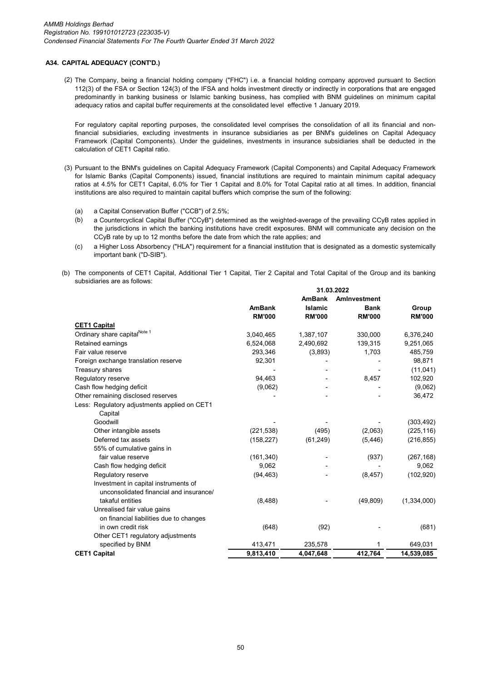## **A34. CAPITAL ADEQUACY (CONT'D.)**

(2) The Company, being a financial holding company ("FHC") i.e. a financial holding company approved pursuant to Section 112(3) of the FSA or Section 124(3) of the IFSA and holds investment directly or indirectly in corporations that are engaged predominantly in banking business or Islamic banking business, has complied with BNM guidelines on minimum capital adequacy ratios and capital buffer requirements at the consolidated level effective 1 January 2019.

For regulatory capital reporting purposes, the consolidated level comprises the consolidation of all its financial and nonfinancial subsidiaries, excluding investments in insurance subsidiaries as per BNM's guidelines on Capital Adequacy Framework (Capital Components). Under the guidelines, investments in insurance subsidiaries shall be deducted in the calculation of CET1 Capital ratio.

- (3) Pursuant to the BNM's guidelines on Capital Adequacy Framework (Capital Components) and Capital Adequacy Framework for Islamic Banks (Capital Components) issued, financial institutions are required to maintain minimum capital adequacy ratios at 4.5% for CET1 Capital, 6.0% for Tier 1 Capital and 8.0% for Total Capital ratio at all times. In addition, financial institutions are also required to maintain capital buffers which comprise the sum of the following:
	- (a) a Capital Conservation Buffer ("CCB") of 2.5%;
	- (b) a Countercyclical Capital Buffer ("CCyB") determined as the weighted-average of the prevailing CCyB rates applied in the jurisdictions in which the banking institutions have credit exposures. BNM will communicate any decision on the CCyB rate by up to 12 months before the date from which the rate applies; and
	- $(c)$ a Higher Loss Absorbency ("HLA") requirement for a financial institution that is designated as a domestic systemically important bank ("D-SIB").
- (b) The components of CET1 Capital, Additional Tier 1 Capital, Tier 2 Capital and Total Capital of the Group and its banking subsidiaries are as follows:

|                                              | 31.03.2022    |                                 |                             |               |  |
|----------------------------------------------|---------------|---------------------------------|-----------------------------|---------------|--|
|                                              | <b>AmBank</b> | <b>AmBank</b><br><b>Islamic</b> | Aminvestment<br><b>Bank</b> | Group         |  |
|                                              | <b>RM'000</b> | <b>RM'000</b>                   | <b>RM'000</b>               | <b>RM'000</b> |  |
| <b>CET1 Capital</b>                          |               |                                 |                             |               |  |
| Ordinary share capital <sup>Note 1</sup>     | 3,040,465     | 1,387,107                       | 330,000                     | 6,376,240     |  |
| Retained earnings                            | 6,524,068     | 2,490,692                       | 139,315                     | 9,251,065     |  |
| Fair value reserve                           | 293,346       | (3,893)                         | 1,703                       | 485,759       |  |
| Foreign exchange translation reserve         | 92,301        |                                 |                             | 98,871        |  |
| Treasury shares                              |               |                                 |                             | (11, 041)     |  |
| Regulatory reserve                           | 94,463        |                                 | 8,457                       | 102,920       |  |
| Cash flow hedging deficit                    | (9,062)       |                                 |                             | (9,062)       |  |
| Other remaining disclosed reserves           |               |                                 |                             | 36,472        |  |
| Less: Regulatory adjustments applied on CET1 |               |                                 |                             |               |  |
| Capital                                      |               |                                 |                             |               |  |
| Goodwill                                     |               |                                 |                             | (303, 492)    |  |
| Other intangible assets                      | (221, 538)    | (495)                           | (2,063)                     | (225, 116)    |  |
| Deferred tax assets                          | (158, 227)    | (61, 249)                       | (5, 446)                    | (216, 855)    |  |
| 55% of cumulative gains in                   |               |                                 |                             |               |  |
| fair value reserve                           | (161, 340)    |                                 | (937)                       | (267, 168)    |  |
| Cash flow hedging deficit                    | 9,062         |                                 |                             | 9,062         |  |
| Regulatory reserve                           | (94, 463)     |                                 | (8, 457)                    | (102, 920)    |  |
| Investment in capital instruments of         |               |                                 |                             |               |  |
| unconsolidated financial and insurance/      |               |                                 |                             |               |  |
| takaful entities                             | (8, 488)      |                                 | (49, 809)                   | (1,334,000)   |  |
| Unrealised fair value gains                  |               |                                 |                             |               |  |
| on financial liabilities due to changes      |               |                                 |                             |               |  |
| in own credit risk                           | (648)         | (92)                            |                             | (681)         |  |
| Other CET1 regulatory adjustments            |               |                                 |                             |               |  |
| specified by BNM                             | 413,471       | 235,578                         |                             | 649,031       |  |
| <b>CET1 Capital</b>                          | 9,813,410     | 4,047,648                       | 412,764                     | 14,539,085    |  |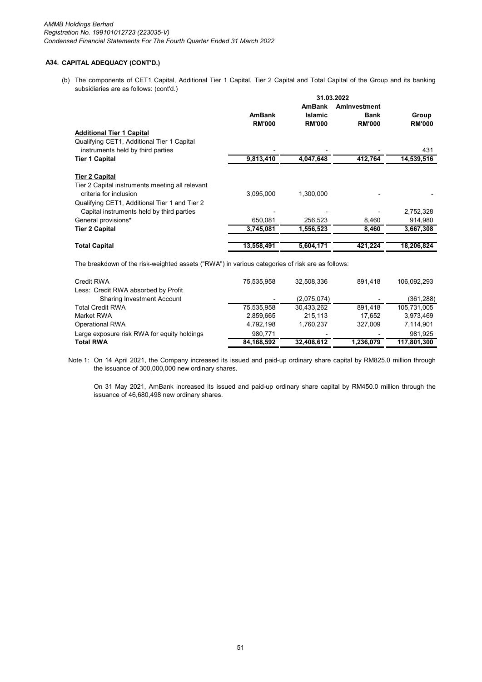## **A34. CAPITAL ADEQUACY (CONT'D.)**

(b) The components of CET1 Capital, Additional Tier 1 Capital, Tier 2 Capital and Total Capital of the Group and its banking subsidiaries are as follows: (cont'd.)

|                                                 | 31.03.2022    |                |               |               |  |  |
|-------------------------------------------------|---------------|----------------|---------------|---------------|--|--|
|                                                 |               | <b>AmBank</b>  | Aminyestment  |               |  |  |
|                                                 | <b>AmBank</b> | <b>Islamic</b> | <b>Bank</b>   | Group         |  |  |
|                                                 | <b>RM'000</b> | <b>RM'000</b>  | <b>RM'000</b> | <b>RM'000</b> |  |  |
| <b>Additional Tier 1 Capital</b>                |               |                |               |               |  |  |
| Qualifying CET1, Additional Tier 1 Capital      |               |                |               |               |  |  |
| instruments held by third parties               |               |                |               | 431           |  |  |
| Tier 1 Capital                                  | 9,813,410     | 4,047,648      | 412,764       | 14,539,516    |  |  |
| <b>Tier 2 Capital</b>                           |               |                |               |               |  |  |
| Tier 2 Capital instruments meeting all relevant |               |                |               |               |  |  |
| criteria for inclusion                          | 3,095,000     | 1.300.000      |               |               |  |  |
| Qualifying CET1, Additional Tier 1 and Tier 2   |               |                |               |               |  |  |
| Capital instruments held by third parties       |               |                |               | 2,752,328     |  |  |
| General provisions*                             | 650,081       | 256,523        | 8,460         | 914,980       |  |  |
| <b>Tier 2 Capital</b>                           | 3,745,081     | 1,556,523      | 8,460         | 3,667,308     |  |  |
| <b>Total Capital</b>                            | 13,558,491    | 5,604,171      | 421,224       | 18,206,824    |  |  |
|                                                 |               |                |               |               |  |  |

The breakdown of the risk-weighted assets ("RWA") in various categories of risk are as follows:

| Credit RWA                                  | 75.535.958 | 32.508.336  | 891.418   | 106.092.293 |
|---------------------------------------------|------------|-------------|-----------|-------------|
| Less: Credit RWA absorbed by Profit         |            |             |           |             |
| <b>Sharing Investment Account</b>           |            | (2,075,074) |           | (361, 288)  |
| <b>Total Credit RWA</b>                     | 75.535.958 | 30.433.262  | 891.418   | 105.731.005 |
| Market RWA                                  | 2,859,665  | 215.113     | 17.652    | 3.973.469   |
| Operational RWA                             | 4.792.198  | 1.760.237   | 327.009   | 7,114,901   |
| Large exposure risk RWA for equity holdings | 980.771    |             |           | 981.925     |
| <b>Total RWA</b>                            | 84.168.592 | 32,408,612  | 1.236.079 | 117,801,300 |

Note 1: On 14 April 2021, the Company increased its issued and paid-up ordinary share capital by RM825.0 million through the issuance of 300,000,000 new ordinary shares.

On 31 May 2021, AmBank increased its issued and paid-up ordinary share capital by RM450.0 million through the issuance of 46,680,498 new ordinary shares.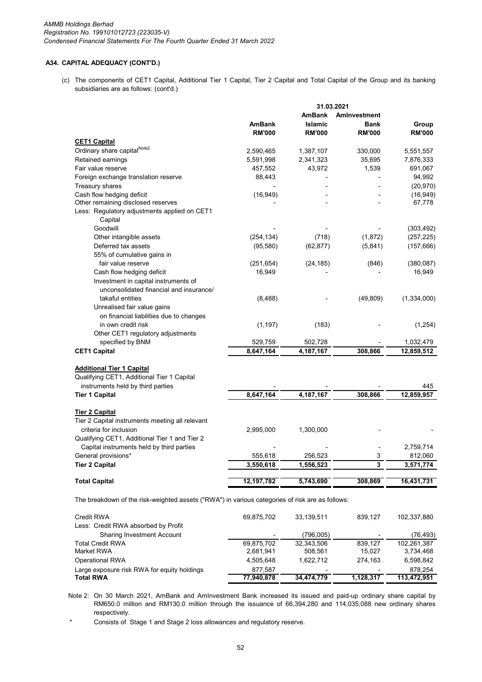### **A34. CAPITAL ADEQUACY (CONT'D.)**

(c) The components of CET1 Capital, Additional Tier 1 Capital, Tier 2 Capital and Total Capital of the Group and its banking subsidiaries are as follows: (cont'd.)

|                                                                                                 |               | 31.03.2021     |               |               |
|-------------------------------------------------------------------------------------------------|---------------|----------------|---------------|---------------|
|                                                                                                 |               | <b>AmBank</b>  | Aminvestment  |               |
|                                                                                                 | <b>AmBank</b> | <b>Islamic</b> | <b>Bank</b>   | Group         |
|                                                                                                 | <b>RM'000</b> | <b>RM'000</b>  | <b>RM'000</b> | <b>RM'000</b> |
| <b>CET1 Capital</b>                                                                             |               |                |               |               |
| Ordinary share capitalNote2                                                                     | 2,590,465     | 1,387,107      | 330,000       | 5,551,557     |
| Retained earnings                                                                               | 5,591,998     | 2,341,323      | 35,695        | 7,876,333     |
| Fair value reserve                                                                              | 457,552       | 43,972         | 1,539         | 691,067       |
| Foreign exchange translation reserve                                                            | 88,443        |                |               | 94,992        |
| <b>Treasury shares</b>                                                                          |               |                |               | (20, 970)     |
| Cash flow hedging deficit                                                                       | (16, 949)     |                |               | (16, 949)     |
| Other remaining disclosed reserves                                                              |               |                |               | 67,778        |
| Less: Regulatory adjustments applied on CET1                                                    |               |                |               |               |
| Capital                                                                                         |               |                |               |               |
| Goodwill                                                                                        |               |                |               | (303, 492)    |
| Other intangible assets                                                                         | (254, 134)    | (718)          | (1,872)       | (257, 225)    |
| Deferred tax assets                                                                             | (95, 580)     | (62, 877)      | (5,841)       | (157, 666)    |
| 55% of cumulative gains in                                                                      |               |                |               |               |
| fair value reserve                                                                              | (251, 654)    | (24, 185)      | (846)         | (380, 087)    |
| Cash flow hedging deficit                                                                       | 16,949        |                |               | 16,949        |
| Investment in capital instruments of                                                            |               |                |               |               |
| unconsolidated financial and insurance/                                                         |               |                |               |               |
| takaful entities                                                                                | (8,488)       |                | (49, 809)     | (1, 334, 000) |
| Unrealised fair value gains                                                                     |               |                |               |               |
| on financial liabilities due to changes                                                         |               |                |               |               |
| in own credit risk                                                                              | (1, 197)      | (183)          |               | (1,254)       |
| Other CET1 regulatory adjustments                                                               |               |                |               |               |
| specified by BNM                                                                                | 529,759       | 502,728        |               | 1,032,479     |
| <b>CET1 Capital</b>                                                                             | 8,647,164     | 4, 187, 167    | 308,866       | 12,859,512    |
|                                                                                                 |               |                |               |               |
| <b>Additional Tier 1 Capital</b>                                                                |               |                |               |               |
| Qualifying CET1, Additional Tier 1 Capital                                                      |               |                |               |               |
| instruments held by third parties                                                               |               |                |               | 445           |
| <b>Tier 1 Capital</b>                                                                           | 8,647,164     | 4, 187, 167    | 308,866       | 12,859,957    |
|                                                                                                 |               |                |               |               |
| <b>Tier 2 Capital</b>                                                                           |               |                |               |               |
| Tier 2 Capital instruments meeting all relevant<br>criteria for inclusion                       |               |                |               |               |
|                                                                                                 | 2,995,000     | 1,300,000      |               |               |
| Qualifying CET1, Additional Tier 1 and Tier 2<br>Capital instruments held by third parties      |               |                |               | 2,759,714     |
| General provisions*                                                                             | 555,618       | 256,523        | 3             | 812,060       |
| <b>Tier 2 Capital</b>                                                                           | 3,550,618     | 1,556,523      | 3             | 3,571,774     |
|                                                                                                 |               |                |               |               |
| <b>Total Capital</b>                                                                            | 12,197,782    | 5,743,690      | 308,869       | 16,431,731    |
| The breakdown of the risk-weighted assets ("RWA") in various categories of risk are as follows: |               |                |               |               |
| Credit RWA                                                                                      | 69,875,702    | 33,139,511     | 839,127       | 102,337,880   |
| Less: Credit RWA absorbed by Profit                                                             |               |                |               |               |
|                                                                                                 |               |                |               |               |

| <b>Sharing Investment Account</b>           | $\overline{\phantom{0}}$ | (796,005)                | $\overline{\phantom{0}}$ | (76,493)    |
|---------------------------------------------|--------------------------|--------------------------|--------------------------|-------------|
| <b>Total Credit RWA</b>                     | 69.875.702               | 32.343.506               | 839.127                  | 102.261.387 |
| Market RWA                                  | 2.681.941                | 508.561                  | 15.027                   | 3.734.468   |
| <b>Operational RWA</b>                      | 4.505.648                | 1.622.712                | 274.163                  | 6.598.842   |
| Large exposure risk RWA for equity holdings | 877.587                  | $\overline{\phantom{0}}$ | -                        | 878.254     |
| <b>Total RWA</b>                            | 77,940,878               | 34.474.779               | 1.128.317                | 113.472.951 |
|                                             |                          |                          |                          |             |

Note 2: On 30 March 2021, AmBank and AmInvestment Bank increased its issued and paid-up ordinary share capital by RM650.0 million and RM130.0 million through the issuance of 66,394,280 and 114,035,088 new ordinary shares respectively.

\* Consists of Stage 1 and Stage 2 loss allowances and regulatory reserve.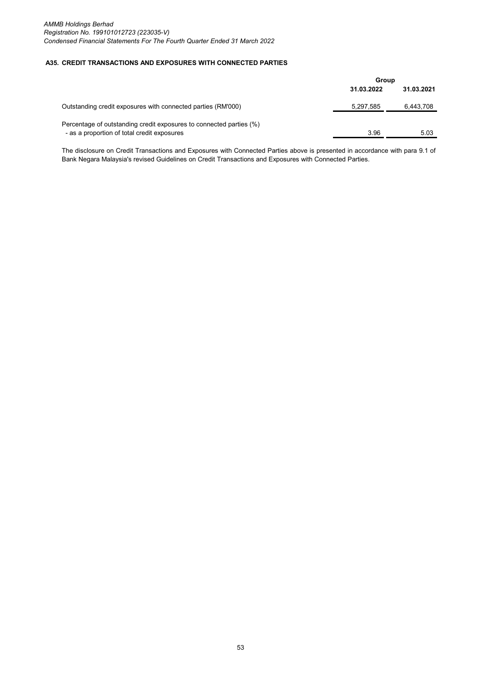#### **A35. CREDIT TRANSACTIONS AND EXPOSURES WITH CONNECTED PARTIES**

|                                                                     | Group      |            |
|---------------------------------------------------------------------|------------|------------|
|                                                                     | 31.03.2022 | 31.03.2021 |
| Outstanding credit exposures with connected parties (RM'000)        | 5,297,585  | 6,443,708  |
| Percentage of outstanding credit exposures to connected parties (%) |            |            |
| - as a proportion of total credit exposures                         | 3.96       | 5.03       |

The disclosure on Credit Transactions and Exposures with Connected Parties above is presented in accordance with para 9.1 of Bank Negara Malaysia's revised Guidelines on Credit Transactions and Exposures with Connected Parties.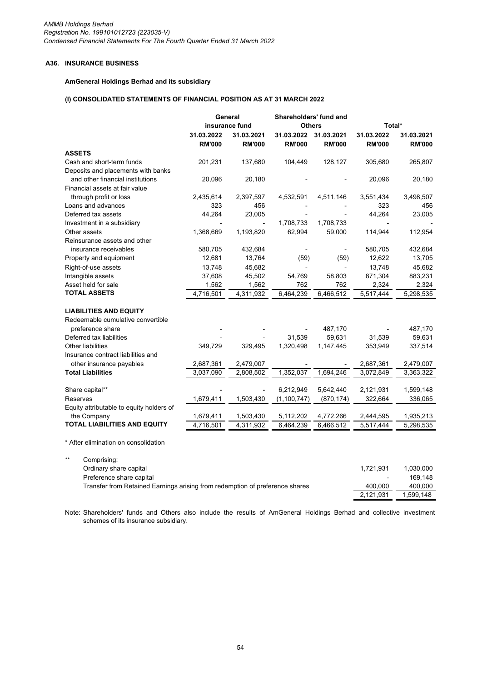# **A36. INSURANCE BUSINESS**

## **AmGeneral Holdings Berhad and its subsidiary**

# **(I) CONSOLIDATED STATEMENTS OF FINANCIAL POSITION AS AT 31 MARCH 2022**

|                                          |               | General        | Shareholders' fund and |               |               |               |
|------------------------------------------|---------------|----------------|------------------------|---------------|---------------|---------------|
|                                          |               | insurance fund | <b>Others</b>          |               | Total*        |               |
|                                          | 31.03.2022    | 31.03.2021     | 31.03.2022             | 31.03.2021    | 31.03.2022    | 31.03.2021    |
|                                          | <b>RM'000</b> | <b>RM'000</b>  | <b>RM'000</b>          | <b>RM'000</b> | <b>RM'000</b> | <b>RM'000</b> |
| <b>ASSETS</b>                            |               |                |                        |               |               |               |
| Cash and short-term funds                | 201,231       | 137,680        | 104,449                | 128,127       | 305,680       | 265,807       |
| Deposits and placements with banks       |               |                |                        |               |               |               |
| and other financial institutions         | 20,096        | 20,180         |                        |               | 20,096        | 20,180        |
| Financial assets at fair value           |               |                |                        |               |               |               |
| through profit or loss                   | 2,435,614     | 2,397,597      | 4,532,591              | 4,511,146     | 3,551,434     | 3,498,507     |
| Loans and advances                       | 323           | 456            |                        |               | 323           | 456           |
| Deferred tax assets                      | 44,264        | 23,005         |                        |               | 44,264        | 23,005        |
| Investment in a subsidiary               |               |                | 1,708,733              | 1,708,733     |               |               |
| Other assets                             | 1,368,669     | 1,193,820      | 62,994                 | 59,000        | 114,944       | 112,954       |
| Reinsurance assets and other             |               |                |                        |               |               |               |
| insurance receivables                    | 580,705       | 432,684        |                        |               | 580,705       | 432,684       |
| Property and equipment                   | 12,681        | 13,764         | (59)                   | (59)          | 12,622        | 13,705        |
| Right-of-use assets                      | 13.748        | 45,682         |                        |               | 13,748        | 45,682        |
| Intangible assets                        | 37,608        | 45,502         | 54,769                 | 58,803        | 871,304       | 883,231       |
| Asset held for sale                      | 1,562         | 1,562          | 762                    | 762           | 2,324         | 2,324         |
| <b>TOTAL ASSETS</b>                      | 4,716,501     | 4,311,932      | 6,464,239              | 6,466,512     | 5,517,444     | 5,298,535     |
| <b>LIABILITIES AND EQUITY</b>            |               |                |                        |               |               |               |
| Redeemable cumulative convertible        |               |                |                        |               |               |               |
| preference share                         |               |                |                        | 487,170       |               | 487,170       |
| Deferred tax liabilities                 |               |                | 31,539                 | 59,631        | 31,539        | 59,631        |
| <b>Other liabilities</b>                 | 349,729       | 329,495        | 1,320,498              | 1,147,445     | 353,949       |               |
| Insurance contract liabilities and       |               |                |                        |               |               | 337,514       |
| other insurance payables                 | 2,687,361     | 2,479,007      |                        |               | 2,687,361     | 2,479,007     |
| <b>Total Liabilities</b>                 | 3,037,090     | 2,808,502      | 1,352,037              | 1,694,246     | 3,072,849     | 3,363,322     |
|                                          |               |                |                        |               |               |               |
| Share capital**                          |               |                | 6,212,949              | 5,642,440     | 2,121,931     | 1,599,148     |
| Reserves                                 | 1,679,411     | 1,503,430      | (1, 100, 747)          | (870, 174)    | 322,664       | 336,065       |
| Equity attributable to equity holders of |               |                |                        |               |               |               |
| the Company                              | 1,679,411     | 1,503,430      | 5,112,202              | 4,772,266     | 2,444,595     | 1,935,213     |
| <b>TOTAL LIABILITIES AND EQUITY</b>      | 4,716,501     | 4,311,932      | 6,464,239              | 6,466,512     | 5,517,444     | 5,298,535     |
|                                          |               |                |                        |               |               |               |

\* After elimination on consolidation

| ** | Comprising:                                                                  |           |           |
|----|------------------------------------------------------------------------------|-----------|-----------|
|    | Ordinary share capital                                                       | 1.721.931 | 1.030.000 |
|    | Preference share capital                                                     |           | 169.148   |
|    | Transfer from Retained Earnings arising from redemption of preference shares | 400.000   | 400.000   |
|    |                                                                              | 2.121.931 | 1.599.148 |

Note: Shareholders' funds and Others also include the results of AmGeneral Holdings Berhad and collective investment schemes of its insurance subsidiary.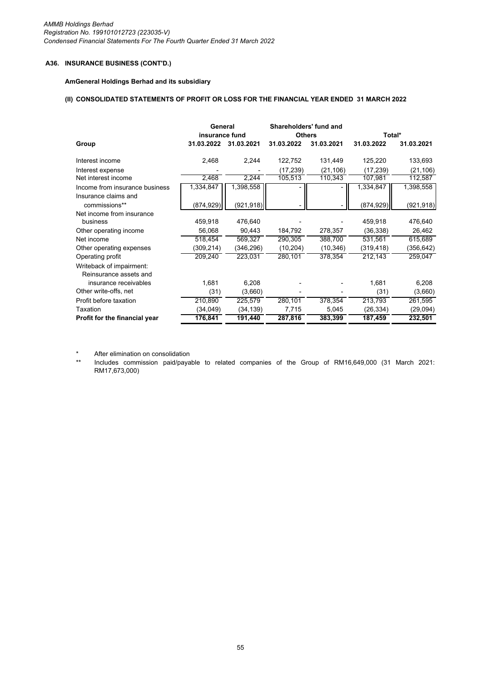*AMMB Holdings Berhad Registration No. 199101012723 (223035-V) Condensed Financial Statements For The Fourth Quarter Ended 31 March 2022*

# **A36. INSURANCE BUSINESS (CONT'D.)**

## **AmGeneral Holdings Berhad and its subsidiary**

#### **(II) CONSOLIDATED STATEMENTS OF PROFIT OR LOSS FOR THE FINANCIAL YEAR ENDED 31 MARCH 2022**

|                                                    | General<br>insurance fund |            | Shareholders' fund and<br><b>Others</b> |            | Total*     |            |
|----------------------------------------------------|---------------------------|------------|-----------------------------------------|------------|------------|------------|
| Group                                              | 31.03.2022                | 31.03.2021 | 31.03.2022                              | 31.03.2021 | 31.03.2022 | 31.03.2021 |
| Interest income                                    | 2,468                     | 2,244      | 122,752                                 | 131,449    | 125,220    | 133,693    |
| Interest expense                                   |                           |            | (17, 239)                               | (21, 106)  | (17, 239)  | (21, 106)  |
| Net interest income                                | 2,468                     | 2,244      | 105,513                                 | 110,343    | 107,981    | 112,587    |
| Income from insurance business                     | 1,334,847                 | 1,398,558  |                                         |            | 1,334,847  | 1,398,558  |
| Insurance claims and<br>commissions**              | (874, 929)                | (921, 918) |                                         |            | (874, 929) | (921, 918) |
| Net income from insurance                          |                           |            |                                         |            |            |            |
| business                                           | 459,918                   | 476,640    |                                         |            | 459,918    | 476,640    |
| Other operating income                             | 56,068                    | 90,443     | 184,792                                 | 278,357    | (36,338)   | 26,462     |
| Net income                                         | 518,454                   | 569,327    | 290,305                                 | 388,700    | 531,561    | 615,689    |
| Other operating expenses                           | (309,214)                 | (346, 296) | (10, 204)                               | (10, 346)  | (319, 418) | (356, 642) |
| Operating profit                                   | 209,240                   | 223,031    | 280,101                                 | 378,354    | 212,143    | 259,047    |
| Writeback of impairment:<br>Reinsurance assets and |                           |            |                                         |            |            |            |
| insurance receivables                              | 1,681                     | 6,208      |                                         |            | 1,681      | 6,208      |
| Other write-offs, net                              | (31)                      | (3,660)    |                                         |            | (31)       | (3,660)    |
| Profit before taxation                             | 210,890                   | 225,579    | 280,101                                 | 378,354    | 213,793    | 261,595    |
| Taxation                                           | (34, 049)                 | (34, 139)  | 7,715                                   | 5,045      | (26, 334)  | (29,094)   |
| Profit for the financial year                      | 176,841                   | 191,440    | 287,816                                 | 383,399    | 187,459    | 232,501    |

\* After elimination on consolidation

\*\* Includes commission paid/payable to related companies of the Group of RM16,649,000 (31 March 2021: RM17,673,000)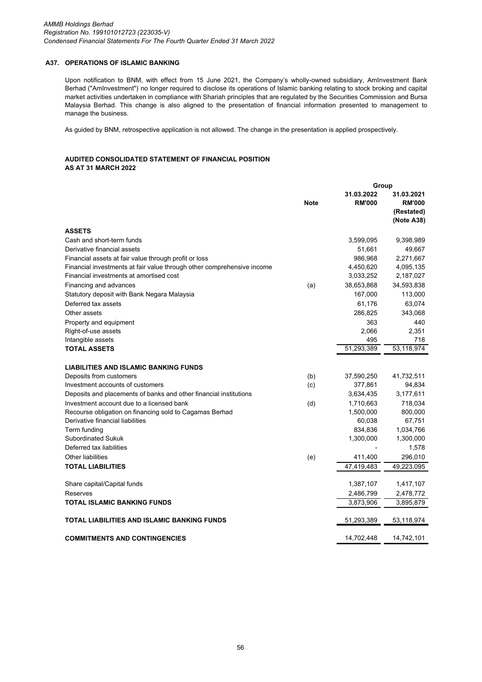# **A37. OPERATIONS OF ISLAMIC BANKING**

Upon notification to BNM, with effect from 15 June 2021, the Company's wholly-owned subsidiary, AmInvestment Bank Berhad ("AmInvestment") no longer required to disclose its operations of Islamic banking relating to stock broking and capital market activities undertaken in compliance with Shariah principles that are regulated by the Securities Commission and Bursa Malaysia Berhad. This change is also aligned to the presentation of financial information presented to management to manage the business.

As guided by BNM, retrospective application is not allowed. The change in the presentation is applied prospectively.

### **AUDITED CONSOLIDATED STATEMENT OF FINANCIAL POSITION AS AT 31 MARCH 2022**

|                                                                        |             | Group                       |                                                         |
|------------------------------------------------------------------------|-------------|-----------------------------|---------------------------------------------------------|
|                                                                        | <b>Note</b> | 31.03.2022<br><b>RM'000</b> | 31.03.2021<br><b>RM'000</b><br>(Restated)<br>(Note A38) |
| <b>ASSETS</b>                                                          |             |                             |                                                         |
| Cash and short-term funds                                              |             | 3,599,095                   | 9,398,989                                               |
| Derivative financial assets                                            |             | 51,661                      | 49,667                                                  |
| Financial assets at fair value through profit or loss                  |             | 986,968                     | 2,271,667                                               |
| Financial investments at fair value through other comprehensive income |             | 4,450,620                   | 4,095,135                                               |
| Financial investments at amortised cost                                |             | 3,033,252                   | 2,187,027                                               |
| Financing and advances                                                 | (a)         | 38,653,868                  | 34,593,838                                              |
| Statutory deposit with Bank Negara Malaysia                            |             | 167,000                     | 113,000                                                 |
| Deferred tax assets                                                    |             | 61,176                      | 63,074                                                  |
| Other assets                                                           |             | 286,825                     | 343,068                                                 |
| Property and equipment                                                 |             | 363                         | 440                                                     |
| Right-of-use assets                                                    |             | 2,066                       | 2,351                                                   |
| Intangible assets                                                      |             | 495                         | 718                                                     |
| <b>TOTAL ASSETS</b>                                                    |             | 51,293,389                  | 53,118,974                                              |
|                                                                        |             |                             |                                                         |
| <b>LIABILITIES AND ISLAMIC BANKING FUNDS</b>                           |             |                             |                                                         |
| Deposits from customers                                                | (b)         | 37,590,250                  | 41,732,511                                              |
| Investment accounts of customers                                       | (c)         | 377,861                     | 94,834                                                  |
| Deposits and placements of banks and other financial institutions      |             | 3,634,435                   | 3,177,611                                               |
| Investment account due to a licensed bank                              | (d)         | 1,710,663                   | 718,034                                                 |
| Recourse obligation on financing sold to Cagamas Berhad                |             | 1,500,000                   | 800,000                                                 |
| Derivative financial liabilities                                       |             | 60,038                      | 67,751                                                  |
| Term funding                                                           |             | 834,836                     | 1,034,766                                               |
| Subordinated Sukuk                                                     |             | 1,300,000                   | 1,300,000                                               |
| Deferred tax liabilities                                               |             |                             | 1,578                                                   |
| <b>Other liabilities</b>                                               | (e)         | 411,400                     | 296,010                                                 |
| <b>TOTAL LIABILITIES</b>                                               |             | 47,419,483                  | 49,223,095                                              |
| Share capital/Capital funds                                            |             | 1,387,107                   | 1,417,107                                               |
| Reserves                                                               |             | 2,486,799                   | 2,478,772                                               |
| <b>TOTAL ISLAMIC BANKING FUNDS</b>                                     |             | 3,873,906                   | 3,895,879                                               |
| TOTAL LIABILITIES AND ISLAMIC BANKING FUNDS                            |             | 51,293,389                  | 53,118,974                                              |
| <b>COMMITMENTS AND CONTINGENCIES</b>                                   |             | 14,702,448                  | 14,742,101                                              |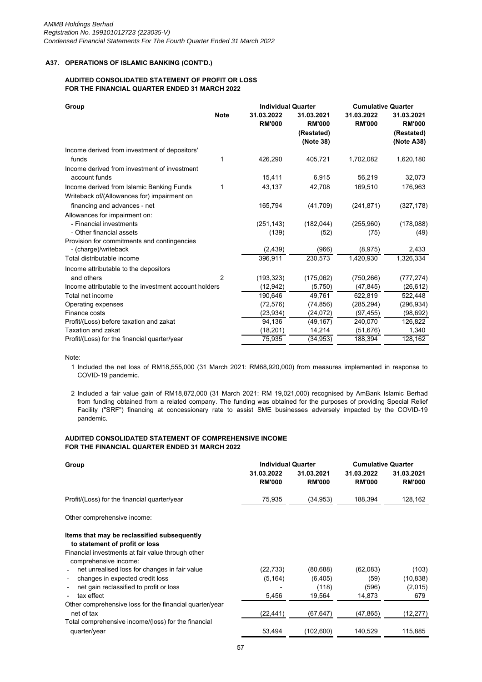## **AUDITED CONSOLIDATED STATEMENT OF PROFIT OR LOSS FOR THE FINANCIAL QUARTER ENDED 31 MARCH 2022**

| Group                                                               |                | <b>Individual Quarter</b>   |                                                        | <b>Cumulative Quarter</b>   |                                                         |
|---------------------------------------------------------------------|----------------|-----------------------------|--------------------------------------------------------|-----------------------------|---------------------------------------------------------|
|                                                                     | <b>Note</b>    | 31.03.2022<br><b>RM'000</b> | 31.03.2021<br><b>RM'000</b><br>(Restated)<br>(Note 38) | 31.03.2022<br><b>RM'000</b> | 31.03.2021<br><b>RM'000</b><br>(Restated)<br>(Note A38) |
| Income derived from investment of depositors'                       |                |                             |                                                        |                             |                                                         |
| funds                                                               |                | 426,290                     | 405,721                                                | 1,702,082                   | 1,620,180                                               |
| Income derived from investment of investment                        |                |                             |                                                        |                             |                                                         |
| account funds                                                       |                | 15,411                      | 6,915                                                  | 56,219                      | 32,073                                                  |
| Income derived from Islamic Banking Funds                           |                | 43,137                      | 42,708                                                 | 169,510                     | 176,963                                                 |
| Writeback of/(Allowances for) impairment on                         |                |                             |                                                        |                             |                                                         |
| financing and advances - net                                        |                | 165,794                     | (41,709)                                               | (241, 871)                  | (327, 178)                                              |
| Allowances for impairment on:                                       |                |                             |                                                        |                             |                                                         |
| - Financial investments                                             |                | (251, 143)                  | (182, 044)                                             | (255,960)                   | (178,088)                                               |
| - Other financial assets                                            |                | (139)                       | (52)                                                   | (75)                        | (49)                                                    |
| Provision for commitments and contingencies<br>- (charge)/writeback |                | (2, 439)                    | (966)                                                  | (8, 975)                    | 2,433                                                   |
| Total distributable income                                          |                | 396.911                     | 230.573                                                | 1.420.930                   | 1,326,334                                               |
| Income attributable to the depositors                               |                |                             |                                                        |                             |                                                         |
| and others                                                          | $\overline{2}$ | (193, 323)                  | (175,062)                                              | (750, 266)                  | (777, 274)                                              |
| Income attributable to the investment account holders               |                | (12, 942)                   | (5,750)                                                | (47, 845)                   | (26,612)                                                |
| Total net income                                                    |                | 190.646                     | 49.761                                                 | 622.819                     | 522,448                                                 |
| Operating expenses                                                  |                | (72, 576)                   | (74, 856)                                              | (285, 294)                  | (296, 934)                                              |
| Finance costs                                                       |                | (23, 934)                   | (24, 072)                                              | (97, 455)                   | (98, 692)                                               |
| Profit/(Loss) before taxation and zakat                             |                | 94,136                      | (49, 167)                                              | 240,070                     | 126,822                                                 |
| Taxation and zakat                                                  |                | (18, 201)                   | 14,214                                                 | (51, 676)                   | 1,340                                                   |
| Profit/(Loss) for the financial quarter/year                        |                | 75,935                      | (34, 953)                                              | 188,394                     | 128,162                                                 |

Note:

- 1 Included the net loss of RM18,555,000 (31 March 2021: RM68,920,000) from measures implemented in response to COVID-19 pandemic.
- 2 Included a fair value gain of RM18,872,000 (31 March 2021: RM 19,021,000) recognised by AmBank Islamic Berhad from funding obtained from a related company. The funding was obtained for the purposes of providing Special Relief Facility ("SRF") financing at concessionary rate to assist SME businesses adversely impacted by the COVID-19 pandemic.

## **AUDITED CONSOLIDATED STATEMENT OF COMPREHENSIVE INCOME FOR THE FINANCIAL QUARTER ENDED 31 MARCH 2022**

| Group                                                                     | <b>Individual Quarter</b>   |                             | <b>Cumulative Quarter</b>   |                             |
|---------------------------------------------------------------------------|-----------------------------|-----------------------------|-----------------------------|-----------------------------|
|                                                                           | 31.03.2022<br><b>RM'000</b> | 31.03.2021<br><b>RM'000</b> | 31.03.2022<br><b>RM'000</b> | 31.03.2021<br><b>RM'000</b> |
| Profit/(Loss) for the financial quarter/year                              | 75,935                      | (34, 953)                   | 188,394                     | 128,162                     |
| Other comprehensive income:                                               |                             |                             |                             |                             |
| Items that may be reclassified subsequently                               |                             |                             |                             |                             |
| to statement of profit or loss                                            |                             |                             |                             |                             |
| Financial investments at fair value through other                         |                             |                             |                             |                             |
| comprehensive income:                                                     |                             |                             |                             |                             |
| net unrealised loss for changes in fair value<br>$\overline{\phantom{a}}$ | (22, 733)                   | (80, 688)                   | (62,083)                    | (103)                       |
| changes in expected credit loss                                           | (5, 164)                    | (6, 405)                    | (59)                        | (10, 838)                   |
| net gain reclassified to profit or loss                                   |                             | (118)                       | (596)                       | (2,015)                     |
| tax effect                                                                | 5,456                       | 19,564                      | 14,873                      | 679                         |
| Other comprehensive loss for the financial quarter/year                   |                             |                             |                             |                             |
| net of tax                                                                | (22,441)                    | (67, 647)                   | (47, 865)                   | (12,277)                    |
| Total comprehensive income/(loss) for the financial                       |                             |                             |                             |                             |
| quarter/year                                                              | 53,494                      | (102,600)                   | 140,529                     | 115,885                     |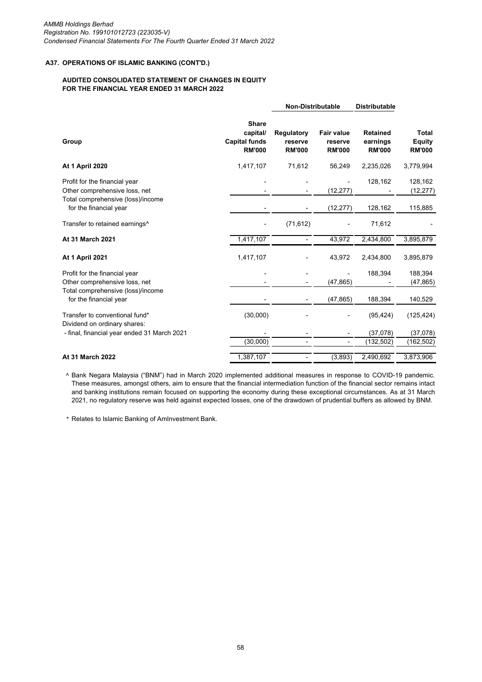## **AUDITED CONSOLIDATED STATEMENT OF CHANGES IN EQUITY FOR THE FINANCIAL YEAR ENDED 31 MARCH 2022**

|                                                                                                     |                                                                   | <b>Non-Distributable</b>               |                                               | <b>Distributable</b>                         |                                                |
|-----------------------------------------------------------------------------------------------------|-------------------------------------------------------------------|----------------------------------------|-----------------------------------------------|----------------------------------------------|------------------------------------------------|
| Group                                                                                               | <b>Share</b><br>capital/<br><b>Capital funds</b><br><b>RM'000</b> | Regulatory<br>reserve<br><b>RM'000</b> | <b>Fair value</b><br>reserve<br><b>RM'000</b> | <b>Retained</b><br>earnings<br><b>RM'000</b> | <b>Total</b><br><b>Equity</b><br><b>RM'000</b> |
| <b>At 1 April 2020</b>                                                                              | 1,417,107                                                         | 71,612                                 | 56,249                                        | 2,235,026                                    | 3,779,994                                      |
| Profit for the financial year<br>Other comprehensive loss, net<br>Total comprehensive (loss)/income |                                                                   |                                        | (12, 277)                                     | 128,162                                      | 128,162<br>(12, 277)                           |
| for the financial year                                                                              |                                                                   |                                        | (12, 277)                                     | 128,162                                      | 115,885                                        |
| Transfer to retained earnings <sup>^</sup>                                                          |                                                                   | (71, 612)                              |                                               | 71,612                                       |                                                |
| At 31 March 2021                                                                                    | 1,417,107                                                         |                                        | 43,972                                        | 2,434,800                                    | 3,895,879                                      |
| <b>At 1 April 2021</b>                                                                              | 1,417,107                                                         |                                        | 43,972                                        | 2,434,800                                    | 3,895,879                                      |
| Profit for the financial year<br>Other comprehensive loss, net                                      |                                                                   |                                        | (47, 865)                                     | 188,394                                      | 188,394<br>(47, 865)                           |
| Total comprehensive (loss)/income<br>for the financial year                                         |                                                                   |                                        | (47, 865)                                     | 188,394                                      | 140,529                                        |
| Transfer to conventional fund*<br>Dividend on ordinary shares:                                      | (30,000)                                                          |                                        |                                               | (95, 424)                                    | (125, 424)                                     |
| - final, financial year ended 31 March 2021                                                         | (30,000)                                                          |                                        |                                               | (37,078)<br>(132, 502)                       | (37,078)<br>(162, 502)                         |
| At 31 March 2022                                                                                    | 1,387,107                                                         |                                        | (3,893)                                       | 2,490,692                                    | 3,873,906                                      |

^ Bank Negara Malaysia ("BNM") had in March 2020 implemented additional measures in response to COVID-19 pandemic. These measures, amongst others, aim to ensure that the financial intermediation function of the financial sector remains intact and banking institutions remain focused on supporting the economy during these exceptional circumstances. As at 31 March 2021, no regulatory reserve was held against expected losses, one of the drawdown of prudential buffers as allowed by BNM.

\* Relates to Islamic Banking of AmInvestment Bank.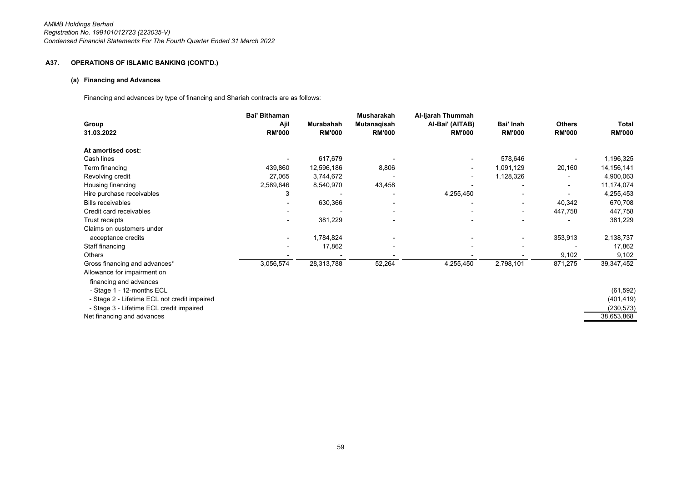## **(a) Financing and Advances**

Financing and advances by type of financing and Shariah contracts are as follows:

|                                              | <b>Bai' Bithaman</b> |               | Musharakah    | Al-Ijarah Thummah |                          |               |               |
|----------------------------------------------|----------------------|---------------|---------------|-------------------|--------------------------|---------------|---------------|
| Group                                        | Ajil                 | Murabahah     | Mutanagisah   | Al-Bai' (AITAB)   | Bai' Inah                | <b>Others</b> | Total         |
| 31.03.2022                                   | <b>RM'000</b>        | <b>RM'000</b> | <b>RM'000</b> | <b>RM'000</b>     | <b>RM'000</b>            | <b>RM'000</b> | <b>RM'000</b> |
| At amortised cost:                           |                      |               |               |                   |                          |               |               |
| Cash lines                                   |                      | 617,679       |               |                   | 578,646                  |               | 1,196,325     |
| Term financing                               | 439,860              | 12,596,186    | 8,806         |                   | 1,091,129                | 20,160        | 14,156,141    |
| Revolving credit                             | 27,065               | 3,744,672     |               |                   | 1,128,326                |               | 4,900,063     |
| Housing financing                            | 2,589,646            | 8,540,970     | 43,458        |                   |                          |               | 11,174,074    |
| Hire purchase receivables                    | 3                    |               |               | 4,255,450         |                          |               | 4,255,453     |
| <b>Bills receivables</b>                     |                      | 630,366       |               |                   | $\overline{\phantom{a}}$ | 40,342        | 670,708       |
| Credit card receivables                      |                      |               |               |                   | $\overline{\phantom{a}}$ | 447,758       | 447,758       |
| Trust receipts                               |                      | 381,229       |               |                   |                          |               | 381,229       |
| Claims on customers under                    |                      |               |               |                   |                          |               |               |
| acceptance credits                           |                      | 1,784,824     |               |                   |                          | 353,913       | 2,138,737     |
| Staff financing                              |                      | 17,862        |               |                   |                          |               | 17,862        |
| Others                                       |                      |               |               |                   |                          | 9,102         | 9,102         |
| Gross financing and advances*                | 3,056,574            | 28,313,788    | 52,264        | 4,255,450         | 2,798,101                | 871,275       | 39,347,452    |
| Allowance for impairment on                  |                      |               |               |                   |                          |               |               |
| financing and advances                       |                      |               |               |                   |                          |               |               |
| - Stage 1 - 12-months ECL                    |                      |               |               |                   |                          |               | (61, 592)     |
| - Stage 2 - Lifetime ECL not credit impaired |                      |               |               |                   |                          |               | (401, 419)    |
| - Stage 3 - Lifetime ECL credit impaired     |                      |               |               |                   |                          |               | (230, 573)    |
| Net financing and advances                   |                      |               |               |                   |                          |               | 38,653,868    |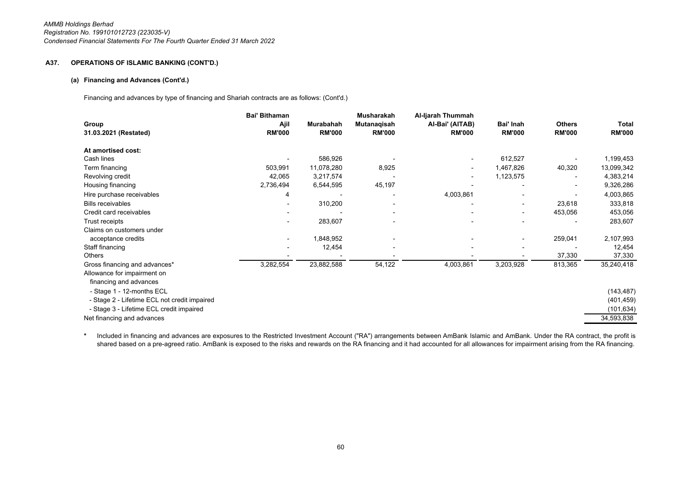#### **(a) Financing and Advances (Cont'd.)**

Financing and advances by type of financing and Shariah contracts are as follows: (Cont'd.)

| Group<br>31.03.2021 (Restated)               | <b>Bai' Bithaman</b><br>Ajil<br><b>RM'000</b> | Murabahah<br><b>RM'000</b> | Musharakah<br>Mutanaqisah<br><b>RM'000</b> | Al-Ijarah Thummah<br>Al-Bai' (AITAB)<br><b>RM'000</b> | Bai' Inah<br><b>RM'000</b> | <b>Others</b><br><b>RM'000</b> | Total<br><b>RM'000</b> |
|----------------------------------------------|-----------------------------------------------|----------------------------|--------------------------------------------|-------------------------------------------------------|----------------------------|--------------------------------|------------------------|
| At amortised cost:                           |                                               |                            |                                            |                                                       |                            |                                |                        |
| Cash lines                                   |                                               | 586,926                    |                                            |                                                       | 612,527                    |                                | 1,199,453              |
| Term financing                               | 503,991                                       | 11,078,280                 | 8,925                                      | $\overline{\phantom{a}}$                              | 1,467,826                  | 40,320                         | 13,099,342             |
| Revolving credit                             | 42,065                                        | 3,217,574                  |                                            | $\overline{\phantom{a}}$                              | 1,123,575                  |                                | 4,383,214              |
| Housing financing                            | 2,736,494                                     | 6,544,595                  | 45,197                                     |                                                       |                            | $\overline{\phantom{a}}$       | 9,326,286              |
| Hire purchase receivables                    | 4                                             |                            |                                            | 4,003,861                                             |                            |                                | 4,003,865              |
| <b>Bills receivables</b>                     |                                               | 310,200                    |                                            |                                                       | $\overline{\phantom{a}}$   | 23,618                         | 333,818                |
| Credit card receivables                      |                                               |                            |                                            |                                                       | $\blacksquare$             | 453,056                        | 453,056                |
| Trust receipts                               |                                               | 283,607                    |                                            |                                                       |                            |                                | 283,607                |
| Claims on customers under                    |                                               |                            |                                            |                                                       |                            |                                |                        |
| acceptance credits                           |                                               | 1,848,952                  |                                            |                                                       | $\overline{\phantom{a}}$   | 259,041                        | 2,107,993              |
| Staff financing                              |                                               | 12,454                     |                                            |                                                       |                            |                                | 12,454                 |
| Others                                       |                                               |                            |                                            |                                                       |                            | 37,330                         | 37,330                 |
| Gross financing and advances*                | 3,282,554                                     | 23,882,588                 | 54,122                                     | 4,003,861                                             | 3,203,928                  | 813,365                        | 35,240,418             |
| Allowance for impairment on                  |                                               |                            |                                            |                                                       |                            |                                |                        |
| financing and advances                       |                                               |                            |                                            |                                                       |                            |                                |                        |
| - Stage 1 - 12-months ECL                    |                                               |                            |                                            |                                                       |                            |                                | (143, 487)             |
| - Stage 2 - Lifetime ECL not credit impaired |                                               |                            |                                            |                                                       |                            |                                | (401, 459)             |
| - Stage 3 - Lifetime ECL credit impaired     |                                               |                            |                                            |                                                       |                            |                                | (101, 634)             |
| Net financing and advances                   |                                               |                            |                                            |                                                       |                            |                                | 34,593,838             |

**\***Included in financing and advances are exposures to the Restricted Investment Account ("RA") arrangements between AmBank Islamic and AmBank. Under the RA contract, the profit is shared based on a pre-agreed ratio. AmBank is exposed to the risks and rewards on the RA financing and it had accounted for all allowances for impairment arising from the RA financing.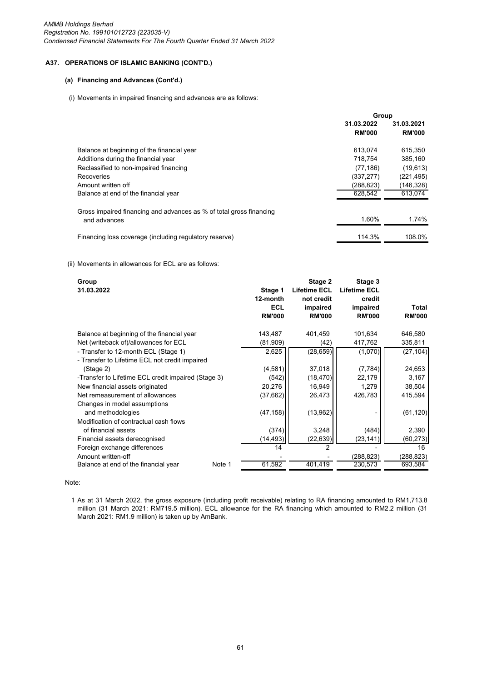# **(a) Financing and Advances (Cont'd.)**

## (i) Movements in impaired financing and advances are as follows:

|                                                                                     | Group                       |                             |  |
|-------------------------------------------------------------------------------------|-----------------------------|-----------------------------|--|
|                                                                                     | 31.03.2022<br><b>RM'000</b> | 31.03.2021<br><b>RM'000</b> |  |
| Balance at beginning of the financial year                                          | 613.074                     | 615,350                     |  |
| Additions during the financial year                                                 | 718.754                     | 385,160                     |  |
| Reclassified to non-impaired financing                                              | (77, 186)                   | (19, 613)                   |  |
| Recoveries                                                                          | (337, 277)                  | (221, 495)                  |  |
| Amount written off                                                                  | (288,823)                   | (146,328)                   |  |
| Balance at end of the financial year                                                | 628.542                     | 613.074                     |  |
| Gross impaired financing and advances as % of total gross financing<br>and advances | 1.60%                       | 1.74%                       |  |
| Financing loss coverage (including regulatory reserve)                              | 114.3%                      | 108.0%                      |  |

## (ii) Movements in allowances for ECL are as follows:

| Group<br>31.03.2022                                 | Stage 1<br>12-month         | Stage 2<br><b>Lifetime ECL</b><br>not credit | Stage 3<br><b>Lifetime ECL</b><br>credit |                        |
|-----------------------------------------------------|-----------------------------|----------------------------------------------|------------------------------------------|------------------------|
|                                                     | <b>ECL</b><br><b>RM'000</b> | impaired<br><b>RM'000</b>                    | impaired<br><b>RM'000</b>                | Total<br><b>RM'000</b> |
| Balance at beginning of the financial year          | 143,487                     | 401,459                                      | 101,634                                  | 646,580                |
| Net (writeback of)/allowances for ECL               | (81,909)                    | (42)                                         | 417,762                                  | 335,811                |
| - Transfer to 12-month ECL (Stage 1)                | 2,625                       | (28, 659)                                    | (1,070)                                  | (27, 104)              |
| - Transfer to Lifetime ECL not credit impaired      |                             |                                              |                                          |                        |
| (Stage 2)                                           | (4,581)                     | 37,018                                       | (7, 784)                                 | 24,653                 |
| -Transfer to Lifetime ECL credit impaired (Stage 3) | (542)                       | (18, 470)                                    | 22,179                                   | 3,167                  |
| New financial assets originated                     | 20,276                      | 16,949                                       | 1,279                                    | 38,504                 |
| Net remeasurement of allowances                     | (37,662)                    | 26,473                                       | 426,783                                  | 415,594                |
| Changes in model assumptions<br>and methodologies   | (47, 158)                   | (13,962)                                     |                                          | (61, 120)              |
| Modification of contractual cash flows              |                             |                                              |                                          |                        |
| of financial assets                                 | (374)                       | 3,248                                        | (484)                                    | 2,390                  |
| Financial assets derecognised                       | (14, 493)                   | (22, 639)                                    | (23, 141)                                | (60, 273)              |
| Foreign exchange differences                        | 14                          | $\overline{2}$                               |                                          | 16                     |
| Amount written-off                                  |                             |                                              | (288, 823)                               | (288,823)              |
| Balance at end of the financial year<br>Note 1      | 61,592                      | 401,419                                      | 230,573                                  | 693,584                |
|                                                     |                             |                                              |                                          |                        |

# Note:

1 As at 31 March 2022, the gross exposure (including profit receivable) relating to RA financing amounted to RM1,713.8 million (31 March 2021: RM719.5 million). ECL allowance for the RA financing which amounted to RM2.2 million (31 March 2021: RM1.9 million) is taken up by AmBank.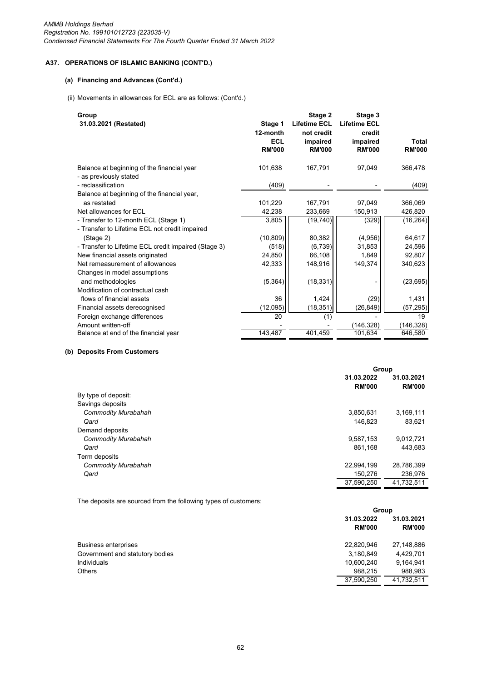*AMMB Holdings Berhad Registration No. 199101012723 (223035-V) Condensed Financial Statements For The Fourth Quarter Ended 31 March 2022*

# **A37. OPERATIONS OF ISLAMIC BANKING (CONT'D.)**

# **(a) Financing and Advances (Cont'd.)**

(ii) Movements in allowances for ECL are as follows: (Cont'd.)

| Group<br>31.03.2021 (Restated)                                       | Stage 1<br>12-month<br><b>ECL</b><br><b>RM'000</b> | Stage 2<br><b>Lifetime ECL</b><br>not credit<br>impaired<br><b>RM'000</b> | Stage 3<br><b>Lifetime ECL</b><br>credit<br>impaired<br><b>RM'000</b> | <b>Total</b><br><b>RM'000</b> |
|----------------------------------------------------------------------|----------------------------------------------------|---------------------------------------------------------------------------|-----------------------------------------------------------------------|-------------------------------|
| Balance at beginning of the financial year<br>- as previously stated | 101,638                                            | 167,791                                                                   | 97,049                                                                | 366,478                       |
| - reclassification                                                   | (409)                                              |                                                                           |                                                                       | (409)                         |
| Balance at beginning of the financial year,                          |                                                    |                                                                           |                                                                       |                               |
| as restated                                                          | 101,229                                            | 167,791                                                                   | 97,049                                                                | 366,069                       |
| Net allowances for ECL                                               | 42,238                                             | 233,669                                                                   | 150,913                                                               | 426,820                       |
| - Transfer to 12-month ECL (Stage 1)                                 | 3,805                                              | (19, 740)                                                                 | (329)                                                                 | (16, 264)                     |
| - Transfer to Lifetime ECL not credit impaired                       |                                                    |                                                                           |                                                                       |                               |
| (Stage 2)                                                            | (10, 809)                                          | 80,382                                                                    | (4,956)                                                               | 64,617                        |
| - Transfer to Lifetime ECL credit impaired (Stage 3)                 | (518)                                              | (6,739)                                                                   | 31,853                                                                | 24,596                        |
| New financial assets originated                                      | 24,850                                             | 66,108                                                                    | 1,849                                                                 | 92,807                        |
| Net remeasurement of allowances                                      | 42,333                                             | 148,916                                                                   | 149,374                                                               | 340,623                       |
| Changes in model assumptions                                         |                                                    |                                                                           |                                                                       |                               |
| and methodologies                                                    | (5, 364)                                           | (18, 331)                                                                 |                                                                       | (23, 695)                     |
| Modification of contractual cash                                     |                                                    |                                                                           |                                                                       |                               |
| flows of financial assets                                            | 36                                                 | 1,424                                                                     | (29)                                                                  | 1,431                         |
| Financial assets derecognised                                        | (12,095)                                           | (18, 351)                                                                 | (26, 849)                                                             | (57, 295)                     |
| Foreign exchange differences                                         | 20                                                 | (1)                                                                       |                                                                       | 19                            |
| Amount written-off                                                   |                                                    |                                                                           | (146,328)                                                             | (146, 328)                    |
| Balance at end of the financial year                                 | 143,487                                            | 401,459                                                                   | 101,634                                                               | 646,580                       |

## **(b) Deposits From Customers**

|                            | Group         |               |
|----------------------------|---------------|---------------|
|                            | 31.03.2022    | 31.03.2021    |
|                            | <b>RM'000</b> | <b>RM'000</b> |
| By type of deposit:        |               |               |
| Savings deposits           |               |               |
| Commodity Murabahah        | 3,850,631     | 3,169,111     |
| Qard                       | 146.823       | 83.621        |
| Demand deposits            |               |               |
| <b>Commodity Murabahah</b> | 9,587,153     | 9,012,721     |
| Qard                       | 861.168       | 443.683       |
| Term deposits              |               |               |
| <b>Commodity Murabahah</b> | 22,994,199    | 28,786,399    |
| Qard                       | 150,276       | 236,976       |
|                            | 37,590,250    | 41,732,511    |

The deposits are sourced from the following types of customers:

|                                 |                             | Group                       |  |  |
|---------------------------------|-----------------------------|-----------------------------|--|--|
|                                 | 31.03.2022<br><b>RM'000</b> | 31.03.2021<br><b>RM'000</b> |  |  |
| <b>Business enterprises</b>     | 22,820,946                  | 27,148,886                  |  |  |
| Government and statutory bodies | 3,180,849                   | 4,429,701                   |  |  |
| <b>Individuals</b>              | 10,600,240                  | 9.164.941                   |  |  |
| <b>Others</b>                   | 988.215                     | 988,983                     |  |  |
|                                 | 37,590,250                  | 41.732.511                  |  |  |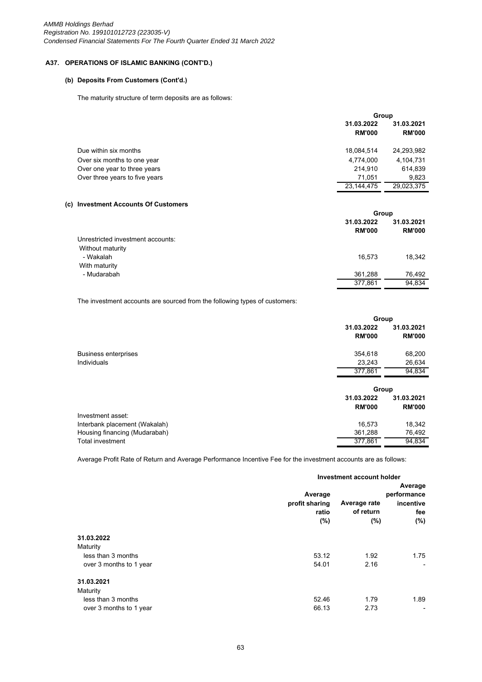# **(b) Deposits From Customers (Cont'd.)**

The maturity structure of term deposits are as follows:

|                                |                             | Group                       |  |  |
|--------------------------------|-----------------------------|-----------------------------|--|--|
|                                | 31.03.2022<br><b>RM'000</b> | 31.03.2021<br><b>RM'000</b> |  |  |
| Due within six months          | 18,084,514                  | 24,293,982                  |  |  |
| Over six months to one year    | 4,774,000                   | 4,104,731                   |  |  |
| Over one year to three years   | 214.910                     | 614,839                     |  |  |
| Over three years to five years | 71,051                      | 9,823                       |  |  |
|                                | 23,144,475                  | 29,023,375                  |  |  |
|                                |                             |                             |  |  |

#### **(c) Investment Accounts Of Customers**

|                                   | Group                       |                             |
|-----------------------------------|-----------------------------|-----------------------------|
|                                   | 31.03.2022<br><b>RM'000</b> | 31.03.2021<br><b>RM'000</b> |
| Unrestricted investment accounts: |                             |                             |
| Without maturity                  |                             |                             |
| - Wakalah                         | 16.573                      | 18,342                      |
| With maturity                     |                             |                             |
| - Mudarabah                       | 361,288                     | 76,492                      |
|                                   | 377,861                     | 94,834                      |

The investment accounts are sourced from the following types of customers:

|                               | Group         |               |
|-------------------------------|---------------|---------------|
|                               | 31.03.2022    | 31.03.2021    |
|                               | <b>RM'000</b> | <b>RM'000</b> |
| <b>Business enterprises</b>   | 354,618       | 68,200        |
| Individuals                   | 23,243        | 26,634        |
|                               | 377.861       | 94,834        |
|                               | Group         |               |
|                               | 31.03.2022    | 31.03.2021    |
|                               | <b>RM'000</b> | <b>RM'000</b> |
| Investment asset:             |               |               |
| Interbank placement (Wakalah) | 16,573        | 18,342        |
|                               |               |               |
| Housing financing (Mudarabah) | 361,288       | 76,492        |

Average Profit Rate of Return and Average Performance Incentive Fee for the investment accounts are as follows:

|                         | Investment account holder                 |                                     |                                                       |
|-------------------------|-------------------------------------------|-------------------------------------|-------------------------------------------------------|
|                         | Average<br>profit sharing<br>ratio<br>(%) | Average rate<br>of return<br>$(\%)$ | Average<br>performance<br>incentive<br>fee<br>$(\% )$ |
| 31.03.2022              |                                           |                                     |                                                       |
| Maturity                |                                           |                                     |                                                       |
| less than 3 months      | 53.12                                     | 1.92                                | 1.75                                                  |
| over 3 months to 1 year | 54.01                                     | 2.16                                |                                                       |
| 31.03.2021              |                                           |                                     |                                                       |
| Maturity                |                                           |                                     |                                                       |
| less than 3 months      | 52.46                                     | 1.79                                | 1.89                                                  |
| over 3 months to 1 year | 66.13                                     | 2.73                                |                                                       |
|                         |                                           |                                     |                                                       |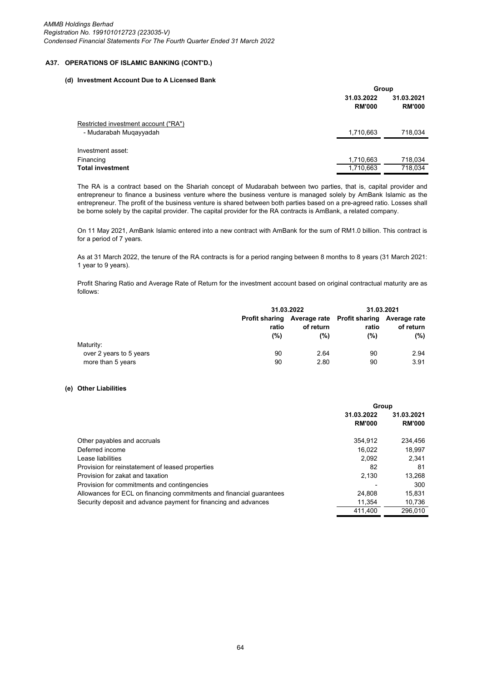#### **(d) Investment Account Due to A Licensed Bank**

|                                      | Group         |               |  |
|--------------------------------------|---------------|---------------|--|
|                                      | 31.03.2022    | 31.03.2021    |  |
|                                      | <b>RM'000</b> | <b>RM'000</b> |  |
| Restricted investment account ("RA") |               |               |  |
| - Mudarabah Muqayyadah               | 1,710,663     | 718,034       |  |
| Investment asset:                    |               |               |  |
| Financing                            | 1,710,663     | 718,034       |  |
| <b>Total investment</b>              | 1,710,663     | 718,034       |  |

The RA is a contract based on the Shariah concept of Mudarabah between two parties, that is, capital provider and entrepreneur to finance a business venture where the business venture is managed solely by AmBank Islamic as the entrepreneur. The profit of the business venture is shared between both parties based on a pre-agreed ratio. Losses shall be borne solely by the capital provider. The capital provider for the RA contracts is AmBank, a related company.

On 11 May 2021, AmBank Islamic entered into a new contract with AmBank for the sum of RM1.0 billion. This contract is for a period of 7 years.

As at 31 March 2022, the tenure of the RA contracts is for a period ranging between 8 months to 8 years (31 March 2021: 1 year to 9 years).

Profit Sharing Ratio and Average Rate of Return for the investment account based on original contractual maturity are as follows:

|                                              | 31.03.2022   |                  |                                                                         | 31.03.2021       |
|----------------------------------------------|--------------|------------------|-------------------------------------------------------------------------|------------------|
|                                              | ratio<br>(%) | of return<br>(%) | Profit sharing Average rate Profit sharing Average rate<br>ratio<br>(%) | of return<br>(%) |
| Maturity:                                    |              |                  |                                                                         |                  |
| over 2 years to 5 years<br>more than 5 years | 90<br>90     | 2.64<br>2.80     | 90<br>90                                                                | 2.94<br>3.91     |

#### **(e) Other Liabilities**

|                                                                      | Group         |               |  |
|----------------------------------------------------------------------|---------------|---------------|--|
|                                                                      | 31.03.2022    | 31.03.2021    |  |
|                                                                      | <b>RM'000</b> | <b>RM'000</b> |  |
| Other payables and accruals                                          | 354.912       | 234.456       |  |
| Deferred income                                                      | 16.022        | 18,997        |  |
| Lease liabilities                                                    | 2.092         | 2.341         |  |
| Provision for reinstatement of leased properties                     | 82            | 81            |  |
| Provision for zakat and taxation                                     | 2,130         | 13,268        |  |
| Provision for commitments and contingencies                          |               | 300           |  |
| Allowances for ECL on financing commitments and financial guarantees | 24.808        | 15.831        |  |
| Security deposit and advance payment for financing and advances      | 11.354        | 10.736        |  |
|                                                                      | 411.400       | 296.010       |  |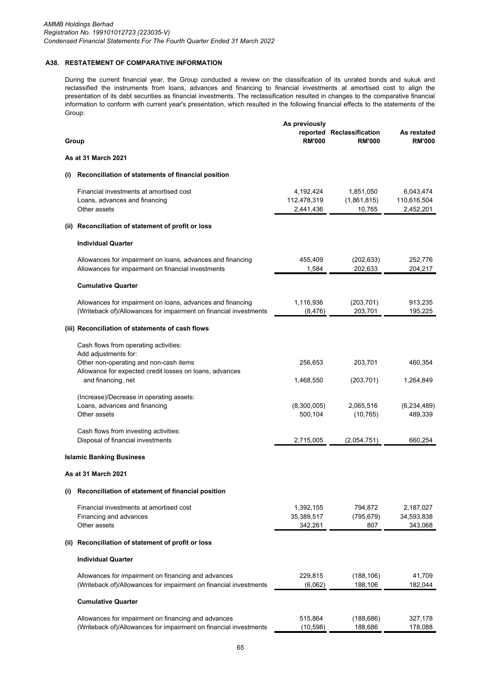# **A38. RESTATEMENT OF COMPARATIVE INFORMATION**

During the current financial year, the Group conducted a review on the classification of its unrated bonds and sukuk and reclassified the instruments from loans, advances and financing to financial investments at amortised cost to align the presentation of its debt securities as financial investments. The reclassification resulted in changes to the comparative financial information to conform with current year's presentation, which resulted in the following financial effects to the statements of the Group:

|          |                                                                                                                                 | As previously                         |                                    |                                       |
|----------|---------------------------------------------------------------------------------------------------------------------------------|---------------------------------------|------------------------------------|---------------------------------------|
|          | Group                                                                                                                           | reported<br><b>RM'000</b>             | Reclassification<br><b>RM'000</b>  | As restated<br><b>RM'000</b>          |
|          | As at 31 March 2021                                                                                                             |                                       |                                    |                                       |
| $\sf(i)$ | Reconciliation of statements of financial position                                                                              |                                       |                                    |                                       |
|          | Financial investments at amortised cost<br>Loans, advances and financing<br>Other assets                                        | 4,192,424<br>112,478,319<br>2,441,436 | 1,851,050<br>(1,861,815)<br>10,765 | 6,043,474<br>110,616,504<br>2,452,201 |
|          | (ii) Reconciliation of statement of profit or loss                                                                              |                                       |                                    |                                       |
|          | <b>Individual Quarter</b>                                                                                                       |                                       |                                    |                                       |
|          | Allowances for impairment on loans, advances and financing<br>Allowances for impairment on financial investments                | 455,409<br>1,584                      | (202, 633)<br>202,633              | 252,776<br>204,217                    |
|          | <b>Cumulative Quarter</b>                                                                                                       |                                       |                                    |                                       |
|          | Allowances for impairment on loans, advances and financing<br>(Writeback of)/Allowances for impairment on financial investments | 1,116,936<br>(8, 476)                 | (203, 701)<br>203,701              | 913,235<br>195,225                    |
|          | (iii) Reconciliation of statements of cash flows                                                                                |                                       |                                    |                                       |
|          | Cash flows from operating activities:<br>Add adjustments for:                                                                   |                                       |                                    |                                       |
|          | Other non-operating and non-cash items<br>Allowance for expected credit losses on loans, advances<br>and financing, net         | 256,653<br>1,468,550                  | 203,701<br>(203, 701)              | 460,354<br>1,264,849                  |
|          | (Increase)/Decrease in operating assets:<br>Loans, advances and financing<br>Other assets                                       | (8,300,005)<br>500,104                | 2,065,516<br>(10, 765)             | (6, 234, 489)<br>489,339              |
|          | Cash flows from investing activities:<br>Disposal of financial investments                                                      | 2,715,005                             | (2,054,751)                        | 660,254                               |
|          | <b>Islamic Banking Business</b>                                                                                                 |                                       |                                    |                                       |
|          | As at 31 March 2021                                                                                                             |                                       |                                    |                                       |
| (i)      | Reconciliation of statement of financial position                                                                               |                                       |                                    |                                       |
|          | Financial investments at amortised cost<br>Financing and advances<br>Other assets                                               | 1,392,155<br>35,389,517<br>342,261    | 794,872<br>(795, 679)<br>807       | 2,187,027<br>34,593,838<br>343,068    |
|          | (ii) Reconciliation of statement of profit or loss                                                                              |                                       |                                    |                                       |
|          | <b>Individual Quarter</b>                                                                                                       |                                       |                                    |                                       |
|          | Allowances for impairment on financing and advances<br>(Writeback of)/Allowances for impairment on financial investments        | 229,815<br>(6,062)                    | (188, 106)<br>188,106              | 41,709<br>182,044                     |
|          | <b>Cumulative Quarter</b>                                                                                                       |                                       |                                    |                                       |
|          | Allowances for impairment on financing and advances<br>(Writeback of)/Allowances for impairment on financial investments        | 515,864<br>(10, 598)                  | (188, 686)<br>188,686              | 327,178<br>178,088                    |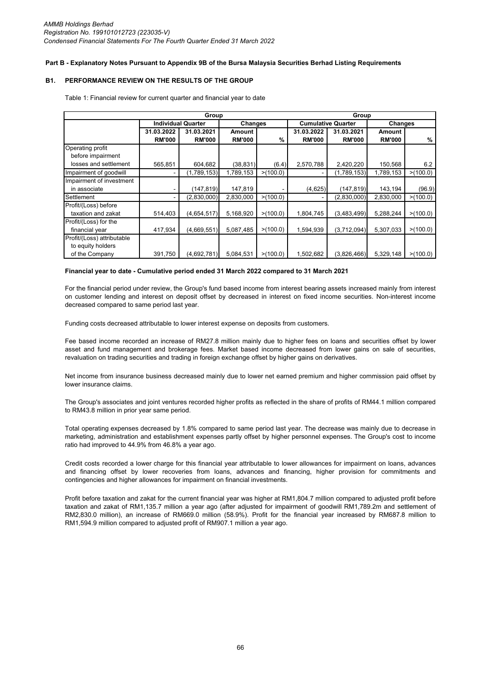### **Part B - Explanatory Notes Pursuant to Appendix 9B of the Bursa Malaysia Securities Berhad Listing Requirements**

## **B1. PERFORMANCE REVIEW ON THE RESULTS OF THE GROUP**

| Group                                 |                           |               |               |                          | Group         |                           |               |          |  |
|---------------------------------------|---------------------------|---------------|---------------|--------------------------|---------------|---------------------------|---------------|----------|--|
|                                       | <b>Individual Quarter</b> |               |               | Changes                  |               | <b>Cumulative Quarter</b> |               | Changes  |  |
|                                       | 31.03.2022                | 31.03.2021    | Amount        | 31.03.2021<br>31.03.2022 |               |                           | Amount        |          |  |
|                                       | <b>RM'000</b>             | <b>RM'000</b> | <b>RM'000</b> | %                        | <b>RM'000</b> | <b>RM'000</b>             | <b>RM'000</b> | $\%$     |  |
| Operating profit<br>before impairment |                           |               |               |                          |               |                           |               |          |  |
| losses and settlement                 | 565,851                   | 604,682       | (38, 831)     | (6.4)                    | 2,570,788     | 2,420,220                 | 150,568       | 6.2      |  |
| Impairment of goodwill                |                           | (1,789,153)   | 1,789,153     | >(100.0)                 |               | (1,789,153)               | 1,789,153     | >(100.0) |  |
| Impairment of investment              |                           |               |               |                          |               |                           |               |          |  |
| in associate                          |                           | (147, 819)    | 147,819       |                          | (4,625)       | (147, 819)                | 143,194       | (96.9)   |  |
| Settlement                            |                           | (2,830,000)   | 2,830,000     | >(100.0)                 |               | (2,830,000)               | 2,830,000     | >(100.0) |  |
| Profit/(Loss) before                  |                           |               |               |                          |               |                           |               |          |  |
| taxation and zakat                    | 514,403                   | (4,654,517)   | 5,168,920     | >(100.0)                 | 1,804,745     | (3,483,499)               | 5,288,244     | >(100.0) |  |
| Profit/(Loss) for the                 |                           |               |               |                          |               |                           |               |          |  |
| financial year                        | 417,934                   | (4,669,551)   | 5,087,485     | >(100.0)                 | 1,594,939     | (3,712,094)               | 5,307,033     | >(100.0) |  |
| Profit/(Loss) attributable            |                           |               |               |                          |               |                           |               |          |  |
| to equity holders                     |                           |               |               |                          |               |                           |               |          |  |
| of the Company                        | 391,750                   | (4,692,781)   | 5,084,531     | >(100.0)                 | 1,502,682     | (3,826,466)               | 5,329,148     | >(100.0) |  |

Table 1: Financial review for current quarter and financial year to date

### **Financial year to date - Cumulative period ended 31 March 2022 compared to 31 March 2021**

For the financial period under review, the Group's fund based income from interest bearing assets increased mainly from interest on customer lending and interest on deposit offset by decreased in interest on fixed income securities. Non-interest income decreased compared to same period last year.

Funding costs decreased attributable to lower interest expense on deposits from customers.

Fee based income recorded an increase of RM27.8 million mainly due to higher fees on loans and securities offset by lower asset and fund management and brokerage fees. Market based income decreased from lower gains on sale of securities, revaluation on trading securities and trading in foreign exchange offset by higher gains on derivatives.

Net income from insurance business decreased mainly due to lower net earned premium and higher commission paid offset by lower insurance claims.

The Group's associates and joint ventures recorded higher profits as reflected in the share of profits of RM44.1 million compared to RM43.8 million in prior year same period.

Total operating expenses decreased by 1.8% compared to same period last year. The decrease was mainly due to decrease in marketing, administration and establishment expenses partly offset by higher personnel expenses. The Group's cost to income ratio had improved to 44.9% from 46.8% a year ago.

Credit costs recorded a lower charge for this financial year attributable to lower allowances for impairment on loans, advances and financing offset by lower recoveries from loans, advances and financing, higher provision for commitments and contingencies and higher allowances for impairment on financial investments.

Profit before taxation and zakat for the current financial year was higher at RM1,804.7 million compared to adjusted profit before taxation and zakat of RM1,135.7 million a year ago (after adjusted for impairment of goodwill RM1,789.2m and settlement of RM2,830.0 million), an increase of RM669.0 million (58.9%). Profit for the financial year increased by RM687.8 million to RM1,594.9 million compared to adjusted profit of RM907.1 million a year ago.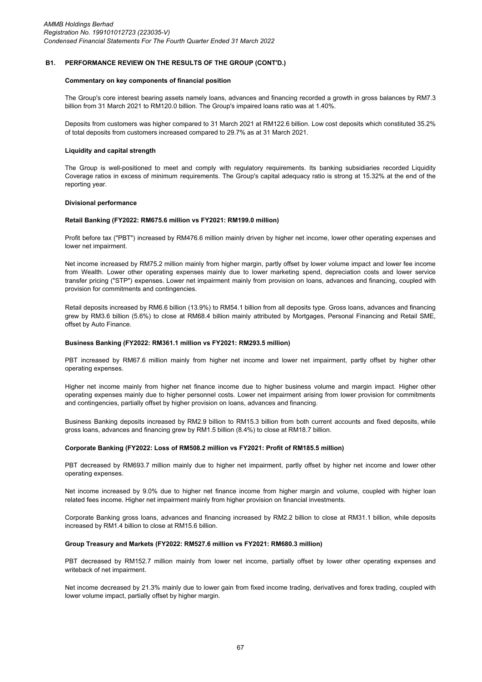#### **B1. PERFORMANCE REVIEW ON THE RESULTS OF THE GROUP (CONT'D.)**

#### **Commentary on key components of financial position**

The Group's core interest bearing assets namely loans, advances and financing recorded a growth in gross balances by RM7.3 billion from 31 March 2021 to RM120.0 billion. The Group's impaired loans ratio was at 1.40%.

Deposits from customers was higher compared to 31 March 2021 at RM122.6 billion. Low cost deposits which constituted 35.2% of total deposits from customers increased compared to 29.7% as at 31 March 2021.

#### **Liquidity and capital strength**

The Group is well-positioned to meet and comply with regulatory requirements. Its banking subsidiaries recorded Liquidity Coverage ratios in excess of minimum requirements. The Group's capital adequacy ratio is strong at 15.32% at the end of the reporting year.

#### **Divisional performance**

#### **Retail Banking (FY2022: RM675.6 million vs FY2021: RM199.0 million)**

Profit before tax ("PBT") increased by RM476.6 million mainly driven by higher net income, lower other operating expenses and lower net impairment.

Net income increased by RM75.2 million mainly from higher margin, partly offset by lower volume impact and lower fee income from Wealth. Lower other operating expenses mainly due to lower marketing spend, depreciation costs and lower service transfer pricing ("STP") expenses. Lower net impairment mainly from provision on loans, advances and financing, coupled with provision for commitments and contingencies.

Retail deposits increased by RM6.6 billion (13.9%) to RM54.1 billion from all deposits type. Gross loans, advances and financing grew by RM3.6 billion (5.6%) to close at RM68.4 billion mainly attributed by Mortgages, Personal Financing and Retail SME, offset by Auto Finance.

#### **Business Banking (FY2022: RM361.1 million vs FY2021: RM293.5 million)**

PBT increased by RM67.6 million mainly from higher net income and lower net impairment, partly offset by higher other operating expenses.

Higher net income mainly from higher net finance income due to higher business volume and margin impact. Higher other operating expenses mainly due to higher personnel costs. Lower net impairment arising from lower provision for commitments and contingencies, partially offset by higher provision on loans, advances and financing.

Business Banking deposits increased by RM2.9 billion to RM15.3 billion from both current accounts and fixed deposits, while gross loans, advances and financing grew by RM1.5 billion (8.4%) to close at RM18.7 billion.

#### **Corporate Banking (FY2022: Loss of RM508.2 million vs FY2021: Profit of RM185.5 million)**

PBT decreased by RM693.7 million mainly due to higher net impairment, partly offset by higher net income and lower other operating expenses.

Net income increased by 9.0% due to higher net finance income from higher margin and volume, coupled with higher loan related fees income. Higher net impairment mainly from higher provision on financial investments.

Corporate Banking gross loans, advances and financing increased by RM2.2 billion to close at RM31.1 billion, while deposits increased by RM1.4 billion to close at RM15.6 billion.

#### **Group Treasury and Markets (FY2022: RM527.6 million vs FY2021: RM680.3 million)**

PBT decreased by RM152.7 million mainly from lower net income, partially offset by lower other operating expenses and writeback of net impairment.

Net income decreased by 21.3% mainly due to lower gain from fixed income trading, derivatives and forex trading, coupled with lower volume impact, partially offset by higher margin.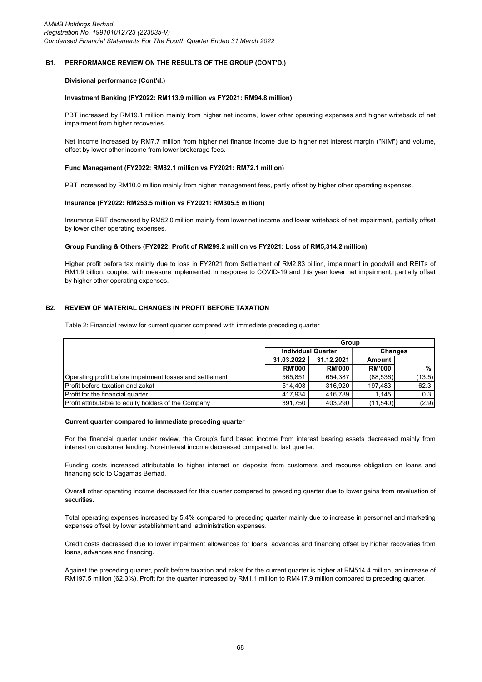#### **B1. PERFORMANCE REVIEW ON THE RESULTS OF THE GROUP (CONT'D.)**

#### **Divisional performance (Cont'd.)**

#### **Investment Banking (FY2022: RM113.9 million vs FY2021: RM94.8 million)**

PBT increased by RM19.1 million mainly from higher net income, lower other operating expenses and higher writeback of net impairment from higher recoveries.

Net income increased by RM7.7 million from higher net finance income due to higher net interest margin ("NIM") and volume, offset by lower other income from lower brokerage fees.

#### **Fund Management (FY2022: RM82.1 million vs FY2021: RM72.1 million)**

PBT increased by RM10.0 million mainly from higher management fees, partly offset by higher other operating expenses.

#### **Insurance (FY2022: RM253.5 million vs FY2021: RM305.5 million)**

Insurance PBT decreased by RM52.0 million mainly from lower net income and lower writeback of net impairment, partially offset by lower other operating expenses.

# **Group Funding & Others (FY2022: Profit of RM299.2 million vs FY2021: Loss of RM5,314.2 million)**

Higher profit before tax mainly due to loss in FY2021 from Settlement of RM2.83 billion, impairment in goodwill and REITs of RM1.9 billion, coupled with measure implemented in response to COVID-19 and this year lower net impairment, partially offset by higher other operating expenses.

#### **B2. REVIEW OF MATERIAL CHANGES IN PROFIT BEFORE TAXATION**

Table 2: Financial review for current quarter compared with immediate preceding quarter

|                                                             | Group         |                           |               |                |
|-------------------------------------------------------------|---------------|---------------------------|---------------|----------------|
|                                                             |               | <b>Individual Quarter</b> |               | <b>Changes</b> |
|                                                             | 31.03.2022    | 31.12.2021                | Amount        |                |
|                                                             | <b>RM'000</b> | <b>RM'000</b>             | <b>RM'000</b> | %              |
| Operating profit before impairment losses and settlement    | 565.851       | 654.387                   | (88, 536)     | (13.5)         |
| Profit before taxation and zakat                            | 514.403       | 316.920                   | 197,483       | 62.3           |
| <b>Profit for the financial quarter</b>                     | 417.934       | 416.789                   | 1.145         | 0.3            |
| <b>Profit attributable to equity holders of the Company</b> | 391,750       | 403.290                   | (11, 540)     | (2.9)          |

#### **Current quarter compared to immediate preceding quarter**

For the financial quarter under review, the Group's fund based income from interest bearing assets decreased mainly from interest on customer lending. Non-interest income decreased compared to last quarter.

Funding costs increased attributable to higher interest on deposits from customers and recourse obligation on loans and financing sold to Cagamas Berhad.

Overall other operating income decreased for this quarter compared to preceding quarter due to lower gains from revaluation of securities.

Total operating expenses increased by 5.4% compared to preceding quarter mainly due to increase in personnel and marketing expenses offset by lower establishment and administration expenses.

Credit costs decreased due to lower impairment allowances for loans, advances and financing offset by higher recoveries from loans, advances and financing.

Against the preceding quarter, profit before taxation and zakat for the current quarter is higher at RM514.4 million, an increase of RM197.5 million (62.3%). Profit for the quarter increased by RM1.1 million to RM417.9 million compared to preceding quarter.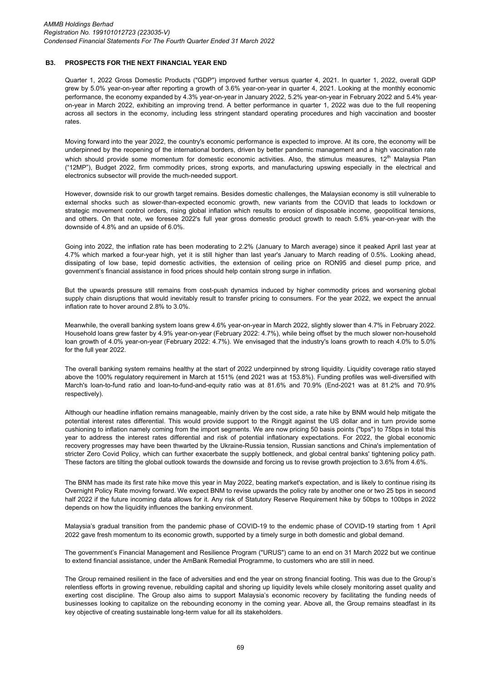### **B3. PROSPECTS FOR THE NEXT FINANCIAL YEAR END**

Quarter 1, 2022 Gross Domestic Products ("GDP") improved further versus quarter 4, 2021. In quarter 1, 2022, overall GDP grew by 5.0% year-on-year after reporting a growth of 3.6% year-on-year in quarter 4, 2021. Looking at the monthly economic performance, the economy expanded by 4.3% year-on-year in January 2022, 5.2% year-on-year in February 2022 and 5.4% yearon-year in March 2022, exhibiting an improving trend. A better performance in quarter 1, 2022 was due to the full reopening across all sectors in the economy, including less stringent standard operating procedures and high vaccination and booster rates.

Moving forward into the year 2022, the country's economic performance is expected to improve. At its core, the economy will be underpinned by the reopening of the international borders, driven by better pandemic management and a high vaccination rate which should provide some momentum for domestic economic activities. Also, the stimulus measures,  $12<sup>th</sup>$  Malaysia Plan ("12MP"), Budget 2022, firm commodity prices, strong exports, and manufacturing upswing especially in the electrical and electronics subsector will provide the much-needed support.

However, downside risk to our growth target remains. Besides domestic challenges, the Malaysian economy is still vulnerable to external shocks such as slower-than-expected economic growth, new variants from the COVID that leads to lockdown or strategic movement control orders, rising global inflation which results to erosion of disposable income, geopolitical tensions, and others. On that note, we foresee 2022's full year gross domestic product growth to reach 5.6% year-on-year with the downside of 4.8% and an upside of 6.0%.

Going into 2022, the inflation rate has been moderating to 2.2% (January to March average) since it peaked April last year at 4.7% which marked a four-year high, yet it is still higher than last year's January to March reading of 0.5%. Looking ahead, dissipating of low base, tepid domestic activities, the extension of ceiling price on RON95 and diesel pump price, and government's financial assistance in food prices should help contain strong surge in inflation.

But the upwards pressure still remains from cost-push dynamics induced by higher commodity prices and worsening global supply chain disruptions that would inevitably result to transfer pricing to consumers. For the year 2022, we expect the annual inflation rate to hover around 2.8% to 3.0%.

Meanwhile, the overall banking system loans grew 4.6% year-on-year in March 2022, slightly slower than 4.7% in February 2022. Household loans grew faster by 4.9% year-on-year (February 2022: 4.7%), while being offset by the much slower non-household loan growth of 4.0% year-on-year (February 2022: 4.7%). We envisaged that the industry's loans growth to reach 4.0% to 5.0% for the full year 2022.

The overall banking system remains healthy at the start of 2022 underpinned by strong liquidity. Liquidity coverage ratio stayed above the 100% regulatory requirement in March at 151% (end 2021 was at 153.8%). Funding profiles was well-diversified with March's loan-to-fund ratio and loan-to-fund-and-equity ratio was at 81.6% and 70.9% (End-2021 was at 81.2% and 70.9% respectively).

Although our headline inflation remains manageable, mainly driven by the cost side, a rate hike by BNM would help mitigate the potential interest rates differential. This would provide support to the Ringgit against the US dollar and in turn provide some cushioning to inflation namely coming from the import segments. We are now pricing 50 basis points ("bps") to 75bps in total this year to address the interest rates differential and risk of potential inflationary expectations. For 2022, the global economic recovery progresses may have been thwarted by the Ukraine-Russia tension, Russian sanctions and China's implementation of stricter Zero Covid Policy, which can further exacerbate the supply bottleneck, and global central banks' tightening policy path. These factors are tilting the global outlook towards the downside and forcing us to revise growth projection to 3.6% from 4.6%.

The BNM has made its first rate hike move this year in May 2022, beating market's expectation, and is likely to continue rising its Overnight Policy Rate moving forward. We expect BNM to revise upwards the policy rate by another one or two 25 bps in second half 2022 if the future incoming data allows for it. Any risk of Statutory Reserve Requirement hike by 50bps to 100bps in 2022 depends on how the liquidity influences the banking environment.

Malaysia's gradual transition from the pandemic phase of COVID-19 to the endemic phase of COVID-19 starting from 1 April 2022 gave fresh momentum to its economic growth, supported by a timely surge in both domestic and global demand.

The government's Financial Management and Resilience Program ("URUS") came to an end on 31 March 2022 but we continue to extend financial assistance, under the AmBank Remedial Programme, to customers who are still in need.

The Group remained resilient in the face of adversities and end the year on strong financial footing. This was due to the Group's relentless efforts in growing revenue, rebuilding capital and shoring up liquidity levels while closely monitoring asset quality and exerting cost discipline. The Group also aims to support Malaysia's economic recovery by facilitating the funding needs of businesses looking to capitalize on the rebounding economy in the coming year. Above all, the Group remains steadfast in its key objective of creating sustainable long-term value for all its stakeholders.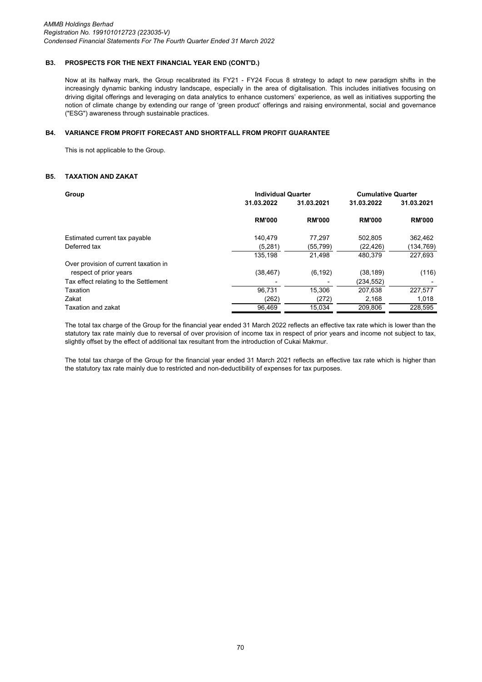### **B3. PROSPECTS FOR THE NEXT FINANCIAL YEAR END (CONT'D.)**

Now at its halfway mark, the Group recalibrated its FY21 - FY24 Focus 8 strategy to adapt to new paradigm shifts in the increasingly dynamic banking industry landscape, especially in the area of digitalisation. This includes initiatives focusing on driving digital offerings and leveraging on data analytics to enhance customers' experience, as well as initiatives supporting the notion of climate change by extending our range of 'green product' offerings and raising environmental, social and governance ("ESG") awareness through sustainable practices.

#### **B4. VARIANCE FROM PROFIT FORECAST AND SHORTFALL FROM PROFIT GUARANTEE**

This is not applicable to the Group.

# **B5. TAXATION AND ZAKAT**

| Group                                 | <b>Individual Quarter</b> | <b>Cumulative Quarter</b> |               |               |
|---------------------------------------|---------------------------|---------------------------|---------------|---------------|
|                                       | 31.03.2022                | 31.03.2021                | 31.03.2022    | 31.03.2021    |
|                                       | <b>RM'000</b>             | <b>RM'000</b>             | <b>RM'000</b> | <b>RM'000</b> |
| Estimated current tax payable         | 140.479                   | 77.297                    | 502.805       | 362,462       |
| Deferred tax                          | (5,281)                   | (55, 799)                 | (22, 426)     | (134, 769)    |
|                                       | 135,198                   | 21,498                    | 480.379       | 227,693       |
| Over provision of current taxation in |                           |                           |               |               |
| respect of prior years                | (38, 467)                 | (6, 192)                  | (38, 189)     | (116)         |
| Tax effect relating to the Settlement |                           |                           | (234,552)     |               |
| Taxation                              | 96.731                    | 15.306                    | 207,638       | 227,577       |
| Zakat                                 | (262)                     | (272)                     | 2,168         | 1,018         |
| Taxation and zakat                    | 96,469                    | 15,034                    | 209,806       | 228,595       |

The total tax charge of the Group for the financial year ended 31 March 2022 reflects an effective tax rate which is lower than the statutory tax rate mainly due to reversal of over provision of income tax in respect of prior years and income not subject to tax, slightly offset by the effect of additional tax resultant from the introduction of Cukai Makmur.

The total tax charge of the Group for the financial year ended 31 March 2021 reflects an effective tax rate which is higher than the statutory tax rate mainly due to restricted and non-deductibility of expenses for tax purposes.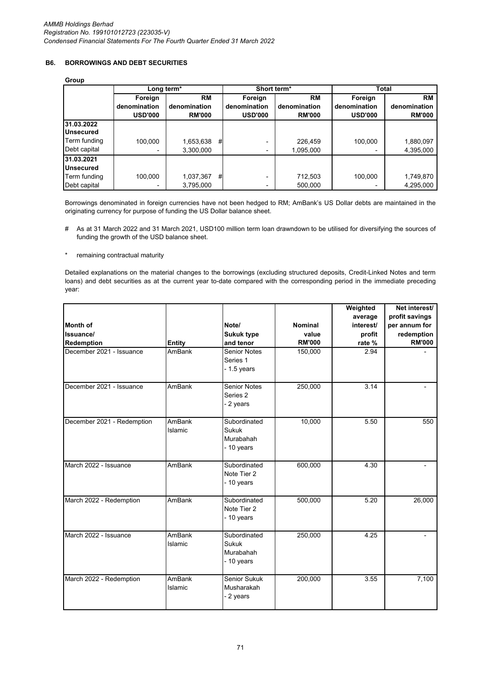# **B6. BORROWINGS AND DEBT SECURITIES**

# **Group**

| oroup                          |                |               |   |                         |               |                |               |  |
|--------------------------------|----------------|---------------|---|-------------------------|---------------|----------------|---------------|--|
|                                | Long term*     |               |   | Short term <sup>*</sup> |               | Total          |               |  |
|                                | Foreign        | RM            |   | Foreign                 | <b>RM</b>     | Foreign        | <b>RM</b>     |  |
|                                | denomination   | denomination  |   | denomination            | denomination  | denomination   | denomination  |  |
|                                | <b>USD'000</b> | <b>RM'000</b> |   | <b>USD'000</b>          | <b>RM'000</b> | <b>USD'000</b> | <b>RM'000</b> |  |
| 31.03.2022<br><b>Unsecured</b> |                |               |   |                         |               |                |               |  |
| Term funding                   | 100.000        | 1,653,638     | # |                         | 226,459       | 100,000        | 1,880,097     |  |
| Debt capital                   |                | 3,300,000     |   |                         | 1,095,000     |                | 4,395,000     |  |
| 31.03.2021                     |                |               |   |                         |               |                |               |  |
| <b>Unsecured</b>               |                |               |   |                         |               |                |               |  |
| Term funding                   | 100.000        | 1,037,367     | # |                         | 712,503       | 100,000        | 1,749,870     |  |
| Debt capital                   |                | 3,795,000     |   |                         | 500.000       |                | 4,295,000     |  |

Borrowings denominated in foreign currencies have not been hedged to RM; AmBank's US Dollar debts are maintained in the originating currency for purpose of funding the US Dollar balance sheet.

- # As at 31 March 2022 and 31 March 2021, USD100 million term loan drawndown to be utilised for diversifying the sources of funding the growth of the USD balance sheet.
- \* remaining contractual maturity

Detailed explanations on the material changes to the borrowings (excluding structured deposits, Credit-Linked Notes and term loans) and debt securities as at the current year to-date compared with the corresponding period in the immediate preceding year:

|                            |               |                     |                | Weighted          | Net interest/  |
|----------------------------|---------------|---------------------|----------------|-------------------|----------------|
|                            |               |                     |                | average           | profit savings |
| <b>Month of</b>            |               | Note/               | <b>Nominal</b> | interest/         | per annum for  |
| Issuance/                  |               | <b>Sukuk type</b>   | value          | profit            | redemption     |
| Redemption                 | <b>Entity</b> | and tenor           | <b>RM'000</b>  | rate %            | <b>RM'000</b>  |
| December 2021 - Issuance   | AmBank        | <b>Senior Notes</b> | 150,000        | 2.94              |                |
|                            |               | Series 1            |                |                   |                |
|                            |               | $-1.5$ years        |                |                   |                |
| December 2021 - Issuance   | AmBank        | <b>Senior Notes</b> | 250,000        | 3.14              |                |
|                            |               | Series 2            |                |                   |                |
|                            |               | - 2 years           |                |                   |                |
| December 2021 - Redemption | AmBank        | Subordinated        | 10,000         | 5.50              | 550            |
|                            | Islamic       | <b>Sukuk</b>        |                |                   |                |
|                            |               | Murabahah           |                |                   |                |
|                            |               | - 10 years          |                |                   |                |
| March 2022 - Issuance      | AmBank        | Subordinated        | 600,000        | 4.30              |                |
|                            |               | Note Tier 2         |                |                   |                |
|                            |               | - 10 years          |                |                   |                |
| March 2022 - Redemption    | AmBank        | Subordinated        | 500,000        | $\overline{5.20}$ | 26,000         |
|                            |               | Note Tier 2         |                |                   |                |
|                            |               | - 10 years          |                |                   |                |
| March 2022 - Issuance      | AmBank        | Subordinated        | 250,000        | 4.25              |                |
|                            | Islamic       | Sukuk               |                |                   |                |
|                            |               | Murabahah           |                |                   |                |
|                            |               | - 10 years          |                |                   |                |
| March 2022 - Redemption    | <b>AmBank</b> | Senior Sukuk        | 200,000        | 3.55              | 7,100          |
|                            | Islamic       | Musharakah          |                |                   |                |
|                            |               | - 2 years           |                |                   |                |
|                            |               |                     |                |                   |                |